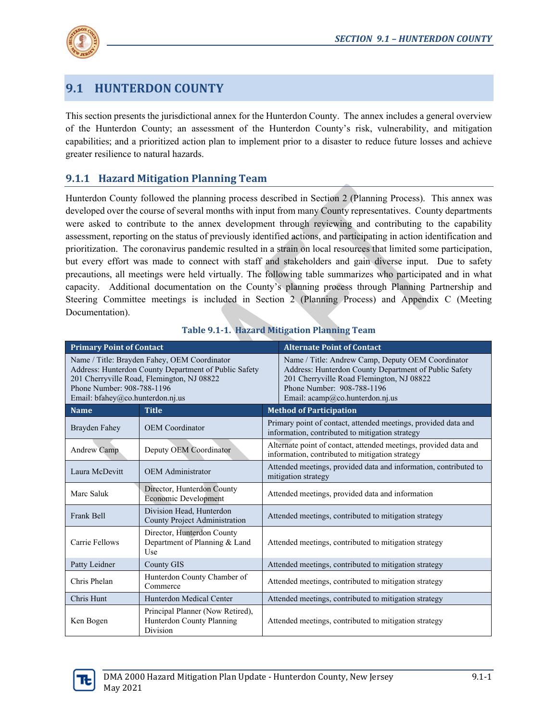

# **9.1 HUNTERDON COUNTY**

This section presents the jurisdictional annex for the Hunterdon County. The annex includes a general overview of the Hunterdon County; an assessment of the Hunterdon County's risk, vulnerability, and mitigation capabilities; and a prioritized action plan to implement prior to a disaster to reduce future losses and achieve greater resilience to natural hazards.

# **9.1.1 Hazard Mitigation Planning Team**

Hunterdon County followed the planning process described in Section 2 (Planning Process). This annex was developed over the course of several months with input from many County representatives. County departments were asked to contribute to the annex development through reviewing and contributing to the capability assessment, reporting on the status of previously identified actions, and participating in action identification and prioritization. The coronavirus pandemic resulted in a strain on local resources that limited some participation, but every effort was made to connect with staff and stakeholders and gain diverse input. Due to safety precautions, all meetings were held virtually. The following table summarizes who participated and in what capacity. Additional documentation on the County's planning process through Planning Partnership and Steering Committee meetings is included in Section 2 (Planning Process) and Appendix C (Meeting Documentation).

| <b>Primary Point of Contact</b>                                                                                                                                                                                       |                                                                                  | <b>Alternate Point of Contact</b>                                                                                                                                                                                        |
|-----------------------------------------------------------------------------------------------------------------------------------------------------------------------------------------------------------------------|----------------------------------------------------------------------------------|--------------------------------------------------------------------------------------------------------------------------------------------------------------------------------------------------------------------------|
| Name / Title: Brayden Fahey, OEM Coordinator<br>Address: Hunterdon County Department of Public Safety<br>201 Cherryville Road, Flemington, NJ 08822<br>Phone Number: 908-788-1196<br>Email: bfahey@co.hunterdon.nj.us |                                                                                  | Name / Title: Andrew Camp, Deputy OEM Coordinator<br>Address: Hunterdon County Department of Public Safety<br>201 Cherryville Road Flemington, NJ 08822<br>Phone Number: 908-788-1196<br>Email: acamp@co.hunterdon.nj.us |
| <b>Name</b>                                                                                                                                                                                                           | <b>Title</b>                                                                     | <b>Method of Participation</b>                                                                                                                                                                                           |
| Brayden Fahey                                                                                                                                                                                                         | <b>OEM</b> Coordinator                                                           | Primary point of contact, attended meetings, provided data and<br>information, contributed to mitigation strategy                                                                                                        |
| Andrew Camp                                                                                                                                                                                                           | Deputy OEM Coordinator                                                           | Alternate point of contact, attended meetings, provided data and<br>information, contributed to mitigation strategy                                                                                                      |
| Laura McDevitt                                                                                                                                                                                                        | <b>OEM</b> Administrator                                                         | Attended meetings, provided data and information, contributed to<br>mitigation strategy                                                                                                                                  |
| Marc Saluk                                                                                                                                                                                                            | Director, Hunterdon County<br><b>Economic Development</b>                        | Attended meetings, provided data and information                                                                                                                                                                         |
| Frank Bell                                                                                                                                                                                                            | Division Head, Hunterdon<br><b>County Project Administration</b>                 | Attended meetings, contributed to mitigation strategy                                                                                                                                                                    |
| Carrie Fellows                                                                                                                                                                                                        | Director, Hunterdon County<br>Department of Planning & Land<br>Use               | Attended meetings, contributed to mitigation strategy                                                                                                                                                                    |
| Patty Leidner                                                                                                                                                                                                         | <b>County GIS</b>                                                                | Attended meetings, contributed to mitigation strategy                                                                                                                                                                    |
| Chris Phelan                                                                                                                                                                                                          | Hunterdon County Chamber of<br>Commerce                                          | Attended meetings, contributed to mitigation strategy                                                                                                                                                                    |
| Chris Hunt                                                                                                                                                                                                            | Hunterdon Medical Center                                                         | Attended meetings, contributed to mitigation strategy                                                                                                                                                                    |
| Ken Bogen                                                                                                                                                                                                             | Principal Planner (Now Retired),<br>Hunterdon County Planning<br><b>Division</b> | Attended meetings, contributed to mitigation strategy                                                                                                                                                                    |

# **Table 9.1‐1. Hazard Mitigation Planning Team**

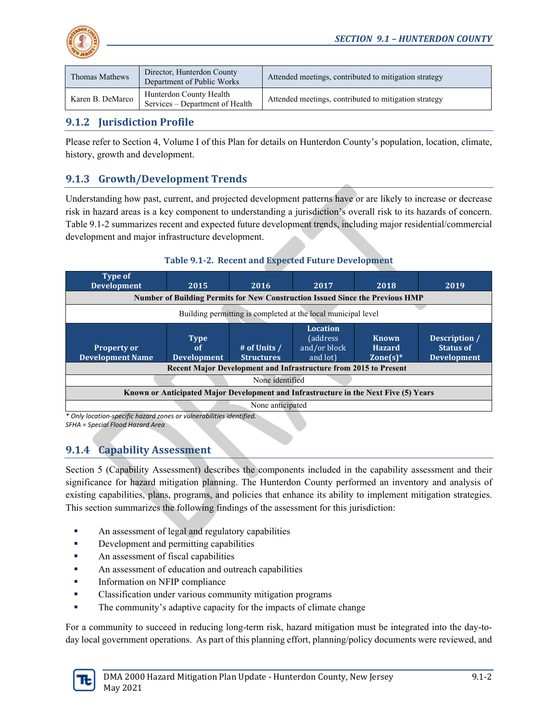

| Thomas Mathews   | Director, Hunterdon County<br>Department of Public Works   | Attended meetings, contributed to mitigation strategy |
|------------------|------------------------------------------------------------|-------------------------------------------------------|
| Karen B. DeMarco | Hunterdon County Health<br>Services – Department of Health | Attended meetings, contributed to mitigation strategy |

# **9.1.2 Jurisdiction Profile**

Please refer to Section 4, Volume I of this Plan for details on Hunterdon County's population, location, climate, history, growth and development.

# **9.1.3 Growth/Development Trends**

Understanding how past, current, and projected development patterns have or are likely to increase or decrease risk in hazard areas is a key component to understanding a jurisdiction's overall risk to its hazards of concern. Table 9.1-2 summarizes recent and expected future development trends, including major residential/commercial development and major infrastructure development.

### **Table 9.1‐2. Recent and Expected Future Development**

| <b>Type of</b><br><b>Development</b>                                                 | 2015                                                          | 2016                              | 2017                                                            | 2018                                                                          | 2019                                                    |  |
|--------------------------------------------------------------------------------------|---------------------------------------------------------------|-----------------------------------|-----------------------------------------------------------------|-------------------------------------------------------------------------------|---------------------------------------------------------|--|
|                                                                                      |                                                               |                                   |                                                                 | Number of Building Permits for New Construction Issued Since the Previous HMP |                                                         |  |
|                                                                                      | Building permitting is completed at the local municipal level |                                   |                                                                 |                                                                               |                                                         |  |
| <b>Property or</b><br><b>Development Name</b>                                        | <b>Type</b><br>0f<br><b>Development</b>                       | # of Units /<br><b>Structures</b> | <b>Location</b><br><i>(address)</i><br>and/or block<br>and lot) | <b>Known</b><br><b>Hazard</b><br>$\mathsf{Zone}(s)^*$                         | Description /<br><b>Status of</b><br><b>Development</b> |  |
| Recent Major Development and Infrastructure from 2015 to Present                     |                                                               |                                   |                                                                 |                                                                               |                                                         |  |
| None identified                                                                      |                                                               |                                   |                                                                 |                                                                               |                                                         |  |
| Known or Anticipated Major Development and Infrastructure in the Next Five (5) Years |                                                               |                                   |                                                                 |                                                                               |                                                         |  |
|                                                                                      |                                                               | None anticipated                  |                                                                 |                                                                               |                                                         |  |

*\* Only location‐specific hazard zones or vulnerabilities identified. SFHA = Special Flood Hazard Area*

# **9.1.4 Capability Assessment**

Section 5 (Capability Assessment) describes the components included in the capability assessment and their significance for hazard mitigation planning. The Hunterdon County performed an inventory and analysis of existing capabilities, plans, programs, and policies that enhance its ability to implement mitigation strategies. This section summarizes the following findings of the assessment for this jurisdiction:

- An assessment of legal and regulatory capabilities
- Development and permitting capabilities
- An assessment of fiscal capabilities
- **An assessment of education and outreach capabilities**
- **Information on NFIP compliance**
- **•** Classification under various community mitigation programs
- The community's adaptive capacity for the impacts of climate change

For a community to succeed in reducing long-term risk, hazard mitigation must be integrated into the day-today local government operations. As part of this planning effort, planning/policy documents were reviewed, and

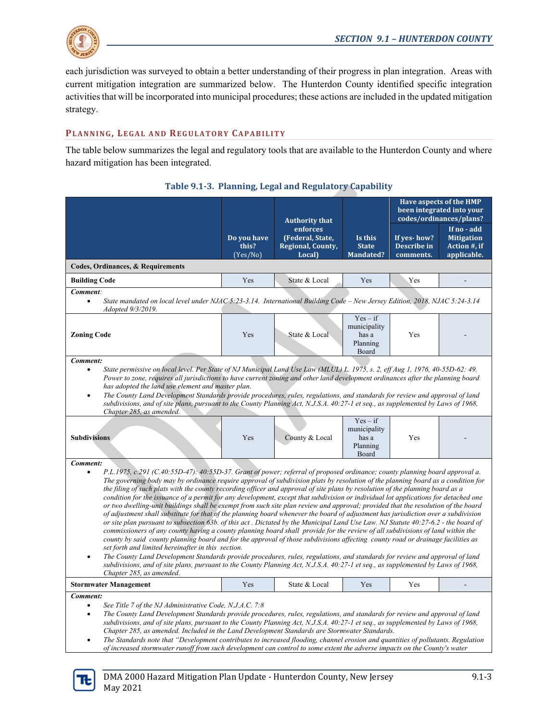

each jurisdiction was surveyed to obtain a better understanding of their progress in plan integration. Areas with current mitigation integration are summarized below. The Hunterdon County identified specific integration activities that will be incorporated into municipal procedures; these actions are included in the updated mitigation strategy.

# **PLANNING, LEGAL AND REGULATORY CAPABILITY**

The table below summarizes the legal and regulatory tools that are available to the Hunterdon County and where hazard mitigation has been integrated.

|                                                                                                                                                                                                                                                                                                                                                                                                                                                                                                                                                                                                                                                                                                                                                                                                                                                                                                                                                                                                                                                                                                                                                                                                                                                                                                                                                                                                                                                                                                                                                                                                             |                                     | <b>Authority that</b>                                              |                                                          |                                         | Have aspects of the HMP<br>been integrated into your<br>codes/ordinances/plans? |  |  |
|-------------------------------------------------------------------------------------------------------------------------------------------------------------------------------------------------------------------------------------------------------------------------------------------------------------------------------------------------------------------------------------------------------------------------------------------------------------------------------------------------------------------------------------------------------------------------------------------------------------------------------------------------------------------------------------------------------------------------------------------------------------------------------------------------------------------------------------------------------------------------------------------------------------------------------------------------------------------------------------------------------------------------------------------------------------------------------------------------------------------------------------------------------------------------------------------------------------------------------------------------------------------------------------------------------------------------------------------------------------------------------------------------------------------------------------------------------------------------------------------------------------------------------------------------------------------------------------------------------------|-------------------------------------|--------------------------------------------------------------------|----------------------------------------------------------|-----------------------------------------|---------------------------------------------------------------------------------|--|--|
|                                                                                                                                                                                                                                                                                                                                                                                                                                                                                                                                                                                                                                                                                                                                                                                                                                                                                                                                                                                                                                                                                                                                                                                                                                                                                                                                                                                                                                                                                                                                                                                                             | Do you have<br>this?<br>$(Yes/N_0)$ | enforces<br>(Federal, State,<br><b>Regional, County,</b><br>Local) | Is this<br><b>State</b><br><b>Mandated?</b>              | If yes-how?<br>Describe in<br>comments. | If no - add<br><b>Mitigation</b><br>Action #, if<br>applicable.                 |  |  |
| Codes, Ordinances, & Requirements                                                                                                                                                                                                                                                                                                                                                                                                                                                                                                                                                                                                                                                                                                                                                                                                                                                                                                                                                                                                                                                                                                                                                                                                                                                                                                                                                                                                                                                                                                                                                                           |                                     |                                                                    |                                                          |                                         |                                                                                 |  |  |
| <b>Building Code</b>                                                                                                                                                                                                                                                                                                                                                                                                                                                                                                                                                                                                                                                                                                                                                                                                                                                                                                                                                                                                                                                                                                                                                                                                                                                                                                                                                                                                                                                                                                                                                                                        | Yes                                 | State & Local                                                      | Yes                                                      | Yes                                     |                                                                                 |  |  |
| Comment:<br>State mandated on local level under NJAC 5:23-3.14. International Building Code – New Jersey Edition, 2018, NJAC 5:24-3.14<br>$\bullet$<br>Adopted 9/3/2019.                                                                                                                                                                                                                                                                                                                                                                                                                                                                                                                                                                                                                                                                                                                                                                                                                                                                                                                                                                                                                                                                                                                                                                                                                                                                                                                                                                                                                                    |                                     |                                                                    |                                                          |                                         |                                                                                 |  |  |
| <b>Zoning Code</b>                                                                                                                                                                                                                                                                                                                                                                                                                                                                                                                                                                                                                                                                                                                                                                                                                                                                                                                                                                                                                                                                                                                                                                                                                                                                                                                                                                                                                                                                                                                                                                                          | Yes                                 | State & Local                                                      | $Yes - if$<br>municipality<br>has a<br>Planning<br>Board | Yes                                     |                                                                                 |  |  |
| Comment:<br>State permissive on local level. Per State of NJ Municipal Land Use Law (MLUL) L. 1975, s. 2, eff Aug 1, 1976, 40-55D-62: 49.<br>$\bullet$<br>Power to zone, requires all jurisdictions to have current zoning and other land development ordinances after the planning board<br>has adopted the land use element and master plan.<br>The County Land Development Standards provide procedures, rules, regulations, and standards for review and approval of land<br>$\bullet$<br>subdivisions, and of site plans, pursuant to the County Planning Act, N.J.S.A. 40:27-1 et seq., as supplemented by Laws of 1968,<br>Chapter 285, as amended.                                                                                                                                                                                                                                                                                                                                                                                                                                                                                                                                                                                                                                                                                                                                                                                                                                                                                                                                                  |                                     |                                                                    |                                                          |                                         |                                                                                 |  |  |
| <b>Subdivisions</b>                                                                                                                                                                                                                                                                                                                                                                                                                                                                                                                                                                                                                                                                                                                                                                                                                                                                                                                                                                                                                                                                                                                                                                                                                                                                                                                                                                                                                                                                                                                                                                                         | Yes                                 | County & Local                                                     | $Yes - if$<br>municipality<br>has a<br>Planning<br>Board | Yes                                     |                                                                                 |  |  |
| Comment:<br>P.L.1975, c.291 (C.40:55D-47): 40:55D-37. Grant of power; referral of proposed ordinance; county planning board approval a.<br>The governing body may by ordinance require approval of subdivision plats by resolution of the planning board as a condition for<br>the filing of such plats with the county recording officer and approval of site plans by resolution of the planning board as a<br>condition for the issuance of a permit for any development, except that subdivision or individual lot applications for detached one<br>or two dwelling-unit buildings shall be exempt from such site plan review and approval; provided that the resolution of the board<br>of adjustment shall substitute for that of the planning board whenever the board of adjustment has jurisdiction over a subdivision<br>or site plan pursuant to subsection 63b. of this act. Dictated by the Municipal Land Use Law. NJ Statute 40:27-6.2 - the board of<br>commissioners of any county having a county planning board shall provide for the review of all subdivisions of land within the<br>county by said county planning board and for the approval of those subdivisions affecting county road or drainage facilities as<br>set forth and limited hereinafter in this section.<br>The County Land Development Standards provide procedures, rules, regulations, and standards for review and approval of land<br>$\bullet$<br>subdivisions, and of site plans, pursuant to the County Planning Act, N.J.S.A. 40:27-1 et seq., as supplemented by Laws of 1968,<br>Chapter 285, as amended. |                                     |                                                                    |                                                          |                                         |                                                                                 |  |  |
| <b>Stormwater Management</b>                                                                                                                                                                                                                                                                                                                                                                                                                                                                                                                                                                                                                                                                                                                                                                                                                                                                                                                                                                                                                                                                                                                                                                                                                                                                                                                                                                                                                                                                                                                                                                                | Yes                                 | State & Local                                                      | Yes                                                      | Yes                                     |                                                                                 |  |  |
| Comment:<br>See Title 7 of the NJ Administrative Code, N.J.A.C. 7:8<br>$\bullet$<br>The County Land Development Standards provide procedures, rules, regulations, and standards for review and approval of land<br>$\bullet$<br>subdivisions, and of site plans, pursuant to the County Planning Act, N.J.S.A. 40:27-1 et seq., as supplemented by Laws of 1968,<br>Chapter 285, as amended. Included in the Land Development Standards are Stormwater Standards.                                                                                                                                                                                                                                                                                                                                                                                                                                                                                                                                                                                                                                                                                                                                                                                                                                                                                                                                                                                                                                                                                                                                           |                                     |                                                                    |                                                          |                                         |                                                                                 |  |  |

# **Table 9.1‐3. Planning, Legal and Regulatory Capability**

 *The Standards note that "Development contributes to increased flooding, channel erosion and quantities of pollutants. Regulation of increased stormwater runoff from such development can control to some extent the adverse impacts on the County's water* 

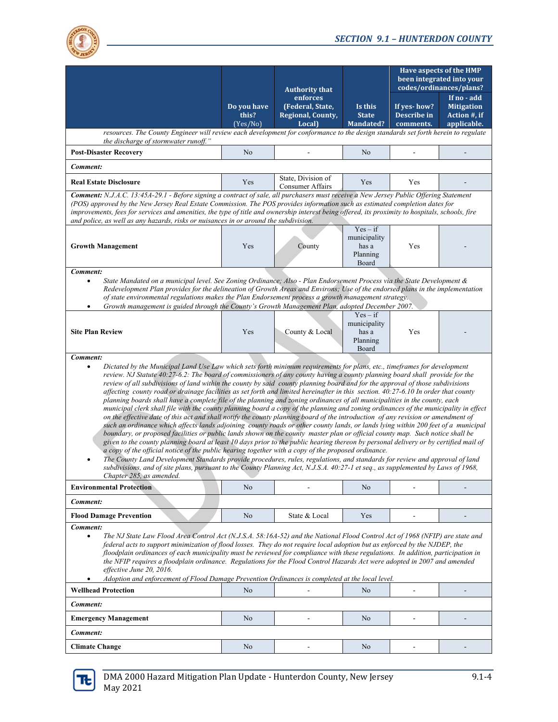

|                                                                                                                                                                                                                                                                                                                                                                                                                                                                                                                                                                                                                                                                                                                                                                                                                                                                                                                                                                                                                                                                                                                                                                                                                                                                                                                                                                                                                                                                                                                                                                                                                                                                                                                                                           |                                     | <b>Authority that</b>                                       |                                                          | Have aspects of the HMP<br>been integrated into your<br>codes/ordinances/plans? |                                                                 |  |  |
|-----------------------------------------------------------------------------------------------------------------------------------------------------------------------------------------------------------------------------------------------------------------------------------------------------------------------------------------------------------------------------------------------------------------------------------------------------------------------------------------------------------------------------------------------------------------------------------------------------------------------------------------------------------------------------------------------------------------------------------------------------------------------------------------------------------------------------------------------------------------------------------------------------------------------------------------------------------------------------------------------------------------------------------------------------------------------------------------------------------------------------------------------------------------------------------------------------------------------------------------------------------------------------------------------------------------------------------------------------------------------------------------------------------------------------------------------------------------------------------------------------------------------------------------------------------------------------------------------------------------------------------------------------------------------------------------------------------------------------------------------------------|-------------------------------------|-------------------------------------------------------------|----------------------------------------------------------|---------------------------------------------------------------------------------|-----------------------------------------------------------------|--|--|
|                                                                                                                                                                                                                                                                                                                                                                                                                                                                                                                                                                                                                                                                                                                                                                                                                                                                                                                                                                                                                                                                                                                                                                                                                                                                                                                                                                                                                                                                                                                                                                                                                                                                                                                                                           | Do you have<br>this?<br>$(Yes/N_0)$ | enforces<br>(Federal, State,<br>Regional, County,<br>Local) | Is this<br><b>State</b><br>Mandated?                     | If yes-how?<br>Describe in<br>comments.                                         | If no - add<br><b>Mitigation</b><br>Action #, if<br>applicable. |  |  |
| resources. The County Engineer will review each development for conformance to the design standards set forth herein to regulate<br>the discharge of stormwater runoff."                                                                                                                                                                                                                                                                                                                                                                                                                                                                                                                                                                                                                                                                                                                                                                                                                                                                                                                                                                                                                                                                                                                                                                                                                                                                                                                                                                                                                                                                                                                                                                                  |                                     |                                                             |                                                          |                                                                                 |                                                                 |  |  |
| <b>Post-Disaster Recovery</b>                                                                                                                                                                                                                                                                                                                                                                                                                                                                                                                                                                                                                                                                                                                                                                                                                                                                                                                                                                                                                                                                                                                                                                                                                                                                                                                                                                                                                                                                                                                                                                                                                                                                                                                             | No                                  |                                                             | No                                                       |                                                                                 |                                                                 |  |  |
| Comment:                                                                                                                                                                                                                                                                                                                                                                                                                                                                                                                                                                                                                                                                                                                                                                                                                                                                                                                                                                                                                                                                                                                                                                                                                                                                                                                                                                                                                                                                                                                                                                                                                                                                                                                                                  |                                     |                                                             |                                                          |                                                                                 |                                                                 |  |  |
| <b>Real Estate Disclosure</b>                                                                                                                                                                                                                                                                                                                                                                                                                                                                                                                                                                                                                                                                                                                                                                                                                                                                                                                                                                                                                                                                                                                                                                                                                                                                                                                                                                                                                                                                                                                                                                                                                                                                                                                             | Yes                                 | State, Division of<br>Consumer Affairs                      | Yes                                                      | Yes                                                                             |                                                                 |  |  |
| Comment: N.J.A.C. 13:45A-29.1 - Before signing a contract of sale, all purchasers must receive a New Jersey Public Offering Statement<br>(POS) approved by the New Jersey Real Estate Commission. The POS provides information such as estimated completion dates for<br>improvements, fees for services and amenities, the type of title and ownership interest being offered, its proximity to hospitals, schools, fire<br>and police, as well as any hazards, risks or nuisances in or around the subdivision.                                                                                                                                                                                                                                                                                                                                                                                                                                                                                                                                                                                                                                                                                                                                                                                                                                                                                                                                                                                                                                                                                                                                                                                                                                         |                                     |                                                             |                                                          |                                                                                 |                                                                 |  |  |
| <b>Growth Management</b>                                                                                                                                                                                                                                                                                                                                                                                                                                                                                                                                                                                                                                                                                                                                                                                                                                                                                                                                                                                                                                                                                                                                                                                                                                                                                                                                                                                                                                                                                                                                                                                                                                                                                                                                  | Yes                                 | County                                                      | $Yes - if$<br>municipality<br>has a<br>Planning<br>Board | Yes                                                                             |                                                                 |  |  |
| Comment:<br>State Mandated on a municipal level. See Zoning Ordinance; Also - Plan Endorsement Process via the State Development &<br>٠<br>Redevelopment Plan provides for the delineation of Growth Areas and Environs; Use of the endorsed plans in the implementation<br>of state environmental regulations makes the Plan Endorsement process a growth management strategy.<br>Growth management is guided through the County's Growth Management Plan, adopted December 2007.                                                                                                                                                                                                                                                                                                                                                                                                                                                                                                                                                                                                                                                                                                                                                                                                                                                                                                                                                                                                                                                                                                                                                                                                                                                                        |                                     |                                                             |                                                          |                                                                                 |                                                                 |  |  |
| <b>Site Plan Review</b>                                                                                                                                                                                                                                                                                                                                                                                                                                                                                                                                                                                                                                                                                                                                                                                                                                                                                                                                                                                                                                                                                                                                                                                                                                                                                                                                                                                                                                                                                                                                                                                                                                                                                                                                   | Yes                                 | County & Local                                              | $Yes - if$<br>municipality<br>has a<br>Planning<br>Board | Yes                                                                             |                                                                 |  |  |
| Comment:<br>Dictated by the Municipal Land Use Law which sets forth minimum requirements for plans, etc., timeframes for development<br>$\bullet$<br>review. NJ Statute 40:27-6.2: The board of commissioners of any county having a county planning board shall provide for the<br>review of all subdivisions of land within the county by said county planning board and for the approval of those subdivisions<br>affecting county road or drainage facilities as set forth and limited hereinafter in this section. 40:27-6.10 In order that county<br>planning boards shall have a complete file of the planning and zoning ordinances of all municipalities in the county, each<br>municipal clerk shall file with the county planning board a copy of the planning and zoning ordinances of the municipality in effect<br>on the effective date of this act and shall notify the county planning board of the introduction of any revision or amendment of<br>such an ordinance which affects lands adjoining county roads or other county lands, or lands lying within 200 feet of a municipal<br>boundary, or proposed facilities or public lands shown on the county master plan or official county map. Such notice shall be<br>given to the county planning board at least 10 days prior to the public hearing thereon by personal delivery or by certified mail of<br>a copy of the official notice of the public hearing together with a copy of the proposed ordinance.<br>The County Land Development Standards provide procedures, rules, regulations, and standards for review and approval of land<br>subdivisions, and of site plans, pursuant to the County Planning Act, N.J.S.A. 40:27-1 et seq., as supplemented by Laws of 1968, |                                     |                                                             |                                                          |                                                                                 |                                                                 |  |  |
| Chapter 285, as amended.<br><b>Environmental Protection</b>                                                                                                                                                                                                                                                                                                                                                                                                                                                                                                                                                                                                                                                                                                                                                                                                                                                                                                                                                                                                                                                                                                                                                                                                                                                                                                                                                                                                                                                                                                                                                                                                                                                                                               | No                                  |                                                             | No                                                       |                                                                                 |                                                                 |  |  |
| Comment:                                                                                                                                                                                                                                                                                                                                                                                                                                                                                                                                                                                                                                                                                                                                                                                                                                                                                                                                                                                                                                                                                                                                                                                                                                                                                                                                                                                                                                                                                                                                                                                                                                                                                                                                                  |                                     |                                                             |                                                          |                                                                                 |                                                                 |  |  |
| <b>Flood Damage Prevention</b>                                                                                                                                                                                                                                                                                                                                                                                                                                                                                                                                                                                                                                                                                                                                                                                                                                                                                                                                                                                                                                                                                                                                                                                                                                                                                                                                                                                                                                                                                                                                                                                                                                                                                                                            | N <sub>o</sub>                      | State & Local                                               | Yes                                                      |                                                                                 |                                                                 |  |  |
| Comment:<br>The NJ State Law Flood Area Control Act (N.J.S.A. 58:16A-52) and the National Flood Control Act of 1968 (NFIP) are state and<br>$\bullet$<br>federal acts to support minimization of flood losses. They do not require local adoption but as enforced by the NJDEP, the<br>floodplain ordinances of each municipality must be reviewed for compliance with these regulations. In addition, participation in<br>the NFIP requires a floodplain ordinance. Regulations for the Flood Control Hazards Act were adopted in 2007 and amended<br>effective June 20, 2016.<br>Adoption and enforcement of Flood Damage Prevention Ordinances is completed at the local level.<br>$\bullet$                                                                                                                                                                                                                                                                                                                                                                                                                                                                                                                                                                                                                                                                                                                                                                                                                                                                                                                                                                                                                                                           |                                     |                                                             |                                                          |                                                                                 |                                                                 |  |  |
| <b>Wellhead Protection</b>                                                                                                                                                                                                                                                                                                                                                                                                                                                                                                                                                                                                                                                                                                                                                                                                                                                                                                                                                                                                                                                                                                                                                                                                                                                                                                                                                                                                                                                                                                                                                                                                                                                                                                                                | No                                  |                                                             | N <sub>o</sub>                                           |                                                                                 |                                                                 |  |  |
| Comment:                                                                                                                                                                                                                                                                                                                                                                                                                                                                                                                                                                                                                                                                                                                                                                                                                                                                                                                                                                                                                                                                                                                                                                                                                                                                                                                                                                                                                                                                                                                                                                                                                                                                                                                                                  |                                     |                                                             |                                                          |                                                                                 |                                                                 |  |  |
| <b>Emergency Management</b>                                                                                                                                                                                                                                                                                                                                                                                                                                                                                                                                                                                                                                                                                                                                                                                                                                                                                                                                                                                                                                                                                                                                                                                                                                                                                                                                                                                                                                                                                                                                                                                                                                                                                                                               | No                                  |                                                             | No                                                       | ÷,                                                                              |                                                                 |  |  |
| Comment:                                                                                                                                                                                                                                                                                                                                                                                                                                                                                                                                                                                                                                                                                                                                                                                                                                                                                                                                                                                                                                                                                                                                                                                                                                                                                                                                                                                                                                                                                                                                                                                                                                                                                                                                                  |                                     |                                                             |                                                          |                                                                                 |                                                                 |  |  |
| <b>Climate Change</b>                                                                                                                                                                                                                                                                                                                                                                                                                                                                                                                                                                                                                                                                                                                                                                                                                                                                                                                                                                                                                                                                                                                                                                                                                                                                                                                                                                                                                                                                                                                                                                                                                                                                                                                                     | N <sub>o</sub>                      |                                                             | No.                                                      |                                                                                 |                                                                 |  |  |

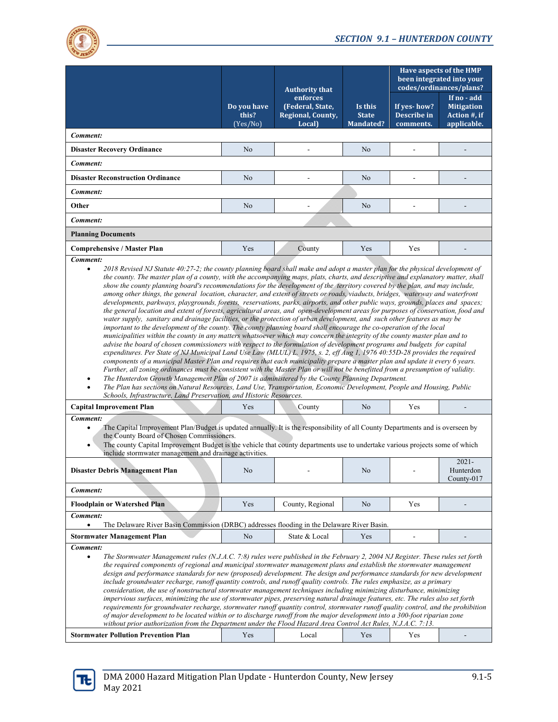

|                                                                                                                                                                                                                                                                                                                                                                                                                                                                                                                                                                                                                                                                                                                                                                                                                                                                                                                                                                                                                                                                                                                                                                                                                                                                                                                                                                                                                                                                                                                                                                                                                                                                                                   | <b>Authority that</b><br>enforces<br>(Federal, State,<br>Do you have<br>this?<br>Regional, County,<br>Local)<br>(Yes/No) |                  |                                             | <b>Have aspects of the HMP</b><br>been integrated into your<br>codes/ordinances/plans? |                                                                 |  |
|---------------------------------------------------------------------------------------------------------------------------------------------------------------------------------------------------------------------------------------------------------------------------------------------------------------------------------------------------------------------------------------------------------------------------------------------------------------------------------------------------------------------------------------------------------------------------------------------------------------------------------------------------------------------------------------------------------------------------------------------------------------------------------------------------------------------------------------------------------------------------------------------------------------------------------------------------------------------------------------------------------------------------------------------------------------------------------------------------------------------------------------------------------------------------------------------------------------------------------------------------------------------------------------------------------------------------------------------------------------------------------------------------------------------------------------------------------------------------------------------------------------------------------------------------------------------------------------------------------------------------------------------------------------------------------------------------|--------------------------------------------------------------------------------------------------------------------------|------------------|---------------------------------------------|----------------------------------------------------------------------------------------|-----------------------------------------------------------------|--|
|                                                                                                                                                                                                                                                                                                                                                                                                                                                                                                                                                                                                                                                                                                                                                                                                                                                                                                                                                                                                                                                                                                                                                                                                                                                                                                                                                                                                                                                                                                                                                                                                                                                                                                   |                                                                                                                          |                  | Is this<br><b>State</b><br><b>Mandated?</b> | If yes-how?<br>Describe in<br>comments.                                                | If no - add<br><b>Mitigation</b><br>Action #, if<br>applicable. |  |
| Comment:                                                                                                                                                                                                                                                                                                                                                                                                                                                                                                                                                                                                                                                                                                                                                                                                                                                                                                                                                                                                                                                                                                                                                                                                                                                                                                                                                                                                                                                                                                                                                                                                                                                                                          |                                                                                                                          |                  |                                             |                                                                                        |                                                                 |  |
| <b>Disaster Recovery Ordinance</b>                                                                                                                                                                                                                                                                                                                                                                                                                                                                                                                                                                                                                                                                                                                                                                                                                                                                                                                                                                                                                                                                                                                                                                                                                                                                                                                                                                                                                                                                                                                                                                                                                                                                | N <sub>o</sub>                                                                                                           |                  | No                                          |                                                                                        |                                                                 |  |
| Comment:                                                                                                                                                                                                                                                                                                                                                                                                                                                                                                                                                                                                                                                                                                                                                                                                                                                                                                                                                                                                                                                                                                                                                                                                                                                                                                                                                                                                                                                                                                                                                                                                                                                                                          |                                                                                                                          |                  |                                             |                                                                                        |                                                                 |  |
| <b>Disaster Reconstruction Ordinance</b>                                                                                                                                                                                                                                                                                                                                                                                                                                                                                                                                                                                                                                                                                                                                                                                                                                                                                                                                                                                                                                                                                                                                                                                                                                                                                                                                                                                                                                                                                                                                                                                                                                                          | N <sub>o</sub>                                                                                                           |                  | N <sub>o</sub>                              |                                                                                        |                                                                 |  |
| Comment:                                                                                                                                                                                                                                                                                                                                                                                                                                                                                                                                                                                                                                                                                                                                                                                                                                                                                                                                                                                                                                                                                                                                                                                                                                                                                                                                                                                                                                                                                                                                                                                                                                                                                          |                                                                                                                          |                  |                                             |                                                                                        |                                                                 |  |
| Other                                                                                                                                                                                                                                                                                                                                                                                                                                                                                                                                                                                                                                                                                                                                                                                                                                                                                                                                                                                                                                                                                                                                                                                                                                                                                                                                                                                                                                                                                                                                                                                                                                                                                             | N <sub>o</sub>                                                                                                           |                  | N <sub>o</sub>                              |                                                                                        |                                                                 |  |
| Comment:                                                                                                                                                                                                                                                                                                                                                                                                                                                                                                                                                                                                                                                                                                                                                                                                                                                                                                                                                                                                                                                                                                                                                                                                                                                                                                                                                                                                                                                                                                                                                                                                                                                                                          |                                                                                                                          |                  |                                             |                                                                                        |                                                                 |  |
| <b>Planning Documents</b>                                                                                                                                                                                                                                                                                                                                                                                                                                                                                                                                                                                                                                                                                                                                                                                                                                                                                                                                                                                                                                                                                                                                                                                                                                                                                                                                                                                                                                                                                                                                                                                                                                                                         |                                                                                                                          |                  |                                             |                                                                                        |                                                                 |  |
| <b>Comprehensive / Master Plan</b>                                                                                                                                                                                                                                                                                                                                                                                                                                                                                                                                                                                                                                                                                                                                                                                                                                                                                                                                                                                                                                                                                                                                                                                                                                                                                                                                                                                                                                                                                                                                                                                                                                                                | Yes                                                                                                                      | County           | Yes                                         | Yes                                                                                    |                                                                 |  |
| Comment:                                                                                                                                                                                                                                                                                                                                                                                                                                                                                                                                                                                                                                                                                                                                                                                                                                                                                                                                                                                                                                                                                                                                                                                                                                                                                                                                                                                                                                                                                                                                                                                                                                                                                          |                                                                                                                          |                  |                                             |                                                                                        |                                                                 |  |
| show the county planning board's recommendations for the development of the territory covered by the plan, and may include,<br>among other things, the general location, character, and extent of streets or roads, viaducts, bridges, waterway and waterfront<br>developments, parkways, playgrounds, forests, reservations, parks, airports, and other public ways, grounds, places and spaces;<br>the general location and extent of forests, agricultural areas, and open-development areas for purposes of conservation, food and<br>water supply, sanitary and drainage facilities, or the protection of urban development, and such other features as may be<br>important to the development of the county. The county planning board shall encourage the co-operation of the local<br>municipalities within the county in any matters whatsoever which may concern the integrity of the county master plan and to<br>advise the board of chosen commissioners with respect to the formulation of development programs and budgets for capital<br>expenditures. Per State of NJ Municipal Land Use Law (MLUL) L. 1975, s. 2, eff Aug 1, 1976 40:55D-28 provides the required<br>components of a municipal Master Plan and requires that each municipality prepare a master plan and update it every 6 years.<br>Further, all zoning ordinances must be consistent with the Master Plan or will not be benefitted from a presumption of validity.<br>The Hunterdon Growth Management Plan of 2007 is administered by the County Planning Department.<br>The Plan has sections on Natural Resources, Land Use, Transportation, Economic Development, People and Housing, Public<br>$\bullet$ |                                                                                                                          |                  |                                             |                                                                                        |                                                                 |  |
| <b>Capital Improvement Plan</b>                                                                                                                                                                                                                                                                                                                                                                                                                                                                                                                                                                                                                                                                                                                                                                                                                                                                                                                                                                                                                                                                                                                                                                                                                                                                                                                                                                                                                                                                                                                                                                                                                                                                   | Yes                                                                                                                      | County           | N <sub>o</sub>                              | Yes                                                                                    |                                                                 |  |
| Comment:<br>The Capital Improvement Plan/Budget is updated annually. It is the responsibility of all County Departments and is overseen by<br>$\bullet$<br>the County Board of Chosen Commissioners.<br>The county Capital Improvement Budget is the vehicle that county departments use to undertake various projects some of which<br>include stormwater management and drainage activities.<br>$2021 -$<br><b>Disaster Debris Management Plan</b><br>No<br>Hunterdon<br>No<br>County- $017$                                                                                                                                                                                                                                                                                                                                                                                                                                                                                                                                                                                                                                                                                                                                                                                                                                                                                                                                                                                                                                                                                                                                                                                                    |                                                                                                                          |                  |                                             |                                                                                        |                                                                 |  |
| Comment:                                                                                                                                                                                                                                                                                                                                                                                                                                                                                                                                                                                                                                                                                                                                                                                                                                                                                                                                                                                                                                                                                                                                                                                                                                                                                                                                                                                                                                                                                                                                                                                                                                                                                          |                                                                                                                          |                  |                                             |                                                                                        |                                                                 |  |
| <b>Floodplain or Watershed Plan</b>                                                                                                                                                                                                                                                                                                                                                                                                                                                                                                                                                                                                                                                                                                                                                                                                                                                                                                                                                                                                                                                                                                                                                                                                                                                                                                                                                                                                                                                                                                                                                                                                                                                               | Yes                                                                                                                      | County, Regional | No                                          | Yes                                                                                    |                                                                 |  |
| Comment:                                                                                                                                                                                                                                                                                                                                                                                                                                                                                                                                                                                                                                                                                                                                                                                                                                                                                                                                                                                                                                                                                                                                                                                                                                                                                                                                                                                                                                                                                                                                                                                                                                                                                          |                                                                                                                          |                  |                                             |                                                                                        |                                                                 |  |
| The Delaware River Basin Commission (DRBC) addresses flooding in the Delaware River Basin.<br>$\bullet$                                                                                                                                                                                                                                                                                                                                                                                                                                                                                                                                                                                                                                                                                                                                                                                                                                                                                                                                                                                                                                                                                                                                                                                                                                                                                                                                                                                                                                                                                                                                                                                           |                                                                                                                          |                  |                                             |                                                                                        |                                                                 |  |
| No<br><b>Stormwater Management Plan</b><br>State & Local<br>Yes<br>Comment:<br>The Stormwater Management rules $(N.J.A.C. 7:8)$ rules were published in the February 2, 2004 NJ Register. These rules set forth<br>$\bullet$<br>the required components of regional and municipal stormwater management plans and establish the stormwater management<br>design and performance standards for new (proposed) development. The design and performance standards for new development<br>include groundwater recharge, runoff quantity controls, and runoff quality controls. The rules emphasize, as a primary<br>consideration, the use of nonstructural stormwater management techniques including minimizing disturbance, minimizing<br>impervious surfaces, minimizing the use of stormwater pipes, preserving natural drainage features, etc. The rules also set forth<br>requirements for groundwater recharge, stormwater runoff quantity control, stormwater runoff quality control, and the prohibition<br>of major development to be located within or to discharge runoff from the major development into a 300-foot riparian zone<br>without prior authorization from the Department under the Flood Hazard Area Control Act Rules, N.J.A.C. 7:13.                                                                                                                                                                                                                                                                                                                                                                                                                                      |                                                                                                                          |                  |                                             |                                                                                        |                                                                 |  |

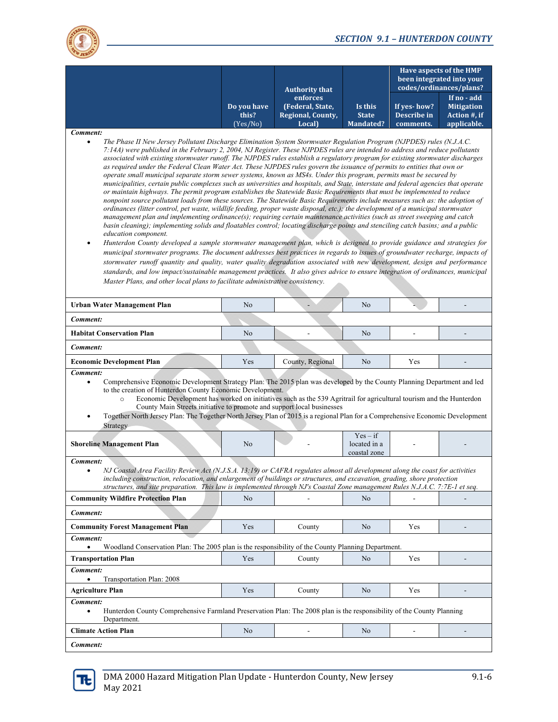

|                                                                                                                                                                                                                                                                                                                                                                                                                                                                                                                                                                                                                                                                                                                                                                                                                                                                                                                                                                                                                                                                                                                                                                                                                                                                                                                                                                                                                                                                                                                                                                                                                                                                                                                                                                                                                                                                                                                                                                                                                                                                                                               | <b>Authority that</b>            |                                                                   |                                            | <b>Have aspects of the HMP</b><br>been integrated into your<br>codes/ordinances/plans? |                                                                 |  |  |
|---------------------------------------------------------------------------------------------------------------------------------------------------------------------------------------------------------------------------------------------------------------------------------------------------------------------------------------------------------------------------------------------------------------------------------------------------------------------------------------------------------------------------------------------------------------------------------------------------------------------------------------------------------------------------------------------------------------------------------------------------------------------------------------------------------------------------------------------------------------------------------------------------------------------------------------------------------------------------------------------------------------------------------------------------------------------------------------------------------------------------------------------------------------------------------------------------------------------------------------------------------------------------------------------------------------------------------------------------------------------------------------------------------------------------------------------------------------------------------------------------------------------------------------------------------------------------------------------------------------------------------------------------------------------------------------------------------------------------------------------------------------------------------------------------------------------------------------------------------------------------------------------------------------------------------------------------------------------------------------------------------------------------------------------------------------------------------------------------------------|----------------------------------|-------------------------------------------------------------------|--------------------------------------------|----------------------------------------------------------------------------------------|-----------------------------------------------------------------|--|--|
|                                                                                                                                                                                                                                                                                                                                                                                                                                                                                                                                                                                                                                                                                                                                                                                                                                                                                                                                                                                                                                                                                                                                                                                                                                                                                                                                                                                                                                                                                                                                                                                                                                                                                                                                                                                                                                                                                                                                                                                                                                                                                                               | Do you have<br>this?<br>(Yes/No) | enforces<br>(Federal, State,<br>Regional, County,<br><b>Local</b> | Is this<br><b>State</b><br>Mandated?       | If yes-how?<br>Describe in<br>comments.                                                | If no - add<br><b>Mitigation</b><br>Action #, if<br>applicable. |  |  |
| Comment:<br>The Phase II New Jersey Pollutant Discharge Elimination System Stormwater Regulation Program (NJPDES) rules (N.J.A.C.<br>7:14A) were published in the February 2, 2004, NJ Register. These NJPDES rules are intended to address and reduce pollutants<br>associated with existing stormwater runoff. The NJPDES rules establish a regulatory program for existing stormwater discharges<br>as required under the Federal Clean Water Act. These NJPDES rules govern the issuance of permits to entities that own or<br>operate small municipal separate storm sewer systems, known as MS4s. Under this program, permits must be secured by<br>municipalities, certain public complexes such as universities and hospitals, and State, interstate and federal agencies that operate<br>or maintain highways. The permit program establishes the Statewide Basic Requirements that must be implemented to reduce<br>nonpoint source pollutant loads from these sources. The Statewide Basic Requirements include measures such as: the adoption of<br>ordinances (litter control, pet waste, wildlife feeding, proper waste disposal, etc.); the development of a municipal stormwater<br>management plan and implementing ordinance(s); requiring certain maintenance activities (such as street sweeping and catch<br>basin cleaning); implementing solids and floatables control; locating discharge points and stenciling catch basins; and a public<br>education component.<br>Hunterdon County developed a sample stormwater management plan, which is designed to provide guidance and strategies for<br>٠<br>municipal stormwater programs. The document addresses best practices in regards to issues of groundwater recharge, impacts of<br>stormwater runoff quantity and quality, water quality degradation associated with new development, design and performance<br>standards, and low impact/sustainable management practices. It also gives advice to ensure integration of ordinances, municipal<br>Master Plans, and other local plans to facilitate administrative consistency. |                                  |                                                                   |                                            |                                                                                        |                                                                 |  |  |
| <b>Urban Water Management Plan</b>                                                                                                                                                                                                                                                                                                                                                                                                                                                                                                                                                                                                                                                                                                                                                                                                                                                                                                                                                                                                                                                                                                                                                                                                                                                                                                                                                                                                                                                                                                                                                                                                                                                                                                                                                                                                                                                                                                                                                                                                                                                                            | No                               |                                                                   | No                                         |                                                                                        |                                                                 |  |  |
| Comment:                                                                                                                                                                                                                                                                                                                                                                                                                                                                                                                                                                                                                                                                                                                                                                                                                                                                                                                                                                                                                                                                                                                                                                                                                                                                                                                                                                                                                                                                                                                                                                                                                                                                                                                                                                                                                                                                                                                                                                                                                                                                                                      |                                  |                                                                   |                                            |                                                                                        |                                                                 |  |  |
| <b>Habitat Conservation Plan</b>                                                                                                                                                                                                                                                                                                                                                                                                                                                                                                                                                                                                                                                                                                                                                                                                                                                                                                                                                                                                                                                                                                                                                                                                                                                                                                                                                                                                                                                                                                                                                                                                                                                                                                                                                                                                                                                                                                                                                                                                                                                                              | No                               |                                                                   | No                                         |                                                                                        |                                                                 |  |  |
| Comment:                                                                                                                                                                                                                                                                                                                                                                                                                                                                                                                                                                                                                                                                                                                                                                                                                                                                                                                                                                                                                                                                                                                                                                                                                                                                                                                                                                                                                                                                                                                                                                                                                                                                                                                                                                                                                                                                                                                                                                                                                                                                                                      |                                  |                                                                   |                                            |                                                                                        |                                                                 |  |  |
| <b>Economic Development Plan</b>                                                                                                                                                                                                                                                                                                                                                                                                                                                                                                                                                                                                                                                                                                                                                                                                                                                                                                                                                                                                                                                                                                                                                                                                                                                                                                                                                                                                                                                                                                                                                                                                                                                                                                                                                                                                                                                                                                                                                                                                                                                                              | Yes                              | County, Regional                                                  | No                                         | Yes                                                                                    |                                                                 |  |  |
| Comment:<br>Comprehensive Economic Development Strategy Plan: The 2015 plan was developed by the County Planning Department and led<br>to the creation of Hunterdon County Economic Development.<br>Economic Development has worked on initiatives such as the 539 Agritrail for agricultural tourism and the Hunterdon<br>$\circ$<br>County Main Streets initiative to promote and support local businesses<br>Together North Jersey Plan: The Together North Jersey Plan of 2015 is a regional Plan for a Comprehensive Economic Development<br>Strategy                                                                                                                                                                                                                                                                                                                                                                                                                                                                                                                                                                                                                                                                                                                                                                                                                                                                                                                                                                                                                                                                                                                                                                                                                                                                                                                                                                                                                                                                                                                                                    |                                  |                                                                   |                                            |                                                                                        |                                                                 |  |  |
| <b>Shoreline Management Plan</b>                                                                                                                                                                                                                                                                                                                                                                                                                                                                                                                                                                                                                                                                                                                                                                                                                                                                                                                                                                                                                                                                                                                                                                                                                                                                                                                                                                                                                                                                                                                                                                                                                                                                                                                                                                                                                                                                                                                                                                                                                                                                              | No                               |                                                                   | $Yes - if$<br>located in a<br>coastal zone |                                                                                        |                                                                 |  |  |
| Comment:<br>NJ Coastal Area Facility Review Act (N.J.S.A. 13:19) or CAFRA regulates almost all development along the coast for activities<br>$\bullet$<br>including construction, relocation, and enlargement of buildings or structures, and excavation, grading, shore protection<br>structures, and site preparation. This law is implemented through NJ's Coastal Zone management Rules N.J.A.C. 7:7E-1 et seq.                                                                                                                                                                                                                                                                                                                                                                                                                                                                                                                                                                                                                                                                                                                                                                                                                                                                                                                                                                                                                                                                                                                                                                                                                                                                                                                                                                                                                                                                                                                                                                                                                                                                                           |                                  |                                                                   |                                            |                                                                                        |                                                                 |  |  |
| <b>Community Wildfire Protection Plan</b>                                                                                                                                                                                                                                                                                                                                                                                                                                                                                                                                                                                                                                                                                                                                                                                                                                                                                                                                                                                                                                                                                                                                                                                                                                                                                                                                                                                                                                                                                                                                                                                                                                                                                                                                                                                                                                                                                                                                                                                                                                                                     | N <sub>o</sub>                   |                                                                   | No                                         |                                                                                        | $\overline{\phantom{a}}$                                        |  |  |
| Comment:                                                                                                                                                                                                                                                                                                                                                                                                                                                                                                                                                                                                                                                                                                                                                                                                                                                                                                                                                                                                                                                                                                                                                                                                                                                                                                                                                                                                                                                                                                                                                                                                                                                                                                                                                                                                                                                                                                                                                                                                                                                                                                      |                                  |                                                                   |                                            |                                                                                        |                                                                 |  |  |
| <b>Community Forest Management Plan</b>                                                                                                                                                                                                                                                                                                                                                                                                                                                                                                                                                                                                                                                                                                                                                                                                                                                                                                                                                                                                                                                                                                                                                                                                                                                                                                                                                                                                                                                                                                                                                                                                                                                                                                                                                                                                                                                                                                                                                                                                                                                                       | Yes                              | County                                                            | No                                         | Yes                                                                                    |                                                                 |  |  |
| Comment:<br>Woodland Conservation Plan: The 2005 plan is the responsibility of the County Planning Department.<br>$\bullet$                                                                                                                                                                                                                                                                                                                                                                                                                                                                                                                                                                                                                                                                                                                                                                                                                                                                                                                                                                                                                                                                                                                                                                                                                                                                                                                                                                                                                                                                                                                                                                                                                                                                                                                                                                                                                                                                                                                                                                                   |                                  |                                                                   |                                            |                                                                                        |                                                                 |  |  |
| <b>Transportation Plan</b>                                                                                                                                                                                                                                                                                                                                                                                                                                                                                                                                                                                                                                                                                                                                                                                                                                                                                                                                                                                                                                                                                                                                                                                                                                                                                                                                                                                                                                                                                                                                                                                                                                                                                                                                                                                                                                                                                                                                                                                                                                                                                    | Yes                              | County                                                            | No                                         | Yes                                                                                    |                                                                 |  |  |
| Comment:<br>Transportation Plan: 2008<br>$\bullet$                                                                                                                                                                                                                                                                                                                                                                                                                                                                                                                                                                                                                                                                                                                                                                                                                                                                                                                                                                                                                                                                                                                                                                                                                                                                                                                                                                                                                                                                                                                                                                                                                                                                                                                                                                                                                                                                                                                                                                                                                                                            |                                  |                                                                   |                                            |                                                                                        |                                                                 |  |  |
| <b>Agriculture Plan</b>                                                                                                                                                                                                                                                                                                                                                                                                                                                                                                                                                                                                                                                                                                                                                                                                                                                                                                                                                                                                                                                                                                                                                                                                                                                                                                                                                                                                                                                                                                                                                                                                                                                                                                                                                                                                                                                                                                                                                                                                                                                                                       | Yes                              | County                                                            | No                                         | Yes                                                                                    |                                                                 |  |  |
| Comment:<br>Hunterdon County Comprehensive Farmland Preservation Plan: The 2008 plan is the responsibility of the County Planning<br>$\bullet$<br>Department.                                                                                                                                                                                                                                                                                                                                                                                                                                                                                                                                                                                                                                                                                                                                                                                                                                                                                                                                                                                                                                                                                                                                                                                                                                                                                                                                                                                                                                                                                                                                                                                                                                                                                                                                                                                                                                                                                                                                                 |                                  |                                                                   |                                            |                                                                                        |                                                                 |  |  |
| <b>Climate Action Plan</b>                                                                                                                                                                                                                                                                                                                                                                                                                                                                                                                                                                                                                                                                                                                                                                                                                                                                                                                                                                                                                                                                                                                                                                                                                                                                                                                                                                                                                                                                                                                                                                                                                                                                                                                                                                                                                                                                                                                                                                                                                                                                                    | No                               | $\overline{\phantom{a}}$                                          | No                                         | $\frac{1}{2}$                                                                          | $\blacksquare$                                                  |  |  |
| Comment:                                                                                                                                                                                                                                                                                                                                                                                                                                                                                                                                                                                                                                                                                                                                                                                                                                                                                                                                                                                                                                                                                                                                                                                                                                                                                                                                                                                                                                                                                                                                                                                                                                                                                                                                                                                                                                                                                                                                                                                                                                                                                                      |                                  |                                                                   |                                            |                                                                                        |                                                                 |  |  |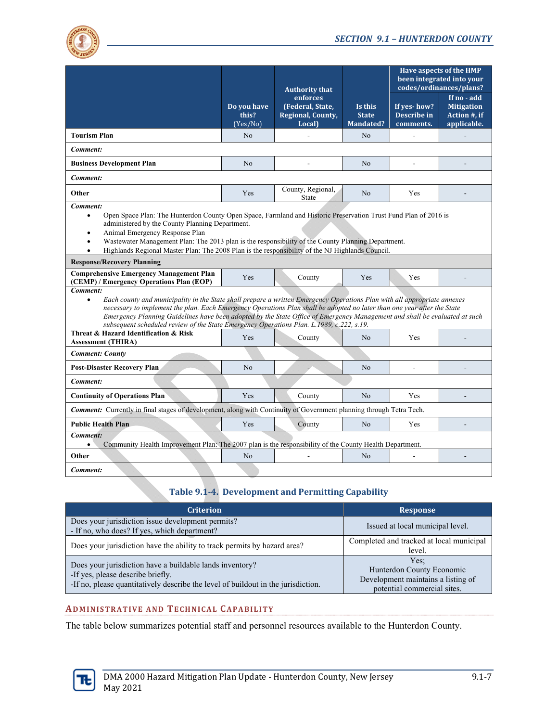

|                                                                                                                                                                                                                                                                                                                                                                                                                                                                                                        |                                  | <b>Authority that</b>                                       |                                             | <b>Have aspects of the HMP</b><br>been integrated into your<br>codes/ordinances/plans? |                                                                 |  |  |
|--------------------------------------------------------------------------------------------------------------------------------------------------------------------------------------------------------------------------------------------------------------------------------------------------------------------------------------------------------------------------------------------------------------------------------------------------------------------------------------------------------|----------------------------------|-------------------------------------------------------------|---------------------------------------------|----------------------------------------------------------------------------------------|-----------------------------------------------------------------|--|--|
|                                                                                                                                                                                                                                                                                                                                                                                                                                                                                                        | Do you have<br>this?<br>(Yes/No) | enforces<br>(Federal, State,<br>Regional, County,<br>Local) | Is this<br><b>State</b><br><b>Mandated?</b> | If yes-how?<br>Describe in<br>comments.                                                | If no - add<br><b>Mitigation</b><br>Action #, if<br>applicable. |  |  |
| <b>Tourism Plan</b>                                                                                                                                                                                                                                                                                                                                                                                                                                                                                    | N <sub>o</sub>                   | $\overline{a}$                                              | N <sub>o</sub>                              | ÷.                                                                                     |                                                                 |  |  |
| Comment:                                                                                                                                                                                                                                                                                                                                                                                                                                                                                               |                                  |                                                             |                                             |                                                                                        |                                                                 |  |  |
| <b>Business Development Plan</b>                                                                                                                                                                                                                                                                                                                                                                                                                                                                       | N <sub>o</sub>                   | $\overline{\phantom{a}}$                                    | N <sub>o</sub>                              | ÷,                                                                                     |                                                                 |  |  |
| Comment:                                                                                                                                                                                                                                                                                                                                                                                                                                                                                               |                                  |                                                             |                                             |                                                                                        |                                                                 |  |  |
| Other                                                                                                                                                                                                                                                                                                                                                                                                                                                                                                  | Yes                              | County, Regional,<br>State                                  | N <sub>o</sub>                              | Yes                                                                                    |                                                                 |  |  |
| Comment:<br>Open Space Plan: The Hunterdon County Open Space, Farmland and Historic Preservation Trust Fund Plan of 2016 is<br>$\bullet$<br>administered by the County Planning Department.<br>Animal Emergency Response Plan<br>Wastewater Management Plan: The 2013 plan is the responsibility of the County Planning Department.<br>$\bullet$<br>Highlands Regional Master Plan: The 2008 Plan is the responsibility of the NJ Highlands Council.<br>$\bullet$                                      |                                  |                                                             |                                             |                                                                                        |                                                                 |  |  |
| <b>Response/Recovery Planning</b>                                                                                                                                                                                                                                                                                                                                                                                                                                                                      |                                  |                                                             |                                             |                                                                                        |                                                                 |  |  |
| <b>Comprehensive Emergency Management Plan</b><br>(CEMP) / Emergency Operations Plan (EOP)                                                                                                                                                                                                                                                                                                                                                                                                             | Yes                              | County                                                      | Yes                                         | Yes                                                                                    |                                                                 |  |  |
| Comment:<br>Each county and municipality in the State shall prepare a written Emergency Operations Plan with all appropriate annexes<br>$\bullet$<br>necessary to implement the plan. Each Emergency Operations Plan shall be adopted no later than one year after the State<br>Emergency Planning Guidelines have been adopted by the State Office of Emergency Management and shall be evaluated at such<br>subsequent scheduled review of the State Emergency Operations Plan, L.1989, c.222, s.19. |                                  |                                                             |                                             |                                                                                        |                                                                 |  |  |
| Threat & Hazard Identification & Risk<br><b>Assessment (THIRA)</b>                                                                                                                                                                                                                                                                                                                                                                                                                                     | Yes                              | County                                                      | N <sub>o</sub>                              | Yes                                                                                    |                                                                 |  |  |
| <b>Comment: County</b>                                                                                                                                                                                                                                                                                                                                                                                                                                                                                 |                                  |                                                             |                                             |                                                                                        |                                                                 |  |  |
| <b>Post-Disaster Recovery Plan</b>                                                                                                                                                                                                                                                                                                                                                                                                                                                                     | N <sub>0</sub>                   |                                                             | N <sub>0</sub>                              |                                                                                        |                                                                 |  |  |
| Comment:                                                                                                                                                                                                                                                                                                                                                                                                                                                                                               |                                  |                                                             |                                             |                                                                                        |                                                                 |  |  |
| <b>Continuity of Operations Plan</b>                                                                                                                                                                                                                                                                                                                                                                                                                                                                   | Yes                              | County                                                      | N <sub>o</sub>                              | Yes                                                                                    |                                                                 |  |  |
| <b>Comment:</b> Currently in final stages of development, along with Continuity of Government planning through Tetra Tech.                                                                                                                                                                                                                                                                                                                                                                             |                                  |                                                             |                                             |                                                                                        |                                                                 |  |  |
| <b>Public Health Plan</b>                                                                                                                                                                                                                                                                                                                                                                                                                                                                              | Yes                              | County                                                      | N <sub>o</sub>                              | Yes                                                                                    |                                                                 |  |  |
| Comment:<br>Community Health Improvement Plan: The 2007 plan is the responsibility of the County Health Department.<br>$\bullet$                                                                                                                                                                                                                                                                                                                                                                       |                                  |                                                             |                                             |                                                                                        |                                                                 |  |  |
| Other                                                                                                                                                                                                                                                                                                                                                                                                                                                                                                  | N <sub>o</sub>                   |                                                             | N <sub>o</sub>                              |                                                                                        |                                                                 |  |  |
| Comment:                                                                                                                                                                                                                                                                                                                                                                                                                                                                                               |                                  |                                                             |                                             |                                                                                        |                                                                 |  |  |

# **Table 9.1‐4. Development and Permitting Capability**

| <b>Criterion</b>                                                                                                                                                                   | <b>Response</b>                                                                                        |
|------------------------------------------------------------------------------------------------------------------------------------------------------------------------------------|--------------------------------------------------------------------------------------------------------|
| Does your jurisdiction issue development permits?<br>- If no, who does? If yes, which department?                                                                                  | Issued at local municipal level.                                                                       |
| Does your jurisdiction have the ability to track permits by hazard area?                                                                                                           | Completed and tracked at local municipal<br>level.                                                     |
| Does your jurisdiction have a buildable lands inventory?<br>-If yes, please describe briefly.<br>-If no, please quantitatively describe the level of buildout in the jurisdiction. | Yes:<br>Hunterdon County Economic<br>Development maintains a listing of<br>potential commercial sites. |

#### **ADMINISTRATIVE AND TECHNICAL CAPABILITY**

The table below summarizes potential staff and personnel resources available to the Hunterdon County.

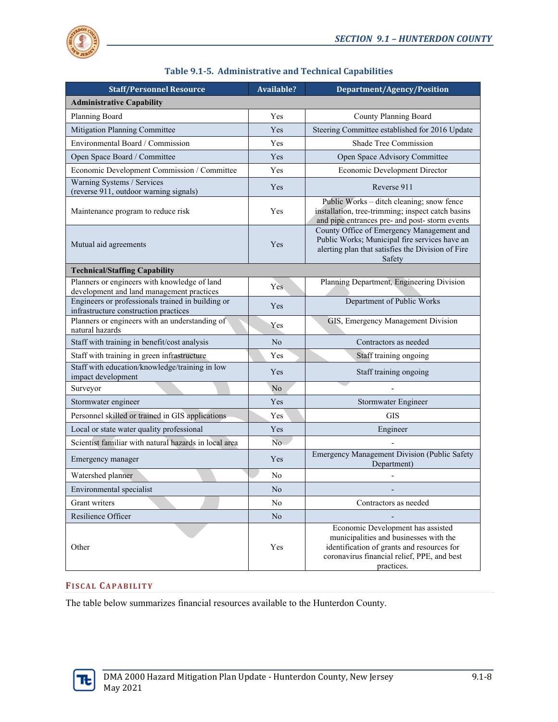

| <b>Staff/Personnel Resource</b>                                                            | <b>Available?</b> | <b>Department/Agency/Position</b>                                                                                                                                                      |
|--------------------------------------------------------------------------------------------|-------------------|----------------------------------------------------------------------------------------------------------------------------------------------------------------------------------------|
| <b>Administrative Capability</b>                                                           |                   |                                                                                                                                                                                        |
| Planning Board                                                                             | Yes               | County Planning Board                                                                                                                                                                  |
| Mitigation Planning Committee                                                              | Yes               | Steering Committee established for 2016 Update                                                                                                                                         |
| Environmental Board / Commission                                                           | Yes               | Shade Tree Commission                                                                                                                                                                  |
| Open Space Board / Committee                                                               | Yes               | Open Space Advisory Committee                                                                                                                                                          |
| Economic Development Commission / Committee                                                | Yes               | Economic Development Director                                                                                                                                                          |
| Warning Systems / Services<br>(reverse 911, outdoor warning signals)                       | Yes               | Reverse 911                                                                                                                                                                            |
| Maintenance program to reduce risk                                                         | Yes               | Public Works - ditch cleaning; snow fence<br>installation, tree-trimming; inspect catch basins<br>and pipe entrances pre- and post- storm events                                       |
| Mutual aid agreements                                                                      | Yes               | County Office of Emergency Management and<br>Public Works; Municipal fire services have an<br>alerting plan that satisfies the Division of Fire<br>Safety                              |
| <b>Technical/Staffing Capability</b>                                                       |                   |                                                                                                                                                                                        |
| Planners or engineers with knowledge of land<br>development and land management practices  | Yes               | Planning Department, Engineering Division                                                                                                                                              |
| Engineers or professionals trained in building or<br>infrastructure construction practices | Yes               | Department of Public Works                                                                                                                                                             |
| Planners or engineers with an understanding of<br>natural hazards                          | Yes               | GIS, Emergency Management Division                                                                                                                                                     |
| Staff with training in benefit/cost analysis                                               | No                | Contractors as needed                                                                                                                                                                  |
| Staff with training in green infrastructure                                                | Yes               | Staff training ongoing                                                                                                                                                                 |
| Staff with education/knowledge/training in low<br>impact development                       | <b>Yes</b>        | Staff training ongoing                                                                                                                                                                 |
| Surveyor                                                                                   | No                |                                                                                                                                                                                        |
| Stormwater engineer                                                                        | Yes               | Stormwater Engineer                                                                                                                                                                    |
| Personnel skilled or trained in GIS applications                                           | Yes               | GIS                                                                                                                                                                                    |
| Local or state water quality professional                                                  | Yes               | Engineer                                                                                                                                                                               |
| Scientist familiar with natural hazards in local area                                      | No.               |                                                                                                                                                                                        |
| Emergency manager                                                                          | Yes               | <b>Emergency Management Division (Public Safety</b><br>Department)                                                                                                                     |
| Watershed planner                                                                          | No                |                                                                                                                                                                                        |
| Environmental specialist                                                                   | No                |                                                                                                                                                                                        |
| Grant writers                                                                              | No                | Contractors as needed                                                                                                                                                                  |
| Resilience Officer                                                                         | No                |                                                                                                                                                                                        |
| Other                                                                                      | Yes               | Economic Development has assisted<br>municipalities and businesses with the<br>identification of grants and resources for<br>coronavirus financial relief, PPE, and best<br>practices. |

# **Table 9.1‐5. Administrative and Technical Capabilities**

### **FISCAL CAPABILITY**

The table below summarizes financial resources available to the Hunterdon County.

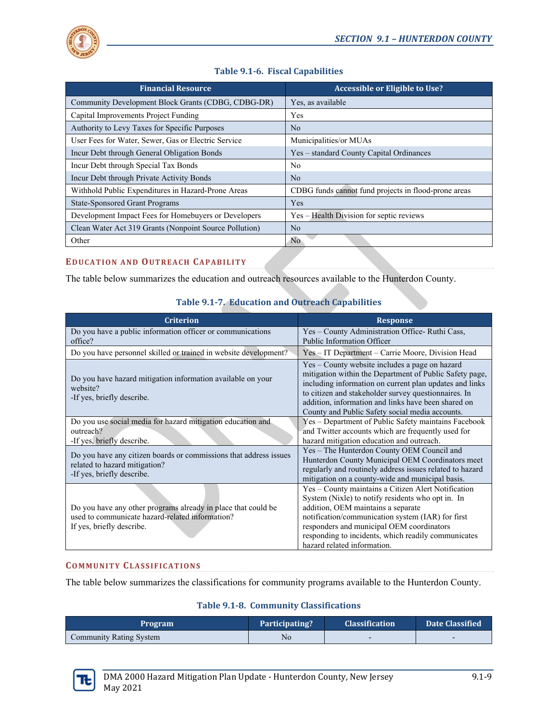

| <b>Financial Resource</b>                              | Accessible or Eligible to Use?                       |
|--------------------------------------------------------|------------------------------------------------------|
| Community Development Block Grants (CDBG, CDBG-DR)     | Yes, as available                                    |
| Capital Improvements Project Funding                   | Yes                                                  |
| Authority to Levy Taxes for Specific Purposes          | No.                                                  |
| User Fees for Water, Sewer, Gas or Electric Service    | Municipalities/or MUAs                               |
| Incur Debt through General Obligation Bonds            | Yes – standard County Capital Ordinances             |
| Incur Debt through Special Tax Bonds                   | No.                                                  |
| Incur Debt through Private Activity Bonds              | No.                                                  |
| Withhold Public Expenditures in Hazard-Prone Areas     | CDBG funds cannot fund projects in flood-prone areas |
| <b>State-Sponsored Grant Programs</b>                  | Yes                                                  |
| Development Impact Fees for Homebuyers or Developers   | Yes – Health Division for septic reviews             |
| Clean Water Act 319 Grants (Nonpoint Source Pollution) | No.                                                  |
| Other                                                  | No                                                   |

# **Table 9.1‐6. Fiscal Capabilities**

# **EDUCATION AND OUTREACH CAPABILITY**

The table below summarizes the education and outreach resources available to the Hunterdon County.

# **Table 9.1‐7. Education and Outreach Capabilities**

| <b>Criterion</b>                                                                                                                              | <b>Response</b>                                                                                                                                                                                                                                                                                                                        |
|-----------------------------------------------------------------------------------------------------------------------------------------------|----------------------------------------------------------------------------------------------------------------------------------------------------------------------------------------------------------------------------------------------------------------------------------------------------------------------------------------|
| Do you have a public information officer or communications<br>office?                                                                         | Yes - County Administration Office-Ruthi Cass,<br>Public Information Officer                                                                                                                                                                                                                                                           |
| Do you have personnel skilled or trained in website development?                                                                              | Yes – IT Department – Carrie Moore, Division Head                                                                                                                                                                                                                                                                                      |
| Do you have hazard mitigation information available on your<br>website?<br>-If yes, briefly describe.                                         | Yes – County website includes a page on hazard<br>mitigation within the Department of Public Safety page,<br>including information on current plan updates and links<br>to citizen and stakeholder survey questionnaires. In<br>addition, information and links have been shared on<br>County and Public Safety social media accounts. |
| Do you use social media for hazard mitigation education and<br>outreach?<br>-If yes, briefly describe.                                        | Yes - Department of Public Safety maintains Facebook<br>and Twitter accounts which are frequently used for<br>hazard mitigation education and outreach.                                                                                                                                                                                |
| Do you have any citizen boards or commissions that address issues<br>related to hazard mitigation?<br>-If yes, briefly describe.              | Yes – The Hunterdon County OEM Council and<br>Hunterdon County Municipal OEM Coordinators meet<br>regularly and routinely address issues related to hazard<br>mitigation on a county-wide and municipal basis.                                                                                                                         |
| Do you have any other programs already in place that could be<br>used to communicate hazard-related information?<br>If yes, briefly describe. | Yes - County maintains a Citizen Alert Notification<br>System (Nixle) to notify residents who opt in. In<br>addition, OEM maintains a separate<br>notification/communication system (IAR) for first<br>responders and municipal OEM coordinators<br>responding to incidents, which readily communicates<br>hazard related information. |

#### **COMMUNITY CLASSIFICATIONS**

The table below summarizes the classifications for community programs available to the Hunterdon County.

### **Table 9.1‐8. Community Classifications**

| <b>Program</b>                 | Participating? | <b>Classification</b> | Date Classified |
|--------------------------------|----------------|-----------------------|-----------------|
| <b>Community Rating System</b> | No             |                       |                 |

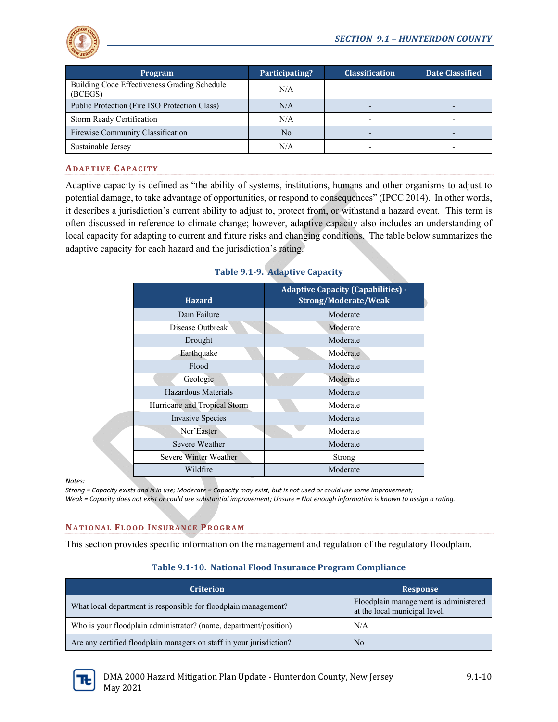

| <b>Program</b>                                          | Participating? | <b>Classification</b>    | <b>Date Classified</b> |
|---------------------------------------------------------|----------------|--------------------------|------------------------|
| Building Code Effectiveness Grading Schedule<br>(BCEGS) | N/A            |                          |                        |
| Public Protection (Fire ISO Protection Class)           | N/A            |                          |                        |
| Storm Ready Certification                               | N/A            | $\overline{\phantom{0}}$ |                        |
| Firewise Community Classification                       | N <sub>0</sub> |                          |                        |
| Sustainable Jersey                                      | N/A            |                          |                        |

#### **ADAPTIVE CAPACITY**

Adaptive capacity is defined as "the ability of systems, institutions, humans and other organisms to adjust to potential damage, to take advantage of opportunities, or respond to consequences" (IPCC 2014). In other words, it describes a jurisdiction's current ability to adjust to, protect from, or withstand a hazard event. This term is often discussed in reference to climate change; however, adaptive capacity also includes an understanding of local capacity for adapting to current and future risks and changing conditions. The table below summarizes the adaptive capacity for each hazard and the jurisdiction's rating.

| <b>Hazard</b>                | <b>Adaptive Capacity (Capabilities) -</b><br>Strong/Moderate/Weak |
|------------------------------|-------------------------------------------------------------------|
| Dam Failure                  | Moderate                                                          |
| Disease Outbreak             | Moderate                                                          |
| Drought                      | Moderate                                                          |
| Earthquake                   | Moderate                                                          |
| Flood                        | Moderate                                                          |
| Geologic                     | Moderate                                                          |
| Hazardous Materials          | Moderate                                                          |
| Hurricane and Tropical Storm | Moderate                                                          |
| <b>Invasive Species</b>      | Moderate                                                          |
| Nor'Easter                   | Moderate                                                          |
| Severe Weather               | Moderate                                                          |
| Severe Winter Weather        | Strong                                                            |
| Wildfire                     | Moderate                                                          |

# **Table 9.1‐9. Adaptive Capacity**

*Notes:*

Strong = Capacity exists and is in use; Moderate = Capacity may exist, but is not used or could use some improvement; Weak = Capacity does not exist or could use substantial improvement; Unsure = Not enough information is known to assign a rating.

### **NATIONAL FLOOD INSURANCE PROGRAM**

This section provides specific information on the management and regulation of the regulatory floodplain.

#### **Table 9.1‐10. National Flood Insurance Program Compliance**

| <b>Criterion</b>                                                     | Response                                                               |
|----------------------------------------------------------------------|------------------------------------------------------------------------|
| What local department is responsible for floodplain management?      | Floodplain management is administered<br>at the local municipal level. |
| Who is your floodplain administrator? (name, department/position)    | N/A                                                                    |
| Are any certified floodplain managers on staff in your jurisdiction? | No                                                                     |

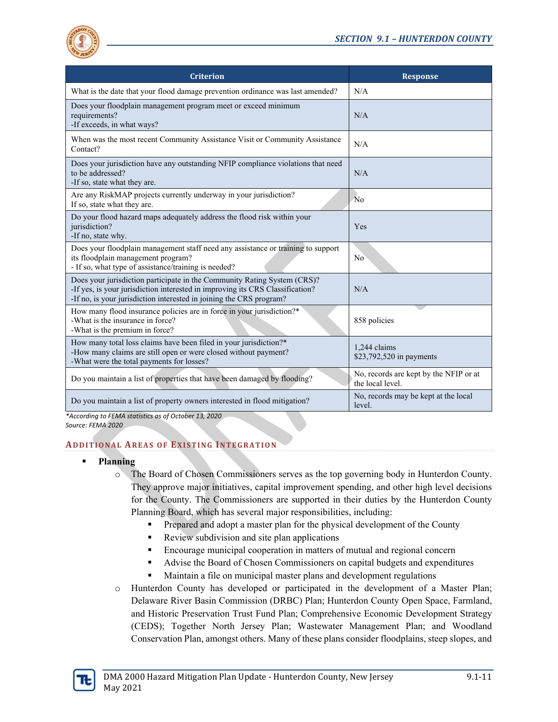

| <b>Criterion</b>                                                                                                                                                                                                                 | <b>Response</b>                                            |
|----------------------------------------------------------------------------------------------------------------------------------------------------------------------------------------------------------------------------------|------------------------------------------------------------|
| What is the date that your flood damage prevention ordinance was last amended?                                                                                                                                                   | N/A                                                        |
| Does your floodplain management program meet or exceed minimum<br>requirements?<br>-If exceeds, in what ways?                                                                                                                    | N/A                                                        |
| When was the most recent Community Assistance Visit or Community Assistance<br>Contact?                                                                                                                                          | N/A                                                        |
| Does your jurisdiction have any outstanding NFIP compliance violations that need<br>to be addressed?<br>-If so, state what they are.                                                                                             | N/A                                                        |
| Are any RiskMAP projects currently underway in your jurisdiction?<br>If so, state what they are.                                                                                                                                 | No                                                         |
| Do your flood hazard maps adequately address the flood risk within your<br>jurisdiction?<br>-If no, state why.                                                                                                                   | Yes                                                        |
| Does your floodplain management staff need any assistance or training to support<br>its floodplain management program?<br>- If so, what type of assistance/training is needed?                                                   | No                                                         |
| Does your jurisdiction participate in the Community Rating System (CRS)?<br>-If yes, is your jurisdiction interested in improving its CRS Classification?<br>-If no, is your jurisdiction interested in joining the CRS program? | N/A                                                        |
| How many flood insurance policies are in force in your jurisdiction?*<br>-What is the insurance in force?<br>-What is the premium in force?                                                                                      | 858 policies                                               |
| How many total loss claims have been filed in your jurisdiction?*<br>-How many claims are still open or were closed without payment?<br>-What were the total payments for losses?                                                | 1,244 claims<br>\$23,792,520 in payments                   |
| Do you maintain a list of properties that have been damaged by flooding?                                                                                                                                                         | No, records are kept by the NFIP or at<br>the local level. |
| Do you maintain a list of property owners interested in flood mitigation?                                                                                                                                                        | No, records may be kept at the local<br>level.             |

*\*According to FEMA statistics as of October 13, 2020 Source: FEMA 2020*

# **ADDITIONAL AREAS OF EXISTING INTEGRATION**

- **Planning** 
	- o The Board of Chosen Commissioners serves as the top governing body in Hunterdon County. They approve major initiatives, capital improvement spending, and other high level decisions for the County. The Commissioners are supported in their duties by the Hunterdon County Planning Board, which has several major responsibilities, including:
		- Prepared and adopt a master plan for the physical development of the County
		- Review subdivision and site plan applications
		- **Encourage municipal cooperation in matters of mutual and regional concern**
		- Advise the Board of Chosen Commissioners on capital budgets and expenditures
		- Maintain a file on municipal master plans and development regulations
	- o Hunterdon County has developed or participated in the development of a Master Plan; Delaware River Basin Commission (DRBC) Plan; Hunterdon County Open Space, Farmland, and Historic Preservation Trust Fund Plan; Comprehensive Economic Development Strategy (CEDS); Together North Jersey Plan; Wastewater Management Plan; and Woodland Conservation Plan, amongst others. Many of these plans consider floodplains, steep slopes, and

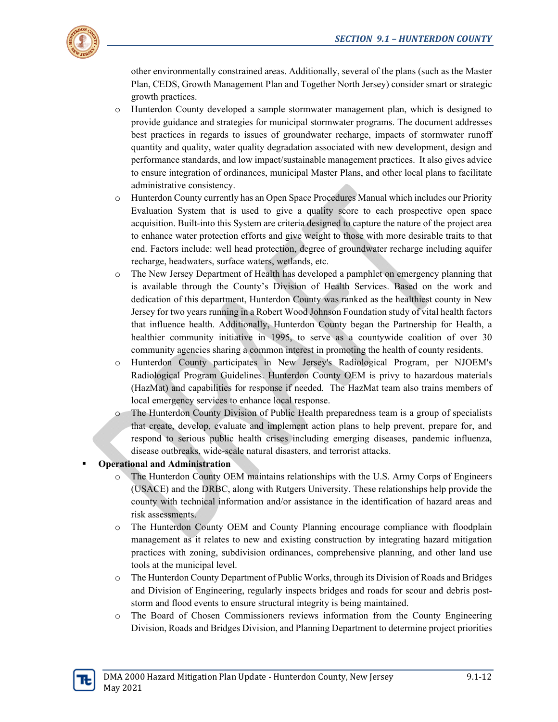

other environmentally constrained areas. Additionally, several of the plans (such as the Master Plan, CEDS, Growth Management Plan and Together North Jersey) consider smart or strategic growth practices.

- o Hunterdon County developed a sample stormwater management plan, which is designed to provide guidance and strategies for municipal stormwater programs. The document addresses best practices in regards to issues of groundwater recharge, impacts of stormwater runoff quantity and quality, water quality degradation associated with new development, design and performance standards, and low impact/sustainable management practices. It also gives advice to ensure integration of ordinances, municipal Master Plans, and other local plans to facilitate administrative consistency.
- o Hunterdon County currently has an Open Space Procedures Manual which includes our Priority Evaluation System that is used to give a quality score to each prospective open space acquisition. Built-into this System are criteria designed to capture the nature of the project area to enhance water protection efforts and give weight to those with more desirable traits to that end. Factors include: well head protection, degree of groundwater recharge including aquifer recharge, headwaters, surface waters, wetlands, etc.
- o The New Jersey Department of Health has developed a pamphlet on emergency planning that is available through the County's Division of Health Services. Based on the work and dedication of this department, Hunterdon County was ranked as the healthiest county in New Jersey for two years running in a Robert Wood Johnson Foundation study of vital health factors that influence health. Additionally, Hunterdon County began the Partnership for Health, a healthier community initiative in 1995, to serve as a countywide coalition of over 30 community agencies sharing a common interest in promoting the health of county residents.
- o Hunterdon County participates in New Jersey's Radiological Program, per NJOEM's Radiological Program Guidelines. Hunterdon County OEM is privy to hazardous materials (HazMat) and capabilities for response if needed. The HazMat team also trains members of local emergency services to enhance local response.
- o The Hunterdon County Division of Public Health preparedness team is a group of specialists that create, develop, evaluate and implement action plans to help prevent, prepare for, and respond to serious public health crises including emerging diseases, pandemic influenza, disease outbreaks, wide-scale natural disasters, and terrorist attacks.

# **Operational and Administration**

- o The Hunterdon County OEM maintains relationships with the U.S. Army Corps of Engineers (USACE) and the DRBC, along with Rutgers University. These relationships help provide the county with technical information and/or assistance in the identification of hazard areas and risk assessments.
- o The Hunterdon County OEM and County Planning encourage compliance with floodplain management as it relates to new and existing construction by integrating hazard mitigation practices with zoning, subdivision ordinances, comprehensive planning, and other land use tools at the municipal level.
- o The Hunterdon County Department of Public Works, through its Division of Roads and Bridges and Division of Engineering, regularly inspects bridges and roads for scour and debris poststorm and flood events to ensure structural integrity is being maintained.
- o The Board of Chosen Commissioners reviews information from the County Engineering Division, Roads and Bridges Division, and Planning Department to determine project priorities

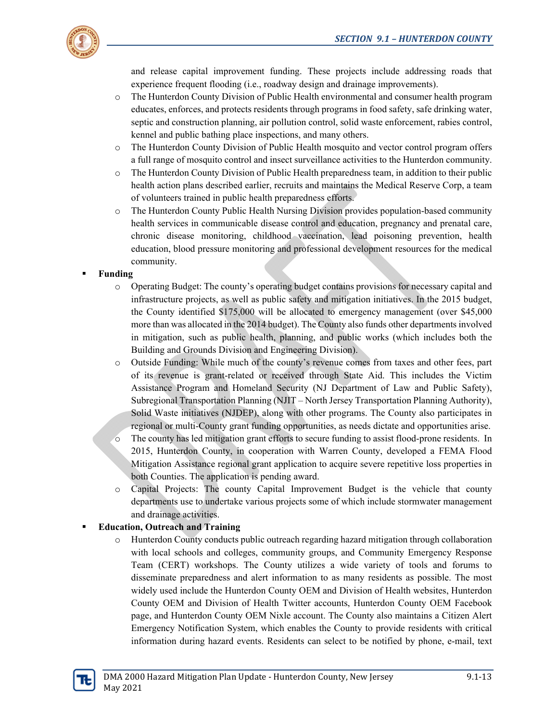

and release capital improvement funding. These projects include addressing roads that experience frequent flooding (i.e., roadway design and drainage improvements).

- o The Hunterdon County Division of Public Health environmental and consumer health program educates, enforces, and protects residents through programs in food safety, safe drinking water, septic and construction planning, air pollution control, solid waste enforcement, rabies control, kennel and public bathing place inspections, and many others.
- o The Hunterdon County Division of Public Health mosquito and vector control program offers a full range of mosquito control and insect surveillance activities to the Hunterdon community.
- o The Hunterdon County Division of Public Health preparedness team, in addition to their public health action plans described earlier, recruits and maintains the Medical Reserve Corp, a team of volunteers trained in public health preparedness efforts.
- o The Hunterdon County Public Health Nursing Division provides population-based community health services in communicable disease control and education, pregnancy and prenatal care, chronic disease monitoring, childhood vaccination, lead poisoning prevention, health education, blood pressure monitoring and professional development resources for the medical community.

# **Funding**

- o Operating Budget: The county's operating budget contains provisions for necessary capital and infrastructure projects, as well as public safety and mitigation initiatives. In the 2015 budget, the County identified \$175,000 will be allocated to emergency management (over \$45,000 more than was allocated in the 2014 budget). The County also funds other departments involved in mitigation, such as public health, planning, and public works (which includes both the Building and Grounds Division and Engineering Division).
- o Outside Funding: While much of the county's revenue comes from taxes and other fees, part of its revenue is grant-related or received through State Aid. This includes the Victim Assistance Program and Homeland Security (NJ Department of Law and Public Safety), Subregional Transportation Planning (NJIT – North Jersey Transportation Planning Authority), Solid Waste initiatives (NJDEP), along with other programs. The County also participates in regional or multi-County grant funding opportunities, as needs dictate and opportunities arise.
- o The county has led mitigation grant efforts to secure funding to assist flood-prone residents. In 2015, Hunterdon County, in cooperation with Warren County, developed a FEMA Flood Mitigation Assistance regional grant application to acquire severe repetitive loss properties in both Counties. The application is pending award.
- o Capital Projects: The county Capital Improvement Budget is the vehicle that county departments use to undertake various projects some of which include stormwater management and drainage activities.

# **Education, Outreach and Training**

o Hunterdon County conducts public outreach regarding hazard mitigation through collaboration with local schools and colleges, community groups, and Community Emergency Response Team (CERT) workshops. The County utilizes a wide variety of tools and forums to disseminate preparedness and alert information to as many residents as possible. The most widely used include the Hunterdon County OEM and Division of Health websites, Hunterdon County OEM and Division of Health Twitter accounts, Hunterdon County OEM Facebook page, and Hunterdon County OEM Nixle account. The County also maintains a Citizen Alert Emergency Notification System, which enables the County to provide residents with critical information during hazard events. Residents can select to be notified by phone, e-mail, text

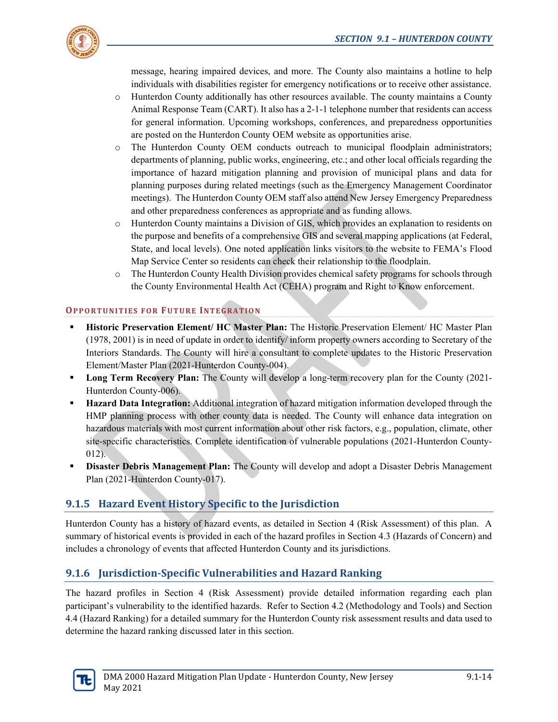

message, hearing impaired devices, and more. The County also maintains a hotline to help individuals with disabilities register for emergency notifications or to receive other assistance.

- o Hunterdon County additionally has other resources available. The county maintains a County Animal Response Team (CART). It also has a 2-1-1 telephone number that residents can access for general information. Upcoming workshops, conferences, and preparedness opportunities are posted on the Hunterdon County OEM website as opportunities arise.
- o The Hunterdon County OEM conducts outreach to municipal floodplain administrators; departments of planning, public works, engineering, etc.; and other local officials regarding the importance of hazard mitigation planning and provision of municipal plans and data for planning purposes during related meetings (such as the Emergency Management Coordinator meetings). The Hunterdon County OEM staff also attend New Jersey Emergency Preparedness and other preparedness conferences as appropriate and as funding allows.
- o Hunterdon County maintains a Division of GIS, which provides an explanation to residents on the purpose and benefits of a comprehensive GIS and several mapping applications (at Federal, State, and local levels). One noted application links visitors to the website to FEMA's Flood Map Service Center so residents can check their relationship to the floodplain.
- o The Hunterdon County Health Division provides chemical safety programs for schools through the County Environmental Health Act (CEHA) program and Right to Know enforcement.

# **OPPORTUNITIES FOR FUTURE INTEGRATION**

- **Historic Preservation Element/ HC Master Plan:** The Historic Preservation Element/ HC Master Plan (1978, 2001) is in need of update in order to identify/ inform property owners according to Secretary of the Interiors Standards. The County will hire a consultant to complete updates to the Historic Preservation Element/Master Plan (2021-Hunterdon County-004).
- **Long Term Recovery Plan:** The County will develop a long-term recovery plan for the County (2021-Hunterdon County-006).
- **Hazard Data Integration:** Additional integration of hazard mitigation information developed through the HMP planning process with other county data is needed. The County will enhance data integration on hazardous materials with most current information about other risk factors, e.g., population, climate, other site-specific characteristics. Complete identification of vulnerable populations (2021-Hunterdon County-012).
- **Disaster Debris Management Plan:** The County will develop and adopt a Disaster Debris Management Plan (2021-Hunterdon County-017).

# **9.1.5 Hazard Event History Specific to the Jurisdiction**

Hunterdon County has a history of hazard events, as detailed in Section 4 (Risk Assessment) of this plan. A summary of historical events is provided in each of the hazard profiles in Section 4.3 (Hazards of Concern) and includes a chronology of events that affected Hunterdon County and its jurisdictions.

# **9.1.6 Jurisdiction‐Specific Vulnerabilities and Hazard Ranking**

The hazard profiles in Section 4 (Risk Assessment) provide detailed information regarding each plan participant's vulnerability to the identified hazards. Refer to Section 4.2 (Methodology and Tools) and Section 4.4 (Hazard Ranking) for a detailed summary for the Hunterdon County risk assessment results and data used to determine the hazard ranking discussed later in this section.

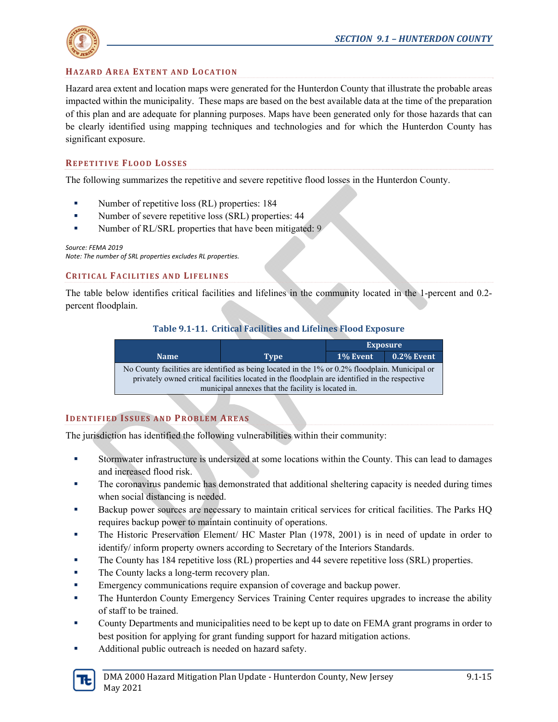

# **HAZARD AREA EXTENT AND LOCATION**

Hazard area extent and location maps were generated for the Hunterdon County that illustrate the probable areas impacted within the municipality. These maps are based on the best available data at the time of the preparation of this plan and are adequate for planning purposes. Maps have been generated only for those hazards that can be clearly identified using mapping techniques and technologies and for which the Hunterdon County has significant exposure.

#### **REPETITIVE FLOOD LOSSES**

The following summarizes the repetitive and severe repetitive flood losses in the Hunterdon County.

- Number of repetitive loss (RL) properties: 184
- Number of severe repetitive loss (SRL) properties: 44
- Number of RL/SRL properties that have been mitigated: 9

#### *Source: FEMA 2019*

*Note: The number of SRL properties excludes RL properties.*

#### **CRITICAL FACILITIES AND LIFELINES**

The table below identifies critical facilities and lifelines in the community located in the 1-percent and 0.2 percent floodplain.

#### **Table 9.1‐11. Critical Facilities and Lifelines Flood Exposure**

|             |                                                                                                                                                                                                                                                         | <b>Exposure</b> |               |  |  |
|-------------|---------------------------------------------------------------------------------------------------------------------------------------------------------------------------------------------------------------------------------------------------------|-----------------|---------------|--|--|
| <b>Name</b> | <b>Type</b>                                                                                                                                                                                                                                             | 1% Event        | $0.2\%$ Event |  |  |
|             | No County facilities are identified as being located in the 1% or 0.2% floodplain. Municipal or<br>privately owned critical facilities located in the floodplain are identified in the respective<br>municipal annexes that the facility is located in. |                 |               |  |  |

### **IDENTIFIED ISSUES AND PROBLEM AREAS**

The jurisdiction has identified the following vulnerabilities within their community:

- Stormwater infrastructure is undersized at some locations within the County. This can lead to damages and increased flood risk.
- The coronavirus pandemic has demonstrated that additional sheltering capacity is needed during times when social distancing is needed.
- Backup power sources are necessary to maintain critical services for critical facilities. The Parks HQ requires backup power to maintain continuity of operations.
- The Historic Preservation Element/ HC Master Plan (1978, 2001) is in need of update in order to identify/ inform property owners according to Secretary of the Interiors Standards.
- The County has 184 repetitive loss (RL) properties and 44 severe repetitive loss (SRL) properties.
- **The County lacks a long-term recovery plan.**
- **Emergency communications require expansion of coverage and backup power.**
- **The Hunterdon County Emergency Services Training Center requires upgrades to increase the ability** of staff to be trained.
- County Departments and municipalities need to be kept up to date on FEMA grant programs in order to best position for applying for grant funding support for hazard mitigation actions.
- Additional public outreach is needed on hazard safety.

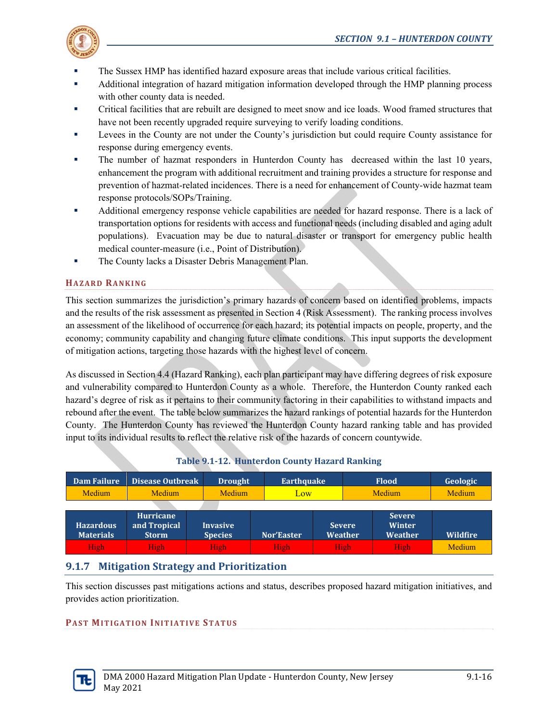

- The Sussex HMP has identified hazard exposure areas that include various critical facilities.
- Additional integration of hazard mitigation information developed through the HMP planning process with other county data is needed.
- Critical facilities that are rebuilt are designed to meet snow and ice loads. Wood framed structures that have not been recently upgraded require surveying to verify loading conditions.
- Levees in the County are not under the County's jurisdiction but could require County assistance for response during emergency events.
- The number of hazmat responders in Hunterdon County has decreased within the last 10 years, enhancement the program with additional recruitment and training provides a structure for response and prevention of hazmat-related incidences. There is a need for enhancement of County-wide hazmat team response protocols/SOPs/Training.
- Additional emergency response vehicle capabilities are needed for hazard response. There is a lack of transportation options for residents with access and functional needs (including disabled and aging adult populations). Evacuation may be due to natural disaster or transport for emergency public health medical counter-measure (i.e., Point of Distribution).
- The County lacks a Disaster Debris Management Plan.

# **HAZARD RANKING**

This section summarizes the jurisdiction's primary hazards of concern based on identified problems, impacts and the results of the risk assessment as presented in Section 4 (Risk Assessment). The ranking process involves an assessment of the likelihood of occurrence for each hazard; its potential impacts on people, property, and the economy; community capability and changing future climate conditions. This input supports the development of mitigation actions, targeting those hazards with the highest level of concern.

As discussed in Section 4.4 (Hazard Ranking), each plan participant may have differing degrees of risk exposure and vulnerability compared to Hunterdon County as a whole. Therefore, the Hunterdon County ranked each hazard's degree of risk as it pertains to their community factoring in their capabilities to withstand impacts and rebound after the event. The table below summarizes the hazard rankings of potential hazards for the Hunterdon County. The Hunterdon County has reviewed the Hunterdon County hazard ranking table and has provided input to its individual results to reflect the relative risk of the hazards of concern countywide.

| Dam Failure                          | <b>Disease Outbreak</b>                          | <b>Drought</b>                    | Earthquake |     |                                 | <b>Flood</b><br>Geologic                  |                 |  |
|--------------------------------------|--------------------------------------------------|-----------------------------------|------------|-----|---------------------------------|-------------------------------------------|-----------------|--|
| Medium                               | Medium                                           | Medium                            |            | Low |                                 | Medium                                    | Medium          |  |
|                                      |                                                  |                                   |            |     |                                 |                                           |                 |  |
| <b>Hazardous</b><br><b>Materials</b> | <b>Hurricane</b><br>and Tropical<br><b>Storm</b> | <b>Invasive</b><br><b>Species</b> | Nor'Easter |     | <b>Severe</b><br><b>Weather</b> | <b>Severe</b><br><b>Winter</b><br>Weather | <b>Wildfire</b> |  |
| <b>High</b>                          | High <sub>1</sub>                                | High                              | High       |     | High                            | High                                      | Medium          |  |

# **Table 9.1-12. Hunterdon County Hazard Ranking**

# **9.1.7 Mitigation Strategy and Prioritization**

This section discusses past mitigations actions and status, describes proposed hazard mitigation initiatives, and provides action prioritization.

# **PAST MITIGATION INITIATIVE STATUS**

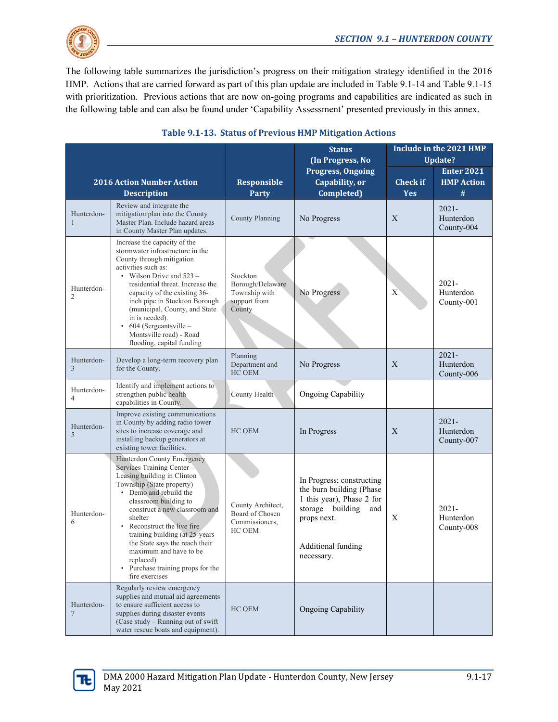

The following table summarizes the jurisdiction's progress on their mitigation strategy identified in the 2016 HMP. Actions that are carried forward as part of this plan update are included in Table 9.1-14 and Table 9.1-15 with prioritization. Previous actions that are now on-going programs and capabilities are indicated as such in the following table and can also be found under 'Capability Assessment' presented previously in this annex.

|                              |                                                                                                                                                                                                                                                                                                                                                                                                                                |                                                                         | <b>Status</b><br>(In Progress, No                                                                                                                                   | Include in the 2021 HMP<br>Update? |                                             |  |
|------------------------------|--------------------------------------------------------------------------------------------------------------------------------------------------------------------------------------------------------------------------------------------------------------------------------------------------------------------------------------------------------------------------------------------------------------------------------|-------------------------------------------------------------------------|---------------------------------------------------------------------------------------------------------------------------------------------------------------------|------------------------------------|---------------------------------------------|--|
|                              | <b>2016 Action Number Action</b><br><b>Description</b>                                                                                                                                                                                                                                                                                                                                                                         | <b>Responsible</b><br>Party                                             | <b>Progress, Ongoing</b><br>Capability, or<br>Completed)                                                                                                            | <b>Check if</b><br><b>Yes</b>      | <b>Enter 2021</b><br><b>HMP Action</b><br># |  |
| Hunterdon-<br>1              | Review and integrate the<br>mitigation plan into the County<br>Master Plan. Include hazard areas<br>in County Master Plan updates.                                                                                                                                                                                                                                                                                             | <b>County Planning</b>                                                  | No Progress                                                                                                                                                         | X                                  | $2021 -$<br>Hunterdon<br>County-004         |  |
| Hunterdon-<br>$\overline{2}$ | Increase the capacity of the<br>stormwater infrastructure in the<br>County through mitigation<br>activities such as:<br>• Wilson Drive and $523 -$<br>residential threat. Increase the<br>capacity of the existing 36-<br>inch pipe in Stockton Borough<br>(municipal, County, and State<br>in is needed).<br>604 (Sergeantsville -<br>Montsville road) - Road<br>flooding, capital funding                                    | Stockton<br>Borough/Delaware<br>Township with<br>support from<br>County | No Progress                                                                                                                                                         | X                                  | $2021 -$<br>Hunterdon<br>County-001         |  |
| Hunterdon-<br>3              | Develop a long-term recovery plan<br>for the County.                                                                                                                                                                                                                                                                                                                                                                           | Planning<br>Department and<br>HC OEM                                    | No Progress                                                                                                                                                         | X                                  | $2021 -$<br>Hunterdon<br>County-006         |  |
| Hunterdon-<br>$\overline{4}$ | Identify and implement actions to<br>strengthen public health<br>capabilities in County.                                                                                                                                                                                                                                                                                                                                       | County Health                                                           | <b>Ongoing Capability</b>                                                                                                                                           |                                    |                                             |  |
| Hunterdon-<br>5              | Improve existing communications<br>in County by adding radio tower<br>sites to increase coverage and<br>installing backup generators at<br>existing tower facilities.                                                                                                                                                                                                                                                          | HC OEM                                                                  | In Progress                                                                                                                                                         | X                                  | $2021 -$<br>Hunterdon<br>County-007         |  |
| Hunterdon-<br>6              | Hunterdon County Emergency<br>Services Training Center-<br>Leasing building in Clinton<br>Township (State property)<br>• Demo and rebuild the<br>classroom building to<br>construct a new classroom and<br>shelter<br>Reconstruct the live fire<br>$\bullet$<br>training building (at 25-years<br>the State says the reach their<br>maximum and have to be<br>replaced)<br>• Purchase training props for the<br>fire exercises | County Architect,<br>Board of Chosen<br>Commissioners,<br>HC OEM        | In Progress; constructing<br>the burn building (Phase<br>1 this year), Phase 2 for<br>storage<br>building<br>and<br>props next.<br>Additional funding<br>necessary. | X                                  | $2021 -$<br>Hunterdon<br>County-008         |  |
| Hunterdon-<br>7              | Regularly review emergency<br>supplies and mutual aid agreements<br>to ensure sufficient access to<br>supplies during disaster events<br>(Case study - Running out of swift<br>water rescue boats and equipment).                                                                                                                                                                                                              | HC OEM                                                                  | <b>Ongoing Capability</b>                                                                                                                                           |                                    |                                             |  |

# **Table 9.1‐13. Status of Previous HMP Mitigation Actions**

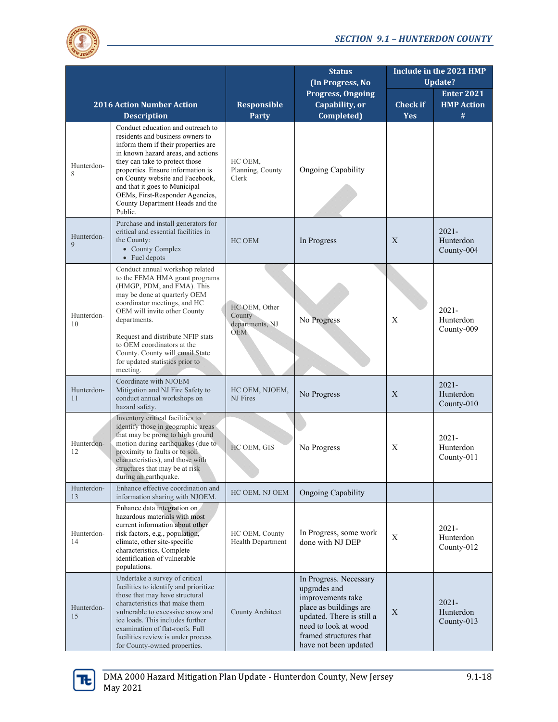

|                            |                                                                                                                                                                                                                                                                                                                                                                                |                                                          | <b>Status</b><br>(In Progress, No                                                                                                                                                             | Include in the 2021 HMP<br><b>Update?</b> |                                     |  |
|----------------------------|--------------------------------------------------------------------------------------------------------------------------------------------------------------------------------------------------------------------------------------------------------------------------------------------------------------------------------------------------------------------------------|----------------------------------------------------------|-----------------------------------------------------------------------------------------------------------------------------------------------------------------------------------------------|-------------------------------------------|-------------------------------------|--|
|                            |                                                                                                                                                                                                                                                                                                                                                                                |                                                          | <b>Progress, Ongoing</b>                                                                                                                                                                      |                                           | <b>Enter 2021</b>                   |  |
|                            | <b>2016 Action Number Action</b>                                                                                                                                                                                                                                                                                                                                               | Responsible                                              | Capability, or                                                                                                                                                                                | <b>Check if</b>                           | <b>HMP Action</b>                   |  |
|                            | <b>Description</b>                                                                                                                                                                                                                                                                                                                                                             | <b>Party</b>                                             | Completed)                                                                                                                                                                                    | <b>Yes</b>                                | #                                   |  |
| Hunterdon-<br>8            | Conduct education and outreach to<br>residents and business owners to<br>inform them if their properties are<br>in known hazard areas, and actions<br>they can take to protect those<br>properties. Ensure information is<br>on County website and Facebook,<br>and that it goes to Municipal<br>OEMs, First-Responder Agencies,<br>County Department Heads and the<br>Public. | HC OEM,<br>Planning, County<br>Clerk                     | <b>Ongoing Capability</b>                                                                                                                                                                     |                                           |                                     |  |
| Hunterdon-<br>$\mathbf{Q}$ | Purchase and install generators for<br>critical and essential facilities in<br>the County:<br>• County Complex<br>• Fuel depots                                                                                                                                                                                                                                                | HC OEM                                                   | In Progress                                                                                                                                                                                   | X                                         | $2021 -$<br>Hunterdon<br>County-004 |  |
| Hunterdon-<br>10           | Conduct annual workshop related<br>to the FEMA HMA grant programs<br>(HMGP, PDM, and FMA). This<br>may be done at quarterly OEM<br>coordinator meetings, and HC<br>OEM will invite other County<br>departments.<br>Request and distribute NFIP stats<br>to OEM coordinators at the<br>County. County will email State<br>for updated statistics prior to<br>meeting.           | HC OEM, Other<br>County<br>departments, NJ<br><b>OEM</b> | No Progress                                                                                                                                                                                   | Χ                                         | $2021 -$<br>Hunterdon<br>County-009 |  |
| Hunterdon-<br>11           | Coordinate with NJOEM<br>Mitigation and NJ Fire Safety to<br>conduct annual workshops on<br>hazard safety.                                                                                                                                                                                                                                                                     | HC OEM, NJOEM,<br>NJ Fires                               | No Progress                                                                                                                                                                                   | X                                         | $2021 -$<br>Hunterdon<br>County-010 |  |
| Hunterdon-<br>12           | Inventory critical facilities to<br>identify those in geographic areas<br>that may be prone to high ground<br>motion during earthquakes (due to<br>proximity to faults or to soil<br>characteristics), and those with<br>structures that may be at risk<br>during an earthquake.                                                                                               | HC OEM, GIS                                              | No Progress                                                                                                                                                                                   | X                                         | $2021 -$<br>Hunterdon<br>County-011 |  |
| Hunterdon-<br>13           | Enhance effective coordination and<br>information sharing with NJOEM.                                                                                                                                                                                                                                                                                                          | HC OEM, NJ OEM                                           | <b>Ongoing Capability</b>                                                                                                                                                                     |                                           |                                     |  |
| Hunterdon-<br>14           | Enhance data integration on<br>hazardous materials with most<br>current information about other<br>risk factors, e.g., population,<br>climate, other site-specific<br>characteristics. Complete<br>identification of vulnerable<br>populations.                                                                                                                                | HC OEM, County<br>Health Department                      | In Progress, some work<br>done with NJ DEP                                                                                                                                                    | X                                         | $2021 -$<br>Hunterdon<br>County-012 |  |
| Hunterdon-<br>15           | Undertake a survey of critical<br>facilities to identify and prioritize<br>those that may have structural<br>characteristics that make them<br>vulnerable to excessive snow and<br>ice loads. This includes further<br>examination of flat-roofs. Full<br>facilities review is under process<br>for County-owned properties.                                                   | County Architect                                         | In Progress. Necessary<br>upgrades and<br>improvements take<br>place as buildings are<br>updated. There is still a<br>need to look at wood<br>framed structures that<br>have not been updated | X                                         | $2021 -$<br>Hunterdon<br>County-013 |  |

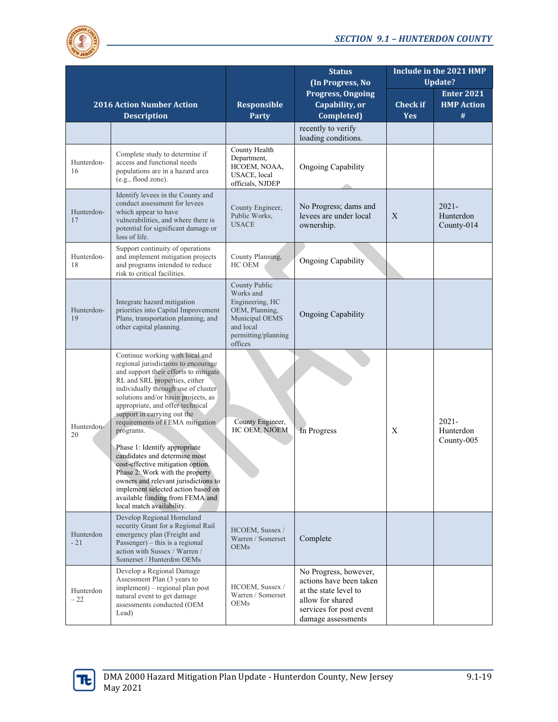

|                    |                                                                                                                                                                                                                                                                                                                                                                                                                                                                                                                                                                                                                                           |                                                                                                                                  | <b>Status</b><br>(In Progress, No                                                                                                              | Include in the 2021 HMP<br><b>Update?</b> |                                     |  |
|--------------------|-------------------------------------------------------------------------------------------------------------------------------------------------------------------------------------------------------------------------------------------------------------------------------------------------------------------------------------------------------------------------------------------------------------------------------------------------------------------------------------------------------------------------------------------------------------------------------------------------------------------------------------------|----------------------------------------------------------------------------------------------------------------------------------|------------------------------------------------------------------------------------------------------------------------------------------------|-------------------------------------------|-------------------------------------|--|
|                    |                                                                                                                                                                                                                                                                                                                                                                                                                                                                                                                                                                                                                                           |                                                                                                                                  | <b>Progress, Ongoing</b>                                                                                                                       |                                           | <b>Enter 2021</b>                   |  |
|                    | <b>2016 Action Number Action</b><br><b>Description</b>                                                                                                                                                                                                                                                                                                                                                                                                                                                                                                                                                                                    | <b>Responsible</b><br><b>Party</b>                                                                                               | Capability, or<br>Completed)                                                                                                                   | <b>Check if</b><br><b>Yes</b>             | <b>HMP Action</b><br>#              |  |
|                    |                                                                                                                                                                                                                                                                                                                                                                                                                                                                                                                                                                                                                                           |                                                                                                                                  | recently to verify<br>loading conditions.                                                                                                      |                                           |                                     |  |
| Hunterdon-<br>16   | Complete study to determine if<br>access and functional needs<br>populations are in a hazard area<br>(e.g., flood zone).                                                                                                                                                                                                                                                                                                                                                                                                                                                                                                                  | County Health<br>Department,<br>HCOEM, NOAA,<br>USACE, local<br>officials, NJDEP                                                 | <b>Ongoing Capability</b>                                                                                                                      |                                           |                                     |  |
| Hunterdon-<br>17   | Identify levees in the County and<br>conduct assessment for levees<br>which appear to have<br>vulnerabilities, and where there is<br>potential for significant damage or<br>loss of life.                                                                                                                                                                                                                                                                                                                                                                                                                                                 | County Engineer,<br>Public Works,<br><b>USACE</b>                                                                                | No Progress; dams and<br>levees are under local<br>ownership.                                                                                  | X                                         | $2021 -$<br>Hunterdon<br>County-014 |  |
| Hunterdon-<br>18   | Support continuity of operations<br>and implement mitigation projects<br>and programs intended to reduce<br>risk to critical facilities.                                                                                                                                                                                                                                                                                                                                                                                                                                                                                                  | County Planning,<br>HC OEM                                                                                                       | Ongoing Capability                                                                                                                             |                                           |                                     |  |
| Hunterdon-<br>19   | Integrate hazard mitigation<br>priorities into Capital Improvement<br>Plans, transportation planning, and<br>other capital planning.                                                                                                                                                                                                                                                                                                                                                                                                                                                                                                      | County Public<br>Works and<br>Engineering, HC<br>OEM, Planning,<br>Municipal OEMS<br>and local<br>permitting/planning<br>offices | <b>Ongoing Capability</b>                                                                                                                      |                                           |                                     |  |
| Hunterdon-<br>20   | Continue working with local and<br>regional jurisdictions to encourage<br>and support their efforts to mitigate<br>RL and SRL properties, either<br>individually through use of cluster<br>solutions and/or basin projects, as<br>appropriate, and offer technical<br>support in carrying out the<br>requirements of FEMA mitigation<br>programs.<br>Phase 1: Identify appropriate<br>candidates and determine most<br>cost-effective mitigation option.<br>Phase 2: Work with the property<br>owners and relevant jurisdictions to<br>implement selected action based on<br>available funding from FEMA and<br>local match availability. | County Engineer,<br>HC OEM, NJOEM                                                                                                | In Progress                                                                                                                                    | X                                         | $2021 -$<br>Hunterdon<br>County-005 |  |
| Hunterdon<br>$-21$ | Develop Regional Homeland<br>security Grant for a Regional Rail<br>emergency plan (Freight and<br>Passenger) – this is a regional<br>action with Sussex / Warren /<br>Somerset / Hunterdon OEMs                                                                                                                                                                                                                                                                                                                                                                                                                                           | HCOEM, Sussex /<br>Warren / Somerset<br><b>OEMs</b>                                                                              | Complete                                                                                                                                       |                                           |                                     |  |
| Hunterdon<br>$-22$ | Develop a Regional Damage<br>Assessment Plan (3 years to<br>implement) – regional plan post<br>natural event to get damage<br>assessments conducted (OEM<br>Lead)                                                                                                                                                                                                                                                                                                                                                                                                                                                                         | HCOEM, Sussex /<br>Warren / Somerset<br><b>OEMs</b>                                                                              | No Progress, however,<br>actions have been taken<br>at the state level to<br>allow for shared<br>services for post event<br>damage assessments |                                           |                                     |  |

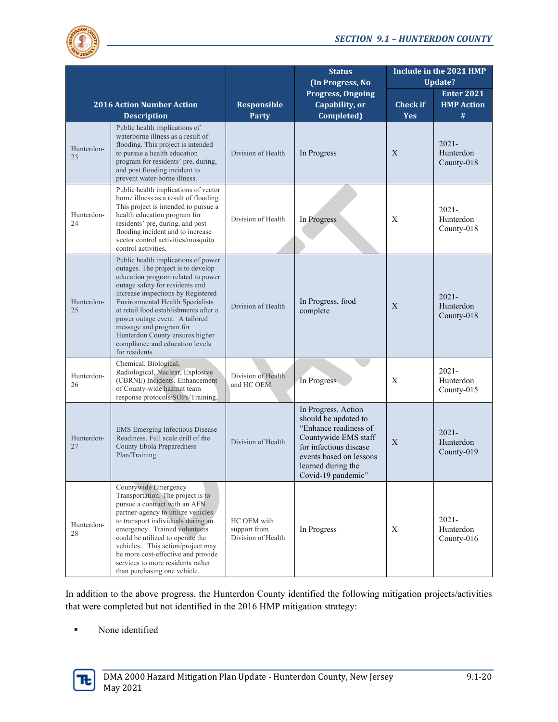

|                  |                                                                                                                                                                                                                                                                                                                                                                                                                                   |                                                   | <b>Status</b><br>(In Progress, No                                                                                                                                                             | Include in the 2021 HMP<br>Update? |                                             |  |
|------------------|-----------------------------------------------------------------------------------------------------------------------------------------------------------------------------------------------------------------------------------------------------------------------------------------------------------------------------------------------------------------------------------------------------------------------------------|---------------------------------------------------|-----------------------------------------------------------------------------------------------------------------------------------------------------------------------------------------------|------------------------------------|---------------------------------------------|--|
|                  | <b>2016 Action Number Action</b><br><b>Description</b>                                                                                                                                                                                                                                                                                                                                                                            | <b>Responsible</b><br><b>Party</b>                | <b>Progress, Ongoing</b><br>Capability, or<br>Completed)                                                                                                                                      | <b>Check</b> if<br><b>Yes</b>      | <b>Enter 2021</b><br><b>HMP Action</b><br># |  |
| Hunterdon-<br>23 | Public health implications of<br>waterborne illness as a result of<br>flooding. This project is intended<br>to pursue a health education<br>program for residents' pre, during,<br>and post flooding incident to<br>prevent water-borne illness.                                                                                                                                                                                  | Division of Health                                | In Progress                                                                                                                                                                                   | X                                  | $2021 -$<br>Hunterdon<br>County-018         |  |
| Hunterdon-<br>24 | Public health implications of vector<br>borne illness as a result of flooding.<br>This project is intended to pursue a<br>health education program for<br>residents' pre, during, and post<br>flooding incident and to increase<br>vector control activities/mosquito<br>control activities.                                                                                                                                      | Division of Health                                | In Progress                                                                                                                                                                                   | X                                  | $2021 -$<br>Hunterdon<br>County-018         |  |
| Hunterdon-<br>25 | Public health implications of power<br>outages. The project is to develop<br>education program related to power<br>outage safety for residents and<br>increase inspections by Registered<br><b>Environmental Health Specialists</b><br>at retail food establishments after a<br>power outage event. A tailored<br>message and program for<br>Hunterdon County ensures higher<br>compliance and education levels<br>for residents. | Division of Health                                | In Progress, food<br>complete                                                                                                                                                                 | X                                  | $2021 -$<br>Hunterdon<br>County-018         |  |
| Hunterdon-<br>26 | Chemical, Biological,<br>Radiological, Nuclear, Explosive<br>(CBRNE) Incidents. Enhancement<br>of County-wide hazmat team<br>response protocols/SOPs/Training.                                                                                                                                                                                                                                                                    | Division of Health<br>and HC OEM                  | In Progress                                                                                                                                                                                   | Χ                                  | $2021 -$<br>Hunterdon<br>County-015         |  |
| Hunterdon-<br>27 | <b>EMS</b> Emerging Infectious Disease<br>Readiness. Full scale drill of the<br><b>County Ebola Preparedness</b><br>Plan/Training.                                                                                                                                                                                                                                                                                                | Division of Health                                | In Progress. Action<br>should be updated to<br>"Enhance readiness of<br>Countywide EMS staff<br>for infectious disease<br>events based on lessons<br>learned during the<br>Covid-19 pandemic" | X                                  | $2021 -$<br>Hunterdon<br>County-019         |  |
| Hunterdon-<br>28 | Countywide Emergency<br>Transportation. The project is to<br>pursue a contract with an AFN<br>partner-agency to utilize vehicles<br>to transport individuals during an<br>emergency. Trained volunteers<br>could be utilized to operate the<br>vehicles. This action/project may<br>be more cost-effective and provide<br>services to more residents rather<br>than purchasing one vehicle.                                       | HC OEM with<br>support from<br>Division of Health | In Progress                                                                                                                                                                                   | X                                  | $2021 -$<br>Hunterdon<br>County-016         |  |

In addition to the above progress, the Hunterdon County identified the following mitigation projects/activities that were completed but not identified in the 2016 HMP mitigation strategy:

None identified

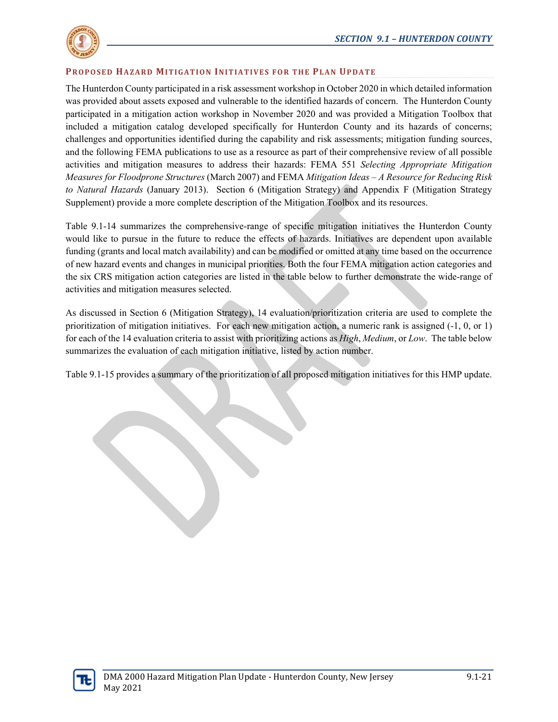

#### **PROPOSED HAZARD MITIGATION INITIATIVES FOR THE PLAN UPDATE**

The Hunterdon County participated in a risk assessment workshop in October 2020 in which detailed information was provided about assets exposed and vulnerable to the identified hazards of concern. The Hunterdon County participated in a mitigation action workshop in November 2020 and was provided a Mitigation Toolbox that included a mitigation catalog developed specifically for Hunterdon County and its hazards of concerns; challenges and opportunities identified during the capability and risk assessments; mitigation funding sources, and the following FEMA publications to use as a resource as part of their comprehensive review of all possible activities and mitigation measures to address their hazards: FEMA 551 *Selecting Appropriate Mitigation Measures for Floodprone Structures* (March 2007) and FEMA *Mitigation Ideas – A Resource for Reducing Risk to Natural Hazards* (January 2013). Section 6 (Mitigation Strategy) and Appendix F (Mitigation Strategy Supplement) provide a more complete description of the Mitigation Toolbox and its resources.

Table 9.1-14 summarizes the comprehensive-range of specific mitigation initiatives the Hunterdon County would like to pursue in the future to reduce the effects of hazards. Initiatives are dependent upon available funding (grants and local match availability) and can be modified or omitted at any time based on the occurrence of new hazard events and changes in municipal priorities. Both the four FEMA mitigation action categories and the six CRS mitigation action categories are listed in the table below to further demonstrate the wide-range of activities and mitigation measures selected.

As discussed in Section 6 (Mitigation Strategy), 14 evaluation/prioritization criteria are used to complete the prioritization of mitigation initiatives. For each new mitigation action, a numeric rank is assigned (-1, 0, or 1) for each of the 14 evaluation criteria to assist with prioritizing actions as *High*, *Medium*, or *Low*. The table below summarizes the evaluation of each mitigation initiative, listed by action number.

Table 9.1-15 provides a summary of the prioritization of all proposed mitigation initiatives for this HMP update.

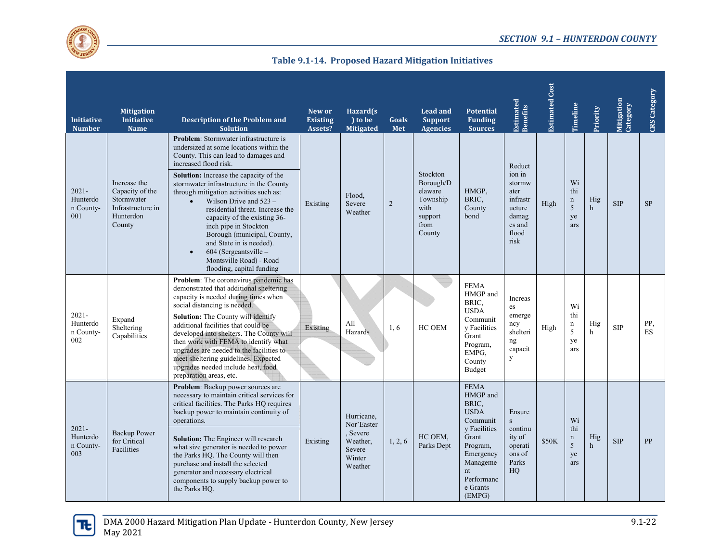

**Table 9.1‐14. Proposed Hazard Mitigation Initiatives**

| <b>Initiative</b><br><b>Number</b>       | <b>Mitigation</b><br><b>Initiative</b><br><b>Name</b>                                     | Description of the Problem and<br><b>Solution</b>                                                                                                                                                                                                                                                                                                                                                                                                                                                                                                                     | New or<br><b>Existing</b><br>Assets? | Hazard(s)<br>to be<br><b>Mitigated</b>                                        | Goals<br>Met   | <b>Lead and</b><br><b>Support</b><br><b>Agencies</b>                              | <b>Potential</b><br><b>Funding</b><br><b>Sources</b>                                                                                                                | <b>Estimated</b><br>Benefits                                                                 | <b>Estimated Cost</b> | Timeline                                   | Priority            | Mitigation<br>Category | CRS Category     |
|------------------------------------------|-------------------------------------------------------------------------------------------|-----------------------------------------------------------------------------------------------------------------------------------------------------------------------------------------------------------------------------------------------------------------------------------------------------------------------------------------------------------------------------------------------------------------------------------------------------------------------------------------------------------------------------------------------------------------------|--------------------------------------|-------------------------------------------------------------------------------|----------------|-----------------------------------------------------------------------------------|---------------------------------------------------------------------------------------------------------------------------------------------------------------------|----------------------------------------------------------------------------------------------|-----------------------|--------------------------------------------|---------------------|------------------------|------------------|
| $2021 -$<br>Hunterdo<br>n County-<br>001 | Increase the<br>Capacity of the<br>Stormwater<br>Infrastructure in<br>Hunterdon<br>County | <b>Problem:</b> Stormwater infrastructure is<br>undersized at some locations within the<br>County. This can lead to damages and<br>increased flood risk.<br><b>Solution:</b> Increase the capacity of the<br>stormwater infrastructure in the County<br>through mitigation activities such as:<br>Wilson Drive and $523 -$<br>residential threat. Increase the<br>capacity of the existing 36-<br>inch pipe in Stockton<br>Borough (municipal, County,<br>and State in is needed).<br>$604$ (Sergeantsville –<br>Montsville Road) - Road<br>flooding, capital funding | Existing                             | Flood.<br>Severe<br>Weather                                                   | $\overline{2}$ | Stockton<br>Borough/D<br>elaware<br>Township<br>with<br>support<br>from<br>County | HMGP,<br>BRIC,<br>County<br>bond                                                                                                                                    | Reduct<br>ion in<br>stormw<br>ater<br>infrastr<br>ucture<br>damag<br>es and<br>flood<br>risk | High                  | Wi<br>thi<br>$\mathbf n$<br>5<br>ye<br>ars | Hig<br>$\mathbf{h}$ | <b>SIP</b>             | <b>SP</b>        |
| $2021 -$<br>Hunterdo<br>n County-<br>002 | Expand<br>Sheltering<br>Capabilities                                                      | Problem: The coronavirus pandemic has<br>demonstrated that additional sheltering<br>capacity is needed during times when<br>social distancing is needed.<br>Solution: The County will identify<br>additional facilities that could be<br>developed into shelters. The County will<br>then work with FEMA to identify what<br>upgrades are needed to the facilities to<br>meet sheltering guidelines. Expected<br>upgrades needed include heat, food<br>preparation areas, etc.                                                                                        | Existing                             | All<br>Hazards                                                                | 1, 6           | HC OEM                                                                            | <b>FEMA</b><br>HMGP and<br>BRIC,<br><b>USDA</b><br>Communit<br>y Facilities<br>Grant<br>Program,<br>EMPG,<br>County<br>Budget                                       | Increas<br>es<br>emerge<br>ncy<br>shelteri<br>ng<br>capacit<br>y                             | High                  | Wi<br>thi<br>$\mathbf n$<br>5<br>ye<br>ars | Hig<br>h            | <b>SIP</b>             | PP,<br><b>ES</b> |
| $2021 -$<br>Hunterdo<br>n County-<br>003 | <b>Backup Power</b><br>for Critical<br><b>Facilities</b>                                  | <b>Problem:</b> Backup power sources are<br>necessary to maintain critical services for<br>critical facilities. The Parks HO requires<br>backup power to maintain continuity of<br>operations.<br>Solution: The Engineer will research<br>what size generator is needed to power<br>the Parks HQ. The County will then<br>purchase and install the selected<br>generator and necessary electrical<br>components to supply backup power to<br>the Parks HQ.                                                                                                            | Existing                             | Hurricane.<br>Nor'Easter<br>Severe<br>Weather.<br>Severe<br>Winter<br>Weather | 1, 2, 6        | HC OEM,<br>Parks Dept                                                             | <b>FEMA</b><br>HMGP and<br>BRIC,<br><b>USDA</b><br>Communit<br>y Facilities<br>Grant<br>Program,<br>Emergency<br>Manageme<br>nt<br>Performanc<br>e Grants<br>(EMPG) | Ensure<br>$\mathbf{s}$<br>continu<br>ity of<br>operati<br>ons of<br>Parks<br>HQ              | \$50K                 | Wi<br>thi<br>$\mathbf n$<br>5<br>ye<br>ars | Hig<br>$\mathbf{h}$ | <b>SIP</b>             | PP               |

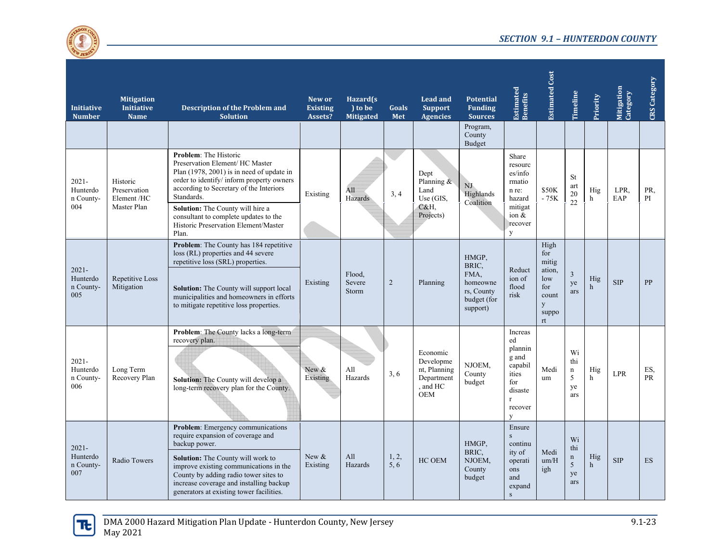

| <b>Initiative</b><br><b>Number</b>       | <b>Mitigation</b><br><b>Initiative</b><br><b>Name</b>  | Description of the Problem and<br><b>Solution</b>                                                                                                                                                                                                                                                                                         | New or<br><b>Existing</b><br>Assets? | Hazard(s)<br>) to be<br><b>Mitigated</b> | <b>Goals</b><br>Met | <b>Lead and</b><br><b>Support</b><br><b>Agencies</b>                        | <b>Potential</b><br><b>Funding</b><br><b>Sources</b>                        | <b>Estimated</b><br>Benefits                                                                            | <b>Estimated Cost</b>                                                     | Timeline                                   | Priority            | Mitigation<br>Category | <b>CRS</b> Category |
|------------------------------------------|--------------------------------------------------------|-------------------------------------------------------------------------------------------------------------------------------------------------------------------------------------------------------------------------------------------------------------------------------------------------------------------------------------------|--------------------------------------|------------------------------------------|---------------------|-----------------------------------------------------------------------------|-----------------------------------------------------------------------------|---------------------------------------------------------------------------------------------------------|---------------------------------------------------------------------------|--------------------------------------------|---------------------|------------------------|---------------------|
|                                          |                                                        |                                                                                                                                                                                                                                                                                                                                           |                                      |                                          |                     |                                                                             | Program,<br>County<br>Budget                                                |                                                                                                         |                                                                           |                                            |                     |                        |                     |
| $2021 -$<br>Hunterdo<br>n County-<br>004 | Historic<br>Preservation<br>Element /HC<br>Master Plan | Problem: The Historic<br>Preservation Element/ HC Master<br>Plan (1978, 2001) is in need of update in<br>order to identify/ inform property owners<br>according to Secretary of the Interiors<br>Standards.<br>Solution: The County will hire a<br>consultant to complete updates to the<br>Historic Preservation Element/Master<br>Plan. | Existing                             | All<br>Hazards                           | 3, 4                | Dept<br>Planning &<br>Land<br>Use (GIS.<br>C&H,<br>Projects)                | NJ<br>Highlands<br>Coalition                                                | Share<br>resourc<br>es/info<br>rmatio<br>n re:<br>hazard<br>mitigat<br>ion $&$<br>recover<br>y          | \$50K<br>$-75K$                                                           | St<br>art<br>20<br>22                      | Hig<br>h            | LPR.<br>EAP            | PR.<br>PI           |
| $2021 -$<br>Hunterdo<br>n County-<br>005 | Repetitive Loss<br>Mitigation                          | Problem: The County has 184 repetitive<br>loss (RL) properties and 44 severe<br>repetitive loss (SRL) properties.<br><b>Solution:</b> The County will support local<br>municipalities and homeowners in efforts<br>to mitigate repetitive loss properties.                                                                                | Existing                             | Flood,<br>Severe<br>Storm                | $\overline{2}$      | Planning                                                                    | HMGP,<br>BRIC,<br>FMA.<br>homeowne<br>rs, County<br>budget (for<br>support) | Reduct<br>ion of<br>flood<br>risk                                                                       | High<br>for<br>mitig<br>ation,<br>low<br>for<br>count<br>y<br>suppo<br>rt | $\mathfrak{Z}$<br>ye<br>ars                | Hig<br>$\,h$        | <b>SIP</b>             | PP                  |
| $2021 -$<br>Hunterdo<br>n County-<br>006 | Long Term<br>Recovery Plan                             | Problem: The County lacks a long-term<br>recovery plan.<br>Solution: The County will develop a<br>long-term recovery plan for the County.                                                                                                                                                                                                 | New &<br>Existing                    | All<br>Hazards                           | 3, 6                | Economic<br>Developme<br>nt, Planning<br>Department<br>and HC<br><b>OEM</b> | NJOEM.<br>County<br>budget                                                  | Increas<br>ed<br>plannin<br>g and<br>capabil<br>ities<br>for<br>disaste<br>$\mathbf{r}$<br>recover<br>y | Medi<br>um                                                                | Wi<br>thi<br>$\mathbf n$<br>5<br>ye<br>ars | Hig<br>h            | <b>LPR</b>             | ES,<br><b>PR</b>    |
| $2021 -$<br>Hunterdo<br>n County-<br>007 | Radio Towers                                           | <b>Problem:</b> Emergency communications<br>require expansion of coverage and<br>backup power.<br>Solution: The County will work to<br>improve existing communications in the<br>County by adding radio tower sites to<br>increase coverage and installing backup<br>generators at existing tower facilities.                             | New &<br>Existing                    | A11<br>Hazards                           | 1, 2,<br>5.6        | HC OEM                                                                      | HMGP,<br>BRIC,<br>NJOEM,<br>County<br>budget                                | Ensure<br>$\mathbf{s}$<br>continu<br>ity of<br>operati<br>ons<br>and<br>expand<br>S                     | Medi<br>um/H<br>igh                                                       | Wi<br>thi<br>$\mathbf n$<br>5<br>ye<br>ars | Hig<br>$\mathbf{h}$ | <b>SIP</b>             | <b>ES</b>           |

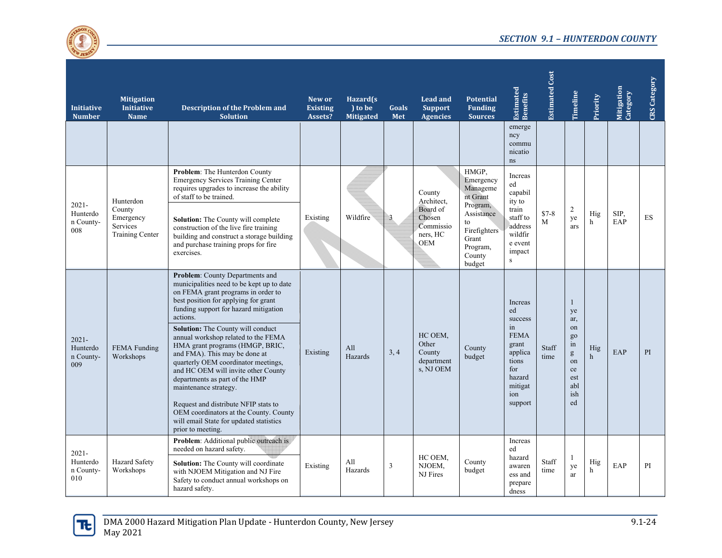

| <b>Initiative</b><br><b>Number</b>       | <b>Mitigation</b><br><b>Initiative</b><br><b>Name</b>                  | <b>Description of the Problem and</b><br><b>Solution</b>                                                                                                                                                                                                                                                                                                                                                                                                                                                                                                                                                                                                   | New or<br><b>Existing</b><br>Assets? | Hazard(s<br>to be<br><b>Mitigated</b> | Goals<br>Met | <b>Lead and</b><br><b>Support</b><br><b>Agencies</b>                       | <b>Potential</b><br><b>Funding</b><br><b>Sources</b>                                                                                | <b>Estimated</b><br>Benefits                                                                                              | <b>Estimated Cost</b> | Timeline                                                                        | Priority            | Mitigation<br>Category | <b>CRS</b> Category |
|------------------------------------------|------------------------------------------------------------------------|------------------------------------------------------------------------------------------------------------------------------------------------------------------------------------------------------------------------------------------------------------------------------------------------------------------------------------------------------------------------------------------------------------------------------------------------------------------------------------------------------------------------------------------------------------------------------------------------------------------------------------------------------------|--------------------------------------|---------------------------------------|--------------|----------------------------------------------------------------------------|-------------------------------------------------------------------------------------------------------------------------------------|---------------------------------------------------------------------------------------------------------------------------|-----------------------|---------------------------------------------------------------------------------|---------------------|------------------------|---------------------|
|                                          |                                                                        |                                                                                                                                                                                                                                                                                                                                                                                                                                                                                                                                                                                                                                                            |                                      |                                       |              |                                                                            |                                                                                                                                     | emerge<br>ncy<br>commu<br>nicatio<br>ns                                                                                   |                       |                                                                                 |                     |                        |                     |
| $2021 -$<br>Hunterdo<br>n County-<br>008 | Hunterdon<br>County<br>Emergency<br>Services<br><b>Training Center</b> | Problem: The Hunterdon County<br><b>Emergency Services Training Center</b><br>requires upgrades to increase the ability<br>of staff to be trained.<br><b>Solution:</b> The County will complete<br>construction of the live fire training<br>building and construct a storage building<br>and purchase training props for fire<br>exercises.                                                                                                                                                                                                                                                                                                               | Existing                             | Wildfire                              | 3            | County<br>Architect,<br>Board of<br>Chosen<br>Commissio<br>ners. HC<br>OEM | HMGP,<br>Emergency<br>Manageme<br>nt Grant<br>Program,<br>Assistance<br>to<br>Firefighters<br>Grant<br>Program,<br>County<br>budget | <b>Increas</b><br>ed<br>capabil<br>ity to<br>train<br>staff to<br>address<br>wildfir<br>e event<br>impact<br>$\mathbf{s}$ | $$7-8$<br>M           | 2<br>ye<br>ars                                                                  | Hig<br>h            | SIP,<br>EAP            | ES                  |
| $2021 -$<br>Hunterdo<br>n County-<br>009 | FEMA Funding<br>Workshops                                              | Problem: County Departments and<br>municipalities need to be kept up to date<br>on FEMA grant programs in order to<br>best position for applying for grant<br>funding support for hazard mitigation<br>actions.<br>Solution: The County will conduct<br>annual workshop related to the FEMA<br>HMA grant programs (HMGP, BRIC,<br>and FMA). This may be done at<br>quarterly OEM coordinator meetings.<br>and HC OEM will invite other County<br>departments as part of the HMP<br>maintenance strategy.<br>Request and distribute NFIP stats to<br>OEM coordinators at the County. County<br>will email State for updated statistics<br>prior to meeting. | Existing                             | A11<br>Hazards                        | 3, 4         | HC OEM.<br>Other<br>County<br>department<br>s, NJ OEM                      | County<br>budget                                                                                                                    | Increas<br>ed<br>success<br>in<br><b>FEMA</b><br>grant<br>applica<br>tions<br>for<br>hazard<br>mitigat<br>ion<br>support  | Staff<br>time         | 1<br>ye<br>ar,<br>on<br>$g_0$<br>in<br>g<br>on<br>ce<br>est<br>abl<br>ish<br>ed | Hig<br>$\mathbf{h}$ | EAP                    | PI                  |
| $2021 -$<br>Hunterdo<br>n County-<br>010 | Hazard Safety<br>Workshops                                             | <b>Problem:</b> Additional public outreach is<br>needed on hazard safety.<br>Solution: The County will coordinate<br>with NJOEM Mitigation and NJ Fire<br>Safety to conduct annual workshops on<br>hazard safety.                                                                                                                                                                                                                                                                                                                                                                                                                                          | Existing                             | A11<br>Hazards                        | 3            | HC OEM.<br>NJOEM,<br>NJ Fires                                              | County<br>budget                                                                                                                    | Increas<br>ed<br>hazard<br>awaren<br>ess and<br>prepare<br>dness                                                          | Staff<br>time         | -1<br>ye<br>ar                                                                  | Hig<br>h            | EAP                    | PI                  |

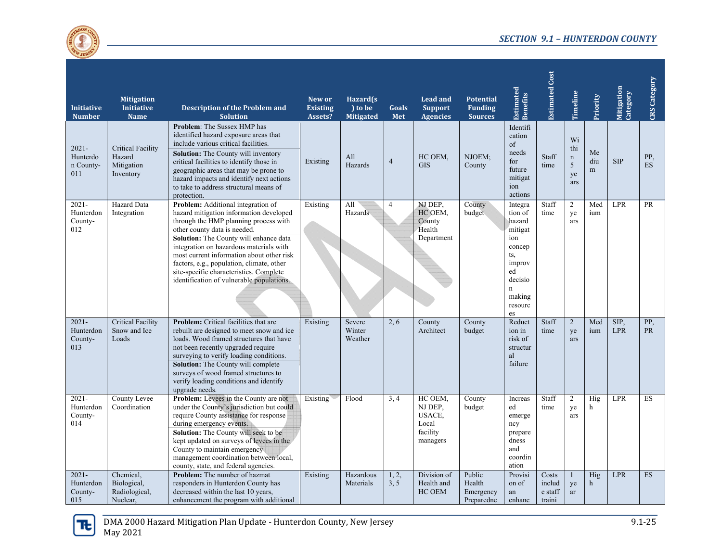

| <b>Initiative</b><br><b>Number</b>       | <b>Mitigation</b><br><b>Initiative</b><br><b>Name</b>         | <b>Description of the Problem and</b><br><b>Solution</b>                                                                                                                                                                                                                                                                                                                                                                      | New or<br><b>Existing</b><br>Assets? | Hazard(s<br>) to be<br><b>Mitigated</b> | <b>Goals</b><br>Met | <b>Lead and</b><br><b>Support</b><br><b>Agencies</b>          | <b>Potential</b><br><b>Funding</b><br><b>Sources</b> | <b>Estimated</b><br>Benefits                                                                                                | <b>Estimated Cost</b>                | Timeline                                   | Priority           | Mitigation<br>Category | CRS Category     |
|------------------------------------------|---------------------------------------------------------------|-------------------------------------------------------------------------------------------------------------------------------------------------------------------------------------------------------------------------------------------------------------------------------------------------------------------------------------------------------------------------------------------------------------------------------|--------------------------------------|-----------------------------------------|---------------------|---------------------------------------------------------------|------------------------------------------------------|-----------------------------------------------------------------------------------------------------------------------------|--------------------------------------|--------------------------------------------|--------------------|------------------------|------------------|
| $2021 -$<br>Hunterdo<br>n County-<br>011 | <b>Critical Facility</b><br>Hazard<br>Mitigation<br>Inventory | <b>Problem:</b> The Sussex HMP has<br>identified hazard exposure areas that<br>include various critical facilities.<br><b>Solution:</b> The County will inventory<br>critical facilities to identify those in<br>geographic areas that may be prone to<br>hazard impacts and identify next actions<br>to take to address structural means of<br>protection.                                                                   | Existing                             | All<br>Hazards                          | $\overline{4}$      | HC OEM,<br><b>GIS</b>                                         | NJOEM:<br>County                                     | Identifi<br>cation<br>of<br>needs<br>for<br>future<br>mitigat<br>ion<br>actions                                             | Staff<br>time                        | Wi<br>thi<br>$\mathbf n$<br>5<br>ye<br>ars | Me<br>diu<br>m     | <b>SIP</b>             | PP,<br><b>ES</b> |
| $2021 -$<br>Hunterdon<br>County-<br>012  | <b>Hazard</b> Data<br>Integration                             | Problem: Additional integration of<br>hazard mitigation information developed<br>through the HMP planning process with<br>other county data is needed.<br>Solution: The County will enhance data<br>integration on hazardous materials with<br>most current information about other risk<br>factors, e.g., population, climate, other<br>site-specific characteristics. Complete<br>identification of vulnerable populations. | Existing                             | All<br>Hazards                          | 4                   | NJ DEP.<br>HC OEM,<br>County<br>Health<br>Department          | County<br>budget                                     | Integra<br>tion of<br>hazard<br>mitigat<br>ion<br>concep<br>ts,<br>improv<br>ed<br>decisio<br>'n<br>making<br>resourc<br>es | Staff<br>time                        | $\overline{2}$<br>ye<br>ars                | Med<br>ium         | <b>LPR</b>             | <b>PR</b>        |
| $2021 -$<br>Hunterdon<br>County-<br>013  | <b>Critical Facility</b><br>Snow and Ice<br>Loads             | <b>Problem:</b> Critical facilities that are<br>rebuilt are designed to meet snow and ice<br>loads. Wood framed structures that have<br>not been recently upgraded require<br>surveying to verify loading conditions.<br><b>Solution:</b> The County will complete<br>surveys of wood framed structures to<br>verify loading conditions and identify<br>upgrade needs.                                                        | Existing                             | Severe<br>Winter<br>Weather             | 2, 6                | County<br>Architect                                           | County<br>budget                                     | Reduct<br>ion in<br>risk of<br>structur<br>al<br>failure                                                                    | Staff<br>time                        | $\overline{2}$<br>ye<br>ars                | Med<br>ium         | SIP,<br><b>LPR</b>     | PP,<br><b>PR</b> |
| $2021 -$<br>Hunterdon<br>County-<br>014  | County Levee<br>Coordination                                  | Problem: Levees in the County are not<br>under the County's jurisdiction but could<br>require County assistance for response<br>during emergency events.<br>Solution: The County will seek to be<br>kept updated on surveys of levees in the<br>County to maintain emergency<br>management coordination between local,<br>county, state, and federal agencies.                                                                | Existing                             | Flood                                   | 3.4                 | HC OEM,<br>NJ DEP,<br>USACE,<br>Local<br>facility<br>managers | County<br>budget                                     | Increas<br>ed<br>emerge<br>ncy<br>prepare<br>dness<br>and<br>coordin<br>ation                                               | Staff<br>time                        | 2<br>ye<br>ars                             | Hig<br>h           | <b>LPR</b>             | ES               |
| $2021 -$<br>Hunterdon<br>County-<br>015  | Chemical,<br>Biological,<br>Radiological,<br>Nuclear,         | <b>Problem:</b> The number of hazmat<br>responders in Hunterdon County has<br>decreased within the last 10 years,<br>enhancement the program with additional                                                                                                                                                                                                                                                                  | Existing                             | Hazardous<br>Materials                  | 1, 2,<br>3, 5       | Division of<br>Health and<br>HC OEM                           | Public<br>Health<br>Emergency<br>Preparedne          | Provisi<br>on of<br>an<br>enhanc                                                                                            | Costs<br>includ<br>e staff<br>traini | $\mathbf{1}$<br>ye<br>ar                   | Hig<br>$\mathbf h$ | <b>LPR</b>             | ES               |

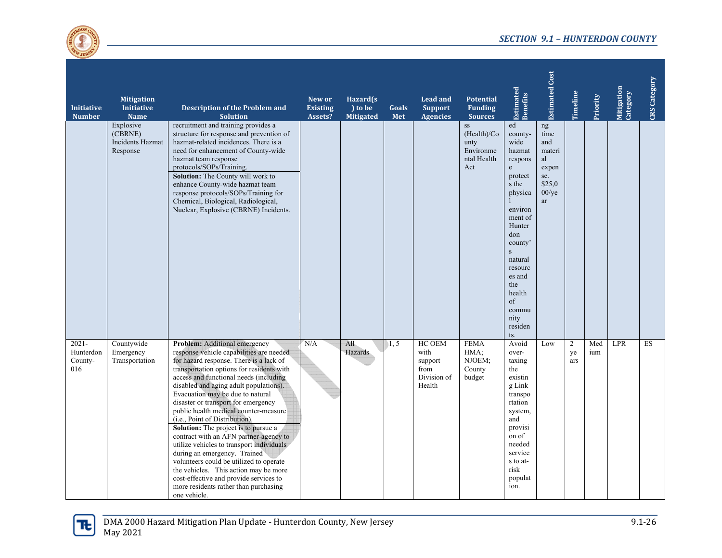

| <b>Initiative</b><br><b>Number</b>      | <b>Mitigation</b><br><b>Initiative</b><br><b>Name</b> | Description of the Problem and<br><b>Solution</b>                                                                                                                                                                                                                                                                                                                                                                                                                                                                                                                                                                                                                                                                                                                 | New or<br><b>Existing</b><br>Assets? | Hazard(s<br>) to be<br><b>Mitigated</b> | Goals<br>Met | <b>Lead and</b><br><b>Support</b><br><b>Agencies</b>       | <b>Potential</b><br><b>Funding</b><br><b>Sources</b>         | <b>Estimated</b><br>Benefits                                                                                                                                                                                                                          | <b>Estimated Cost</b>                                                                | Timeline                    | Priority   | Mitigation<br>Category | <b>CRS</b> Category |
|-----------------------------------------|-------------------------------------------------------|-------------------------------------------------------------------------------------------------------------------------------------------------------------------------------------------------------------------------------------------------------------------------------------------------------------------------------------------------------------------------------------------------------------------------------------------------------------------------------------------------------------------------------------------------------------------------------------------------------------------------------------------------------------------------------------------------------------------------------------------------------------------|--------------------------------------|-----------------------------------------|--------------|------------------------------------------------------------|--------------------------------------------------------------|-------------------------------------------------------------------------------------------------------------------------------------------------------------------------------------------------------------------------------------------------------|--------------------------------------------------------------------------------------|-----------------------------|------------|------------------------|---------------------|
|                                         | Explosive<br>(CBRNE)<br>Incidents Hazmat<br>Response  | recruitment and training provides a<br>structure for response and prevention of<br>hazmat-related incidences. There is a<br>need for enhancement of County-wide<br>hazmat team response<br>protocols/SOPs/Training.<br><b>Solution:</b> The County will work to<br>enhance County-wide hazmat team<br>response protocols/SOPs/Training for<br>Chemical, Biological, Radiological,<br>Nuclear, Explosive (CBRNE) Incidents.                                                                                                                                                                                                                                                                                                                                        |                                      |                                         |              |                                                            | SS<br>(Health)/Co<br>unty<br>Environme<br>ntal Health<br>Act | ed<br>county-<br>wide<br>hazmat<br>respons<br>$\mathbf{e}$<br>protect<br>s the<br>physica<br>environ<br>ment of<br>Hunter<br>don<br>county'<br>$\mathbf{s}$<br>natural<br>resourc<br>es and<br>the<br>health<br>of<br>commu<br>nity<br>residen<br>ts. | ng<br>time<br>and<br>materi<br>al<br>expen<br>se.<br>\$25,0<br>$00$ /ye<br><b>ar</b> |                             |            |                        |                     |
| $2021 -$<br>Hunterdon<br>County-<br>016 | Countywide<br>Emergency<br>Transportation             | Problem: Additional emergency<br>response vehicle capabilities are needed<br>for hazard response. There is a lack of<br>transportation options for residents with<br>access and functional needs (including<br>disabled and aging adult populations).<br>Evacuation may be due to natural<br>disaster or transport for emergency<br>public health medical counter-measure<br>(i.e., Point of Distribution).<br>Solution: The project is to pursue a<br>contract with an AFN partner-agency to<br>utilize vehicles to transport individuals<br>during an emergency. Trained<br>volunteers could be utilized to operate<br>the vehicles. This action may be more<br>cost-effective and provide services to<br>more residents rather than purchasing<br>one vehicle. | N/A                                  | All<br>Hazards                          | 1, 5         | HC OEM<br>with<br>support<br>from<br>Division of<br>Health | <b>FEMA</b><br>HMA;<br>NJOEM;<br>County<br>budget            | Avoid<br>over-<br>taxing<br>the<br>existin<br>g Link<br>transpo<br>rtation<br>system,<br>and<br>provisi<br>on of<br>needed<br>service<br>s to at-<br>risk<br>populat<br>ion.                                                                          | Low                                                                                  | $\overline{2}$<br>ye<br>ars | Med<br>ium | <b>LPR</b>             | ES                  |

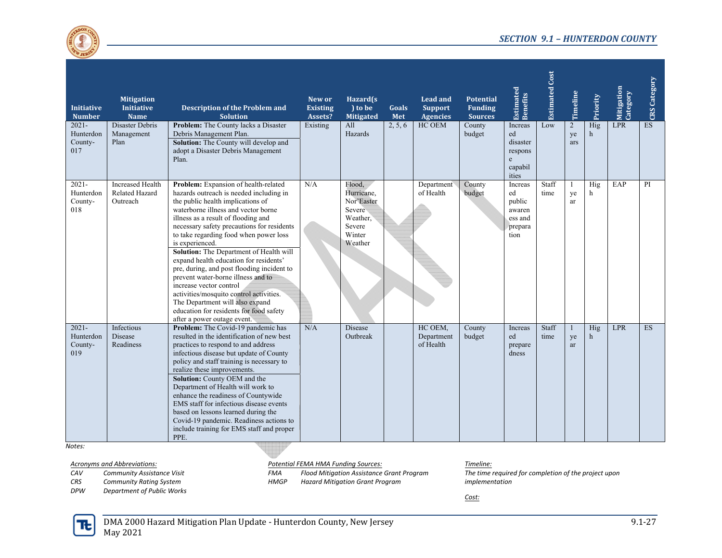

| <b>Initiative</b><br><b>Number</b>      | <b>Mitigation</b><br><b>Initiative</b><br><b>Name</b> | <b>Description of the Problem and</b><br><b>Solution</b>                                                                                                                                                                                                                                                                                                                                                                                                                                                                                                                                                                                                                         | New or<br><b>Existing</b><br>Assets? | Hazard(s)<br>) to be<br><b>Mitigated</b>                                                | Goals<br>Met | <b>Lead and</b><br><b>Support</b><br><b>Agencies</b> | <b>Potential</b><br><b>Funding</b><br><b>Sources</b> | <b>Estimated</b><br>Benefits                                    | <b>Estimated Cost</b> | Timeline                    | Priority            | Mitigation<br>Category | <b>CRS</b> Category |
|-----------------------------------------|-------------------------------------------------------|----------------------------------------------------------------------------------------------------------------------------------------------------------------------------------------------------------------------------------------------------------------------------------------------------------------------------------------------------------------------------------------------------------------------------------------------------------------------------------------------------------------------------------------------------------------------------------------------------------------------------------------------------------------------------------|--------------------------------------|-----------------------------------------------------------------------------------------|--------------|------------------------------------------------------|------------------------------------------------------|-----------------------------------------------------------------|-----------------------|-----------------------------|---------------------|------------------------|---------------------|
| $2021 -$<br>Hunterdon<br>County-<br>017 | Disaster Debris<br>Management<br>Plan                 | Problem: The County lacks a Disaster<br>Debris Management Plan.<br>Solution: The County will develop and<br>adopt a Disaster Debris Management<br>Plan.                                                                                                                                                                                                                                                                                                                                                                                                                                                                                                                          | Existing                             | A11<br>Hazards                                                                          | 2, 5, 6      | HC OEM                                               | County<br>budget                                     | Increas<br>ed<br>disaster<br>respons<br>e<br>capabil<br>ities   | Low                   | $\overline{2}$<br>ye<br>ars | Hig<br>$\mathbf{h}$ | <b>LPR</b>             | ES                  |
| $2021 -$<br>Hunterdon<br>County-<br>018 | <b>Increased Health</b><br>Related Hazard<br>Outreach | Problem: Expansion of health-related<br>hazards outreach is needed including in<br>the public health implications of<br>waterborne illness and vector borne<br>illness as a result of flooding and<br>necessary safety precautions for residents<br>to take regarding food when power loss<br>is experienced.<br><b>Solution:</b> The Department of Health will<br>expand health education for residents'<br>pre, during, and post flooding incident to<br>prevent water-borne illness and to<br>increase vector control<br>activities/mosquito control activities.<br>The Department will also expand<br>education for residents for food safety<br>after a power outage event. | N/A                                  | Flood.<br>Hurricane,<br>Nor'Easter<br>Severe<br>Weather,<br>Severe<br>Winter<br>Weather |              | Department<br>of Health                              | County<br>budget                                     | Increas<br>ed<br>public<br>awaren<br>ess and<br>prepara<br>tion | Staff<br>time         | -1<br>ye<br>ar              | Hig<br>h            | EAP                    | PI                  |
| $2021 -$<br>Hunterdon<br>County-<br>019 | Infectious<br><b>Disease</b><br>Readiness             | Problem: The Covid-19 pandemic has<br>resulted in the identification of new best<br>practices to respond to and address<br>infectious disease but update of County<br>policy and staff training is necessary to<br>realize these improvements.<br><b>Solution:</b> County OEM and the<br>Department of Health will work to<br>enhance the readiness of Countywide<br>EMS staff for infectious disease events<br>based on lessons learned during the<br>Covid-19 pandemic. Readiness actions to<br>include training for EMS staff and proper<br>PPE.                                                                                                                              | N/A                                  | <b>Disease</b><br>Outbreak                                                              |              | HC OEM,<br>Department<br>of Health                   | County<br>budget                                     | Increas<br>ed<br>prepare<br>dness                               | Staff<br>time         | $\mathbf{1}$<br>ye<br>ar    | Hig<br>h            | <b>LPR</b>             | <b>ES</b>           |

*Notes:*

*CAVCommunity Assistance Visit*

*CRSCommunity Rating System*

*DPWDepartment of Public Works*

*Acronyms and Abbreviations: Potential FEMA HMA Funding Sources: Timeline:*

*FMA Flood Mitigation Assistance Grant Program HMGPHazard Mitigation Grant Program*

*The time required for completion of the project upon implementation*

*Cost:*

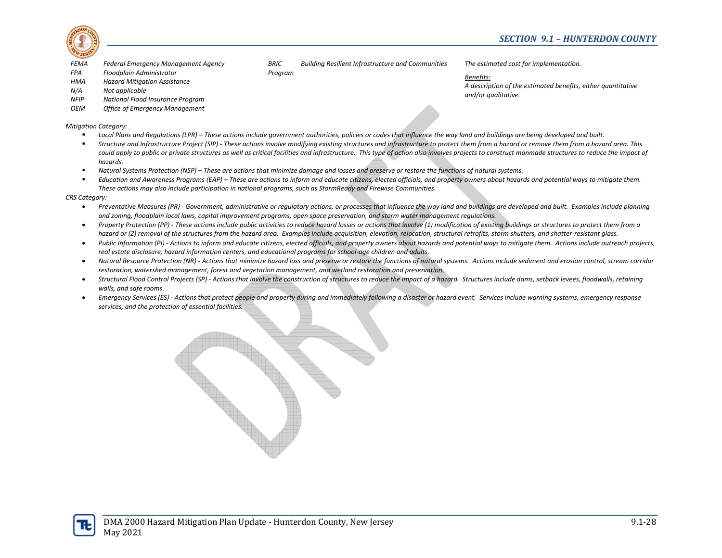

- *FEMAFederal Emergency Management Agency*
- *FPAFloodplain Administrator*
- *HMAHazard Mitigation Assistance*
- *N/A Not applicable*
- *NFIPNational Flood Insurance Program*
- *OEMOffice of Emergency Management*

*Mitigation Category:*

- г ■ Local Plans and Regulations (LPR) – These actions include government authorities, policies or codes that influence the way land and buildings are being developed and built.
- $\blacksquare$ ■ Structure and Infrastructure Project (SIP) - These actions involve modifying existing structures and infrastructure to protect them from a hazard or remove them from a hazard area. This could apply to public or private structures as well as critical facilities and infrastructure. This type of action also involves projects to construct manmade structures to reduce the impact of *hazards.*

*Building Resilient Infrastructure and Communities*

 $\blacksquare$ Natural Systems Protection (NSP) - These are actions that minimize damage and losses and preserve or restore the functions of natural systems.

*BRIC*

*Program*

 $\blacksquare$ ■ Education and Awareness Programs (EAP) – These are actions to inform and educate citizens, elected officials, and property owners about hazards and potential ways to mitigate them. *These actions may also include participation in national programs, such as StormReady and Firewise Communities.*

*CRS Category:*

- $\bullet$ Preventative Measures (PR) - Government, administrative or regulatory actions, or processes that influence the way land and buildings are developed and built. Examples include planning and zoning, floodplain local laws, capital improvement programs, open space preservation, and storm water management regulations.
- $\bullet$ Property Protection (PP) - These actions include public activities to reduce hazard losses or actions that involve (1) modification of existing buildings or structures to protect them from a hazard or (2) removal of the structures from the hazard area. Examples include acquisition, elevation, relocation, structural retrofits, storm shutters, and shatter-resistant glass.
- $\bullet$ Public Information (PI) - Actions to inform and educate citizens, elected officials, and property owners about hazards and potential ways to mitigate them. Actions include outreach projects, *real estate disclosure, hazard information centers, and educational programs for school‐age children and adults.*
- $\bullet$ • Natural Resource Protection (NR) - Actions that minimize hazard loss and preserve or restore the functions of natural systems. Actions include sediment and erosion control, stream corridor *restoration, watershed management, forest and vegetation management, and wetland restoration and preservation.*
- $\bullet$ • Structural Flood Control Projects (SP) - Actions that involve the construction of structures to reduce the impact of a hazard. Structures include dams, setback levees, floodwalls, retaining *walls, and safe rooms.*
- $\bullet$ Emergency Services (ES) - Actions that protect people and property during and immediately following a disaster or hazard event. Services include warning systems, emergency response *services, and the protection of essential facilities.*



*The estimated cost for implementation.*

*Benefits:*

*A description of the estimated benefits, either quantitative and/or qualitative.*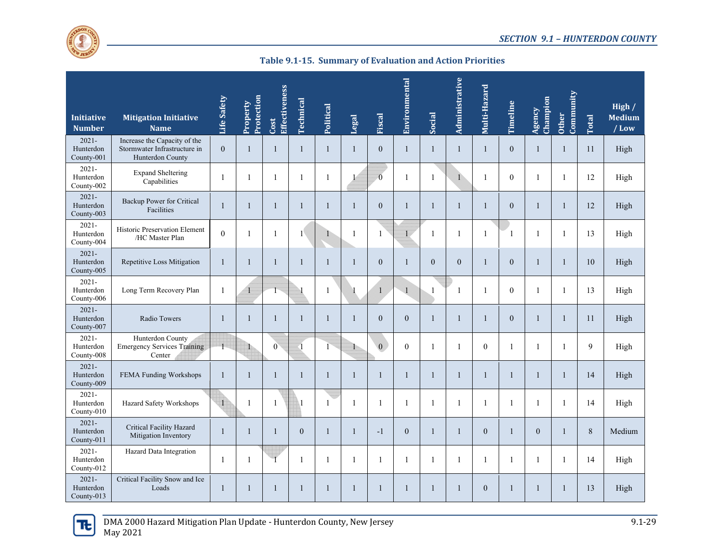

**Table 9.1‐15. Summary of Evaluation and Action Priorities**

| <b>Initiative</b><br><b>Number</b>  | <b>Mitigation Initiative</b><br><b>Name</b>                                      | Life Safety    | Protection<br>Property | Effectiveness<br>Cost | Technical    | Political    | Legal        | Fiscal           | Environmental    | Social         | Administrative | Multi-Hazard     | <b>Timeline</b>  | Champion<br>Agency | Community<br><b>Other</b> | Total   | High /<br><b>Medium</b><br>$/$ Low |
|-------------------------------------|----------------------------------------------------------------------------------|----------------|------------------------|-----------------------|--------------|--------------|--------------|------------------|------------------|----------------|----------------|------------------|------------------|--------------------|---------------------------|---------|------------------------------------|
| $2021 -$<br>Hunterdon<br>County-001 | Increase the Capacity of the<br>Stormwater Infrastructure in<br>Hunterdon County | $\overline{0}$ | $\overline{1}$         | 1                     | $\mathbf{1}$ | $\mathbf{1}$ | $\mathbf{1}$ | $\mathbf{0}$     | $\mathbf{1}$     | $\mathbf{1}$   | $\mathbf{1}$   | $\mathbf{1}$     | $\mathbf{0}$     | $\mathbf{1}$       | $\mathbf{1}$              | 11      | High                               |
| $2021 -$<br>Hunterdon<br>County-002 | <b>Expand Sheltering</b><br>Capabilities                                         | $\mathbf{1}$   | $\overline{1}$         | 1                     | $\mathbf{1}$ | $\mathbf{1}$ |              | $\overline{0}$   | 1                | $\mathbf{1}$   | 1              | $\mathbf{1}$     | $\overline{0}$   | $\mathbf{1}$       | $\mathbf{1}$              | 12      | High                               |
| $2021 -$<br>Hunterdon<br>County-003 | Backup Power for Critical<br>Facilities                                          | $\mathbf{1}$   | $\mathbf{1}$           | $\mathbf{1}$          | $\mathbf{1}$ | $\mathbf{1}$ | $\mathbf{1}$ | $\theta$         | $\mathbf{1}$     | $\mathbf{1}$   | $\mathbf{1}$   | $\mathbf{1}$     | $\overline{0}$   | $\mathbf{1}$       | $\mathbf{1}$              | 12      | High                               |
| $2021 -$<br>Hunterdon<br>County-004 | Historic Preservation Element<br>/HC Master Plan                                 | $\mathbf{0}$   | $\overline{1}$         | $\mathbf{1}$          | $1^{\circ}$  |              | $\mathbf{1}$ | 1                | 1                | $\mathbf{1}$   | $\mathbf{1}$   | $\mathbf{1}$     | 1                | $\mathbf{1}$       | $\mathbf{1}$              | 13      | High                               |
| $2021 -$<br>Hunterdon<br>County-005 | Repetitive Loss Mitigation                                                       | $\mathbf{1}$   | $\overline{1}$         | 1                     | $\mathbf{1}$ | 1            | $\mathbf{1}$ | $\mathbf{0}$     | $\mathbf{1}$     | $\overline{0}$ | $\mathbf{0}$   | $\mathbf{1}$     | $\boldsymbol{0}$ | $\mathbf{1}$       | $\mathbf{1}$              | 10      | High                               |
| $2021 -$<br>Hunterdon<br>County-006 | Long Term Recovery Plan                                                          | 1              |                        | Г                     |              | 1            |              | $\mathbf{1}$     | $\vee$ 1         | $\mathbf{1}$   | -1             | 1                | $\overline{0}$   | $\mathbf{1}$       | 1                         | 13      | High                               |
| $2021 -$<br>Hunterdon<br>County-007 | Radio Towers                                                                     | $\mathbf{1}$   | $\overline{1}$         | 1                     | $\mathbf{1}$ |              | $\mathbf{1}$ | $\mathbf{0}$     | $\overline{0}$   | $\mathbf{1}$   | $\mathbf{1}$   | $\mathbf{1}$     | $\mathbf{0}$     | $\mathbf{1}$       | $\mathbf{1}$              | 11      | High                               |
| $2021 -$<br>Hunterdon<br>County-008 | Hunterdon County<br><b>Emergency Services Training</b><br>Center                 |                |                        | $\boldsymbol{0}$      | $\lceil$     |              | $\mathbf{1}$ | $\boldsymbol{0}$ | $\boldsymbol{0}$ | 1              | $\mathbf{1}$   | $\boldsymbol{0}$ | 1                | $\mathbf{1}$       | $\mathbf{1}$              | 9       | High                               |
| $2021 -$<br>Hunterdon<br>County-009 | FEMA Funding Workshops                                                           | $\mathbf{1}$   | $\overline{1}$         | 1                     | $\mathbf{1}$ | -1           | $\mathbf{1}$ | $\mathbf{1}$     | $\mathbf{1}$     | $\mathbf{1}$   | $\mathbf{1}$   | $\mathbf{1}$     | $\mathbf{1}$     | $\mathbf{1}$       | $\mathbf{1}$              | 14      | High                               |
| $2021 -$<br>Hunterdon<br>County-010 | Hazard Safety Workshops                                                          | $\overline{1}$ | $\mathbf{1}$           | 1                     | $\mathbf{1}$ | $\mathbf{1}$ | $\mathbf{1}$ | $\mathbf{1}$     | $\mathbf{1}$     | 1              | $\mathbf{1}$   | $\mathbf{1}$     | $\mathbf{1}$     | $\mathbf{1}$       | $\mathbf{1}$              | 14      | High                               |
| $2021 -$<br>Hunterdon<br>County-011 | Critical Facility Hazard<br>Mitigation Inventory                                 | 1              | $\mathbf{1}$           | 1                     | $\mathbf{0}$ | 1            | $\mathbf{1}$ | $-1$             | $\overline{0}$   | $\mathbf{1}$   | 1              | $\boldsymbol{0}$ | 1                | $\overline{0}$     | $\mathbf{1}$              | $\,8\,$ | Medium                             |
| $2021 -$<br>Hunterdon<br>County-012 | Hazard Data Integration                                                          | 1              | $\mathbf{1}$           |                       | $\mathbf{1}$ | 1            | $\mathbf{1}$ | -1               | $\mathbf{1}$     | 1              | 1              | 1                | 1                | $\mathbf{1}$       | 1                         | 14      | High                               |
| $2021 -$<br>Hunterdon<br>County-013 | Critical Facility Snow and Ice<br>Loads                                          | 1              | 1                      | 1                     | $\mathbf{1}$ |              | $\mathbf{1}$ | $\mathbf{1}$     | $\mathbf{1}$     | $\mathbf{1}$   | $\mathbf{1}$   | $\boldsymbol{0}$ | 1                | 1                  | $\mathbf{1}$              | 13      | High                               |

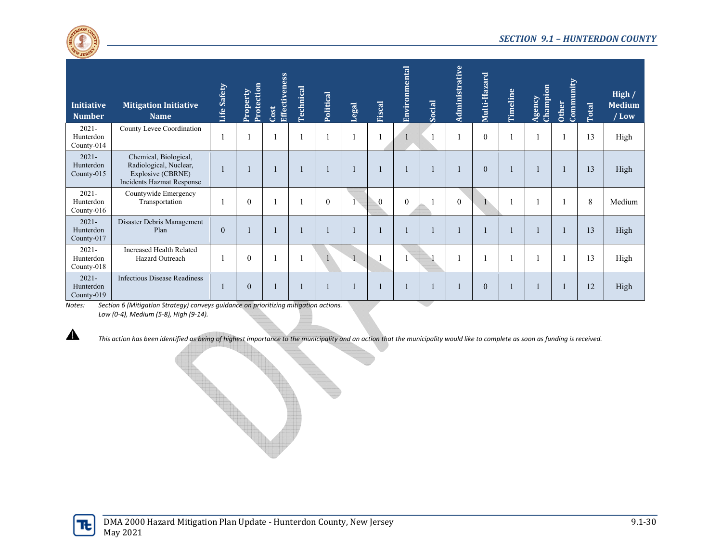

| <b>Initiative</b><br><b>Number</b>  | <b>Mitigation Initiative</b><br><b>Name</b>                                                              | Life Safety | Protection<br>Property | Effectiveness<br>Cost | <b>Technical</b> | Political    | Legal | Fiscal         | Environmental    | Social | Administrative | Multi-Hazard | Timeline | Champion<br>Agency | Community<br>Other | Total | High /<br><b>Medium</b><br>$/$ Low |
|-------------------------------------|----------------------------------------------------------------------------------------------------------|-------------|------------------------|-----------------------|------------------|--------------|-------|----------------|------------------|--------|----------------|--------------|----------|--------------------|--------------------|-------|------------------------------------|
| $2021 -$<br>Hunterdon<br>County-014 | County Levee Coordination                                                                                |             |                        |                       |                  |              |       |                |                  |        |                | $\mathbf{0}$ |          |                    |                    | 13    | High                               |
| $2021 -$<br>Hunterdon<br>County-015 | Chemical, Biological,<br>Radiological, Nuclear,<br>Explosive (CBRNE)<br><b>Incidents Hazmat Response</b> |             |                        |                       |                  |              |       |                |                  |        |                | $\mathbf{0}$ |          |                    |                    | 13    | High                               |
| $2021 -$<br>Hunterdon<br>County-016 | Countywide Emergency<br>Transportation                                                                   |             | $\theta$               |                       |                  | $\theta$     |       | $\overline{0}$ | $\boldsymbol{0}$ |        | $\theta$       |              |          |                    |                    | 8     | Medium                             |
| $2021 -$<br>Hunterdon<br>County-017 | Disaster Debris Management<br>Plan                                                                       | $\theta$    |                        |                       |                  |              |       |                |                  |        |                |              |          |                    |                    | 13    | High                               |
| $2021 -$<br>Hunterdon<br>County-018 | <b>Increased Health Related</b><br>Hazard Outreach                                                       |             | $\theta$               |                       |                  | $\mathbf{1}$ |       |                |                  |        |                |              |          |                    |                    | 13    | High                               |
| $2021 -$<br>Hunterdon<br>County-019 | <b>Infectious Disease Readiness</b>                                                                      |             | $\theta$               |                       |                  |              |       |                |                  |        |                | $\theta$     |          |                    |                    | 12    | High                               |

*Notes: Section 6 (Mitigation Strategy) conveys guidance on prioritizing mitigation actions. Low (0‐4), Medium (5‐8), High (9‐14).*

This action has been identified as being of highest importance to the municipality and an action that the municipality would like to complete as soon as funding is received.



 $\blacktriangle$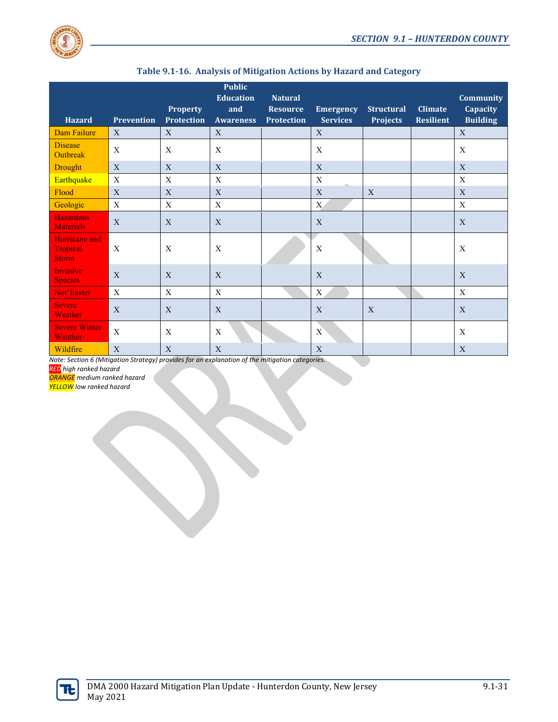

| <b>Hazard</b>                             | <b>Prevention</b> | <b>Property</b><br><b>Protection</b> | <b>Public</b><br><b>Education</b><br>and<br><b>Awareness</b> | <b>Natural</b><br><b>Resource</b><br><b>Protection</b> | <b>Emergency</b><br><b>Services</b> | <b>Structural</b><br><b>Projects</b> | <b>Climate</b><br><b>Resilient</b> | <b>Community</b><br><b>Capacity</b><br><b>Building</b> |
|-------------------------------------------|-------------------|--------------------------------------|--------------------------------------------------------------|--------------------------------------------------------|-------------------------------------|--------------------------------------|------------------------------------|--------------------------------------------------------|
| Dam Failure                               | X                 | X                                    | X                                                            |                                                        | X                                   |                                      |                                    | X                                                      |
| <b>Disease</b><br><b>Outbreak</b>         | X                 | X                                    | X                                                            |                                                        | X                                   |                                      |                                    | X                                                      |
| Drought                                   | X                 | X                                    | $\mathbf X$                                                  |                                                        | $\mathbf X$                         |                                      |                                    | X                                                      |
| Earthquake                                | X                 | X                                    | $\mathbf X$                                                  |                                                        | $\mathbf X$                         |                                      |                                    | X                                                      |
| Flood                                     | X                 | X                                    | X                                                            |                                                        | X                                   | X                                    |                                    | X                                                      |
| Geologic                                  | $\mathbf X$       | $\mathbf X$                          | $\mathbf X$                                                  |                                                        | X                                   |                                      |                                    | X                                                      |
| <b>Hazardous</b><br><b>Materials</b>      | X                 | X                                    | X                                                            |                                                        | X                                   |                                      |                                    | X                                                      |
| Hurricane and<br>Tropical<br><b>Storm</b> | X                 | X                                    | X                                                            |                                                        | X                                   |                                      |                                    | $\mathbf X$                                            |
| Invasive<br><b>Species</b>                | X                 | X                                    | X                                                            |                                                        | X                                   |                                      |                                    | X                                                      |
| Nor'Easter                                | X                 | X                                    | $\mathbf X$                                                  |                                                        | X                                   |                                      |                                    | X                                                      |
| <b>Severe</b><br>Weather                  | $\mathbf{X}$      | $\mathbf{X}$                         | $\overline{X}$                                               |                                                        | X                                   | $\mathbf{X}$                         |                                    | X                                                      |
| <b>Severe Winter</b><br>Weather           | $\mathbf X$       | X                                    | X                                                            |                                                        | X                                   |                                      |                                    | X                                                      |
| Wildfire                                  | X                 | X                                    | $\mathbf X$                                                  |                                                        | $\mathbf X$                         |                                      |                                    | X                                                      |

|  | Table 9.1-16. Analysis of Mitigation Actions by Hazard and Category |  |  |
|--|---------------------------------------------------------------------|--|--|
|--|---------------------------------------------------------------------|--|--|

*Note: Section 6 (Mitigation Strategy) provides for an explanation of the mitigation categories.*

*RED high ranked hazard*

*ORANGE medium ranked hazard*

*YELLOW low ranked hazard*

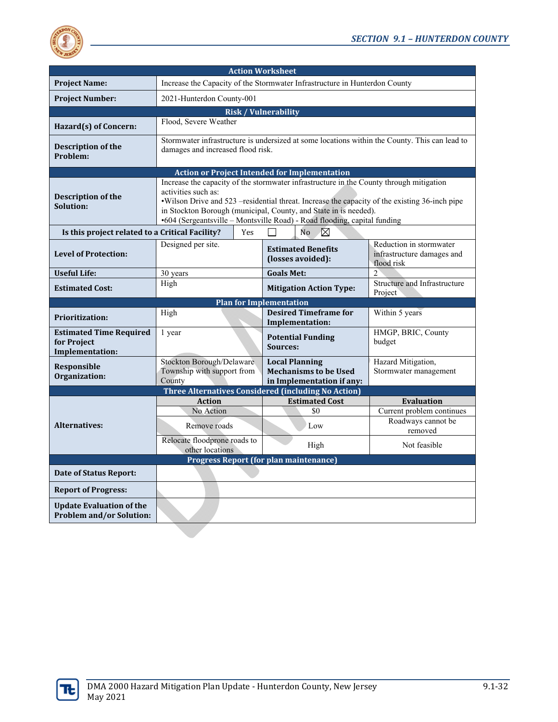

|                                                                         |                                                                   | <b>Action Worksheet</b>                                                                                                                                                                                                                                                                                                                   |                                                                     |
|-------------------------------------------------------------------------|-------------------------------------------------------------------|-------------------------------------------------------------------------------------------------------------------------------------------------------------------------------------------------------------------------------------------------------------------------------------------------------------------------------------------|---------------------------------------------------------------------|
| <b>Project Name:</b>                                                    |                                                                   | Increase the Capacity of the Stormwater Infrastructure in Hunterdon County                                                                                                                                                                                                                                                                |                                                                     |
| <b>Project Number:</b>                                                  | 2021-Hunterdon County-001                                         |                                                                                                                                                                                                                                                                                                                                           |                                                                     |
|                                                                         |                                                                   | <b>Risk / Vulnerability</b>                                                                                                                                                                                                                                                                                                               |                                                                     |
| Hazard(s) of Concern:                                                   | Flood, Severe Weather                                             |                                                                                                                                                                                                                                                                                                                                           |                                                                     |
| Description of the<br>Problem:                                          | damages and increased flood risk.                                 | Stormwater infrastructure is undersized at some locations within the County. This can lead to                                                                                                                                                                                                                                             |                                                                     |
|                                                                         |                                                                   | <b>Action or Project Intended for Implementation</b>                                                                                                                                                                                                                                                                                      |                                                                     |
| Description of the<br>Solution:                                         | activities such as:                                               | Increase the capacity of the stormwater infrastructure in the County through mitigation<br>. Wilson Drive and 523 –residential threat. Increase the capacity of the existing 36-inch pipe<br>in Stockton Borough (municipal, County, and State in is needed).<br>•604 (Sergeantsville - Montsville Road) - Road flooding, capital funding |                                                                     |
| Is this project related to a Critical Facility?                         | Yes                                                               | ⊠<br>N <sub>o</sub>                                                                                                                                                                                                                                                                                                                       |                                                                     |
| <b>Level of Protection:</b>                                             | Designed per site.                                                | <b>Estimated Benefits</b><br>(losses avoided):                                                                                                                                                                                                                                                                                            | Reduction in stormwater<br>infrastructure damages and<br>flood risk |
| <b>Useful Life:</b>                                                     | 30 years                                                          | <b>Goals Met:</b>                                                                                                                                                                                                                                                                                                                         | $\mathcal{D}$                                                       |
| <b>Estimated Cost:</b>                                                  | High                                                              | <b>Mitigation Action Type:</b>                                                                                                                                                                                                                                                                                                            | Structure and Infrastructure<br>Project                             |
|                                                                         |                                                                   | Plan for Implementation                                                                                                                                                                                                                                                                                                                   |                                                                     |
| <b>Prioritization:</b>                                                  | High                                                              | <b>Desired Timeframe for</b><br>Implementation:                                                                                                                                                                                                                                                                                           | Within 5 years                                                      |
| <b>Estimated Time Required</b><br>for Project<br><b>Implementation:</b> | 1 year                                                            | <b>Potential Funding</b><br>Sources:                                                                                                                                                                                                                                                                                                      | HMGP, BRIC, County<br>budget                                        |
| <b>Responsible</b><br>Organization:                                     | Stockton Borough/Delaware<br>Township with support from<br>County | <b>Local Planning</b><br><b>Mechanisms to be Used</b><br>in Implementation if any:                                                                                                                                                                                                                                                        | Hazard Mitigation,<br>Stormwater management                         |
|                                                                         |                                                                   |                                                                                                                                                                                                                                                                                                                                           |                                                                     |
|                                                                         |                                                                   | <b>Three Alternatives Considered (including No Action)</b>                                                                                                                                                                                                                                                                                |                                                                     |
|                                                                         | <b>Action</b>                                                     | <b>Estimated Cost</b>                                                                                                                                                                                                                                                                                                                     | <b>Evaluation</b>                                                   |
|                                                                         | No Action                                                         | \$0                                                                                                                                                                                                                                                                                                                                       | Current problem continues                                           |
| <b>Alternatives:</b>                                                    | Remove roads                                                      | Low                                                                                                                                                                                                                                                                                                                                       | Roadways cannot be<br>removed                                       |
|                                                                         | Relocate floodprone roads to<br>other locations                   | High                                                                                                                                                                                                                                                                                                                                      | Not feasible                                                        |
|                                                                         |                                                                   | <b>Progress Report (for plan maintenance)</b>                                                                                                                                                                                                                                                                                             |                                                                     |
| <b>Date of Status Report:</b>                                           |                                                                   |                                                                                                                                                                                                                                                                                                                                           |                                                                     |
| <b>Report of Progress:</b>                                              |                                                                   |                                                                                                                                                                                                                                                                                                                                           |                                                                     |

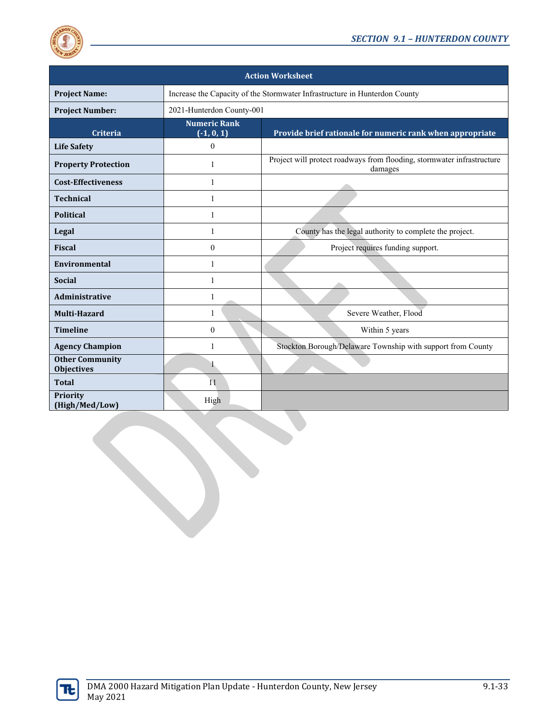

|                                             |                                     | <b>Action Worksheet</b>                                                           |
|---------------------------------------------|-------------------------------------|-----------------------------------------------------------------------------------|
| <b>Project Name:</b>                        |                                     | Increase the Capacity of the Stormwater Infrastructure in Hunterdon County        |
| <b>Project Number:</b>                      | 2021-Hunterdon County-001           |                                                                                   |
| Criteria                                    | <b>Numeric Rank</b><br>$(-1, 0, 1)$ | Provide brief rationale for numeric rank when appropriate                         |
| <b>Life Safety</b>                          | $\mathbf{0}$                        |                                                                                   |
| <b>Property Protection</b>                  | 1                                   | Project will protect roadways from flooding, stormwater infrastructure<br>damages |
| <b>Cost-Effectiveness</b>                   | 1                                   |                                                                                   |
| <b>Technical</b>                            | 1                                   |                                                                                   |
| <b>Political</b>                            | 1                                   |                                                                                   |
| Legal                                       | 1                                   | County has the legal authority to complete the project.                           |
| <b>Fiscal</b>                               | $\mathbf{0}$                        | Project requires funding support.                                                 |
| Environmental                               | 1                                   |                                                                                   |
| <b>Social</b>                               | 1                                   |                                                                                   |
| <b>Administrative</b>                       | 1                                   |                                                                                   |
| Multi-Hazard                                | 1                                   | Severe Weather, Flood                                                             |
| <b>Timeline</b>                             | $\theta$                            | Within 5 years                                                                    |
| <b>Agency Champion</b>                      | 1                                   | Stockton Borough/Delaware Township with support from County                       |
| <b>Other Community</b><br><b>Objectives</b> |                                     |                                                                                   |
| <b>Total</b>                                | 11                                  |                                                                                   |
| <b>Priority</b><br>(High/Med/Low)           | High                                |                                                                                   |

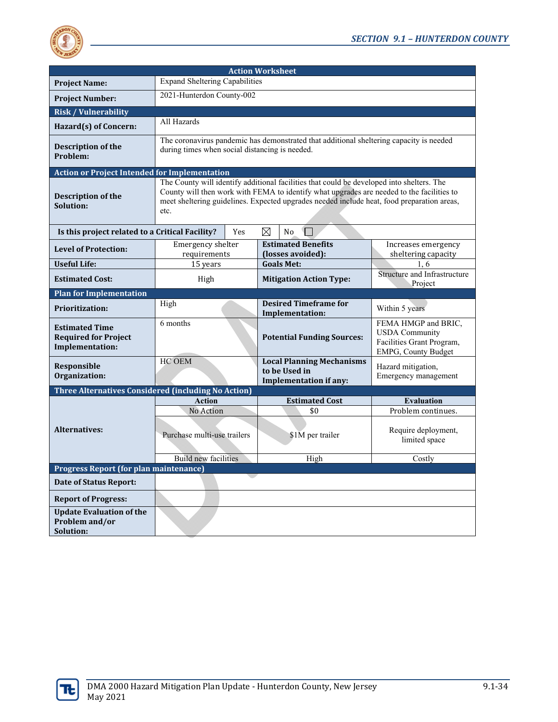

|                                                                         |                                                | <b>Action Worksheet</b> |   |                                                                                                                                                                                                                                                                                      |                                                                                                  |
|-------------------------------------------------------------------------|------------------------------------------------|-------------------------|---|--------------------------------------------------------------------------------------------------------------------------------------------------------------------------------------------------------------------------------------------------------------------------------------|--------------------------------------------------------------------------------------------------|
| <b>Project Name:</b>                                                    | <b>Expand Sheltering Capabilities</b>          |                         |   |                                                                                                                                                                                                                                                                                      |                                                                                                  |
| <b>Project Number:</b>                                                  | 2021-Hunterdon County-002                      |                         |   |                                                                                                                                                                                                                                                                                      |                                                                                                  |
| <b>Risk / Vulnerability</b>                                             |                                                |                         |   |                                                                                                                                                                                                                                                                                      |                                                                                                  |
| Hazard(s) of Concern:                                                   | All Hazards                                    |                         |   |                                                                                                                                                                                                                                                                                      |                                                                                                  |
| <b>Description of the</b><br>Problem:                                   | during times when social distancing is needed. |                         |   | The coronavirus pandemic has demonstrated that additional sheltering capacity is needed                                                                                                                                                                                              |                                                                                                  |
| <b>Action or Project Intended for Implementation</b>                    |                                                |                         |   |                                                                                                                                                                                                                                                                                      |                                                                                                  |
| Description of the<br>Solution:                                         | etc.                                           |                         |   | The County will identify additional facilities that could be developed into shelters. The<br>County will then work with FEMA to identify what upgrades are needed to the facilities to<br>meet sheltering guidelines. Expected upgrades needed include heat, food preparation areas, |                                                                                                  |
| Is this project related to a Critical Facility?                         |                                                | Yes                     | ⊠ | N <sub>o</sub>                                                                                                                                                                                                                                                                       |                                                                                                  |
| <b>Level of Protection:</b>                                             | Emergency shelter<br>requirements              |                         |   | <b>Estimated Benefits</b><br>(losses avoided):                                                                                                                                                                                                                                       | Increases emergency<br>sheltering capacity                                                       |
| <b>Useful Life:</b>                                                     | 15 years                                       |                         |   | <b>Goals Met:</b>                                                                                                                                                                                                                                                                    | 1.6                                                                                              |
| <b>Estimated Cost:</b>                                                  | High                                           |                         |   | <b>Mitigation Action Type:</b>                                                                                                                                                                                                                                                       | Structure and Infrastructure<br>Project                                                          |
| <b>Plan for Implementation</b>                                          |                                                |                         |   |                                                                                                                                                                                                                                                                                      |                                                                                                  |
| <b>Prioritization:</b>                                                  | High                                           |                         |   | <b>Desired Timeframe for</b><br>Implementation:                                                                                                                                                                                                                                      | Within 5 years                                                                                   |
| <b>Estimated Time</b><br><b>Required for Project</b><br>Implementation: | 6 months                                       |                         |   | <b>Potential Funding Sources:</b>                                                                                                                                                                                                                                                    | FEMA HMGP and BRIC,<br><b>USDA</b> Community<br>Facilities Grant Program,<br>EMPG, County Budget |
| Responsible<br>Organization:                                            | HC OEM                                         |                         |   | <b>Local Planning Mechanisms</b><br>to be Used in<br><b>Implementation if any:</b>                                                                                                                                                                                                   | Hazard mitigation,<br>Emergency management                                                       |
| <b>Three Alternatives Considered (including No Action)</b>              |                                                |                         |   |                                                                                                                                                                                                                                                                                      |                                                                                                  |
|                                                                         | <b>Action</b>                                  |                         |   | <b>Estimated Cost</b>                                                                                                                                                                                                                                                                | <b>Evaluation</b>                                                                                |
|                                                                         | No Action                                      |                         |   | \$0                                                                                                                                                                                                                                                                                  | Problem continues.                                                                               |
| <b>Alternatives:</b>                                                    | Purchase multi-use trailers                    |                         |   | \$1M per trailer                                                                                                                                                                                                                                                                     | Require deployment,<br>limited space                                                             |
|                                                                         | <b>Build new facilities</b>                    |                         |   | High                                                                                                                                                                                                                                                                                 | Costly                                                                                           |
| <b>Progress Report (for plan maintenance)</b>                           |                                                |                         |   |                                                                                                                                                                                                                                                                                      |                                                                                                  |
| Date of Status Report:                                                  |                                                |                         |   |                                                                                                                                                                                                                                                                                      |                                                                                                  |
| <b>Report of Progress:</b>                                              |                                                |                         |   |                                                                                                                                                                                                                                                                                      |                                                                                                  |
| <b>Update Evaluation of the</b><br>Problem and/or<br>Solution:          |                                                |                         |   |                                                                                                                                                                                                                                                                                      |                                                                                                  |

<u> 1980 - Johann Barbara, martx</u>

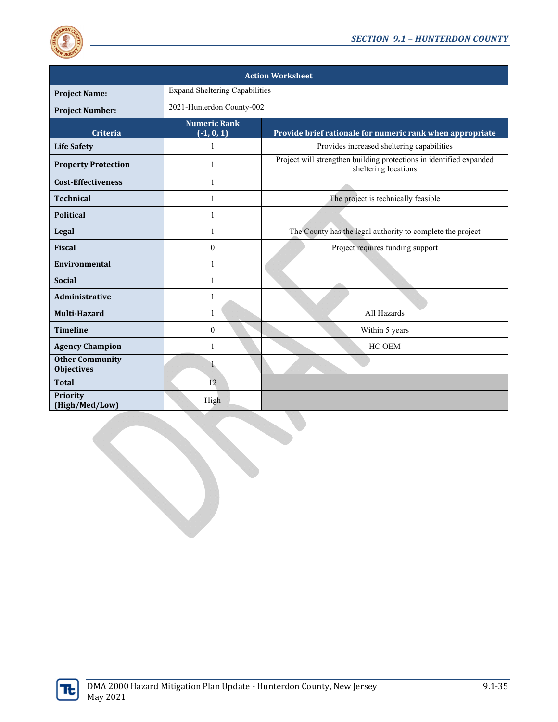

| <b>Action Worksheet</b>                     |                                       |                                                                                             |  |  |
|---------------------------------------------|---------------------------------------|---------------------------------------------------------------------------------------------|--|--|
| <b>Project Name:</b>                        | <b>Expand Sheltering Capabilities</b> |                                                                                             |  |  |
| <b>Project Number:</b>                      | 2021-Hunterdon County-002             |                                                                                             |  |  |
| <b>Criteria</b>                             | <b>Numeric Rank</b><br>$(-1, 0, 1)$   | Provide brief rationale for numeric rank when appropriate                                   |  |  |
| <b>Life Safety</b>                          | 1                                     | Provides increased sheltering capabilities                                                  |  |  |
| <b>Property Protection</b>                  | 1                                     | Project will strengthen building protections in identified expanded<br>sheltering locations |  |  |
| <b>Cost-Effectiveness</b>                   | 1                                     |                                                                                             |  |  |
| <b>Technical</b>                            | 1                                     | The project is technically feasible                                                         |  |  |
| <b>Political</b>                            | 1                                     |                                                                                             |  |  |
| Legal                                       | 1                                     | The County has the legal authority to complete the project                                  |  |  |
| <b>Fiscal</b>                               | $\mathbf{0}$                          | Project requires funding support                                                            |  |  |
| Environmental                               | 1                                     |                                                                                             |  |  |
| <b>Social</b>                               | 1                                     |                                                                                             |  |  |
| Administrative                              | $\mathbf{1}$                          |                                                                                             |  |  |
| Multi-Hazard                                | 1                                     | All Hazards                                                                                 |  |  |
| <b>Timeline</b>                             | $\theta$                              | Within 5 years                                                                              |  |  |
| <b>Agency Champion</b>                      | 1                                     | HC OEM                                                                                      |  |  |
| <b>Other Community</b><br><b>Objectives</b> |                                       |                                                                                             |  |  |
| <b>Total</b>                                | 12                                    |                                                                                             |  |  |
| <b>Priority</b><br>(High/Med/Low)           | High                                  |                                                                                             |  |  |

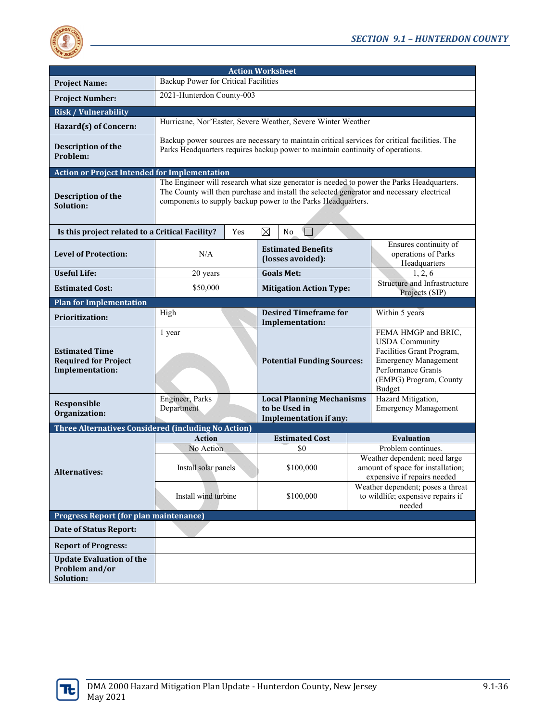

| <b>Action Worksheet</b>                                                        |                                                                                                                                                                                                                                                        |                                                                                    |  |                                                                                                                                                                           |  |
|--------------------------------------------------------------------------------|--------------------------------------------------------------------------------------------------------------------------------------------------------------------------------------------------------------------------------------------------------|------------------------------------------------------------------------------------|--|---------------------------------------------------------------------------------------------------------------------------------------------------------------------------|--|
| <b>Project Name:</b>                                                           |                                                                                                                                                                                                                                                        | Backup Power for Critical Facilities                                               |  |                                                                                                                                                                           |  |
| <b>Project Number:</b>                                                         | 2021-Hunterdon County-003                                                                                                                                                                                                                              |                                                                                    |  |                                                                                                                                                                           |  |
| <b>Risk / Vulnerability</b>                                                    |                                                                                                                                                                                                                                                        |                                                                                    |  |                                                                                                                                                                           |  |
| Hazard(s) of Concern:                                                          | Hurricane, Nor'Easter, Severe Weather, Severe Winter Weather                                                                                                                                                                                           |                                                                                    |  |                                                                                                                                                                           |  |
| <b>Description of the</b><br>Problem:                                          | Backup power sources are necessary to maintain critical services for critical facilities. The<br>Parks Headquarters requires backup power to maintain continuity of operations.                                                                        |                                                                                    |  |                                                                                                                                                                           |  |
| <b>Action or Project Intended for Implementation</b>                           |                                                                                                                                                                                                                                                        |                                                                                    |  |                                                                                                                                                                           |  |
| Description of the<br>Solution:                                                | The Engineer will research what size generator is needed to power the Parks Headquarters.<br>The County will then purchase and install the selected generator and necessary electrical<br>components to supply backup power to the Parks Headquarters. |                                                                                    |  |                                                                                                                                                                           |  |
| Is this project related to a Critical Facility?                                | Yes                                                                                                                                                                                                                                                    | ⊠<br>No                                                                            |  |                                                                                                                                                                           |  |
| <b>Level of Protection:</b>                                                    | N/A                                                                                                                                                                                                                                                    | <b>Estimated Benefits</b><br>(losses avoided):                                     |  | Ensures continuity of<br>operations of Parks<br>Headquarters                                                                                                              |  |
| <b>Useful Life:</b>                                                            | 20 years                                                                                                                                                                                                                                               | <b>Goals Met:</b>                                                                  |  | 1, 2, 6                                                                                                                                                                   |  |
| <b>Estimated Cost:</b>                                                         | \$50,000                                                                                                                                                                                                                                               | <b>Mitigation Action Type:</b>                                                     |  | Structure and Infrastructure<br>Projects (SIP)                                                                                                                            |  |
| <b>Plan for Implementation</b>                                                 |                                                                                                                                                                                                                                                        |                                                                                    |  |                                                                                                                                                                           |  |
| <b>Prioritization:</b>                                                         | High                                                                                                                                                                                                                                                   | <b>Desired Timeframe for</b><br>Implementation:                                    |  | Within 5 years                                                                                                                                                            |  |
| <b>Estimated Time</b><br><b>Required for Project</b><br><b>Implementation:</b> | 1 year                                                                                                                                                                                                                                                 | <b>Potential Funding Sources:</b>                                                  |  | FEMA HMGP and BRIC,<br><b>USDA</b> Community<br>Facilities Grant Program,<br><b>Emergency Management</b><br><b>Performance Grants</b><br>(EMPG) Program, County<br>Budget |  |
| Responsible<br>Organization:                                                   | Engineer, Parks<br>Department                                                                                                                                                                                                                          | <b>Local Planning Mechanisms</b><br>to be Used in<br><b>Implementation if any:</b> |  | Hazard Mitigation,<br><b>Emergency Management</b>                                                                                                                         |  |
| Three Alternatives Considered (including No Action)                            |                                                                                                                                                                                                                                                        |                                                                                    |  |                                                                                                                                                                           |  |
|                                                                                | <b>Action</b>                                                                                                                                                                                                                                          | <b>Estimated Cost</b>                                                              |  | <b>Evaluation</b>                                                                                                                                                         |  |
|                                                                                | No Action                                                                                                                                                                                                                                              | \$0                                                                                |  | Problem continues.                                                                                                                                                        |  |
| <b>Alternatives:</b>                                                           | Install solar panels                                                                                                                                                                                                                                   | \$100,000                                                                          |  | Weather dependent; need large<br>amount of space for installation;<br>expensive if repairs needed                                                                         |  |
|                                                                                | Install wind turbine                                                                                                                                                                                                                                   | \$100,000                                                                          |  | Weather dependent; poses a threat<br>to wildlife; expensive repairs if<br>needed                                                                                          |  |
| Progress Report (for plan maintenance)                                         |                                                                                                                                                                                                                                                        |                                                                                    |  |                                                                                                                                                                           |  |
| <b>Date of Status Report:</b>                                                  |                                                                                                                                                                                                                                                        |                                                                                    |  |                                                                                                                                                                           |  |
| <b>Report of Progress:</b>                                                     |                                                                                                                                                                                                                                                        |                                                                                    |  |                                                                                                                                                                           |  |
| <b>Update Evaluation of the</b><br>Problem and/or<br>Solution:                 |                                                                                                                                                                                                                                                        |                                                                                    |  |                                                                                                                                                                           |  |

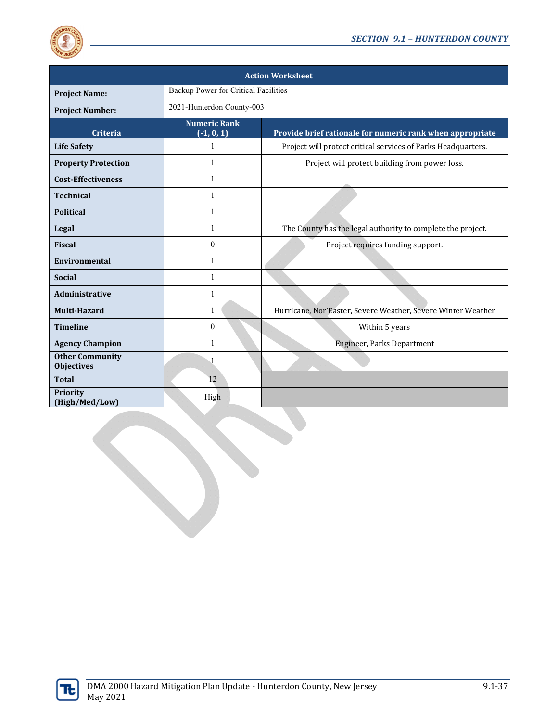

| <b>Action Worksheet</b>                     |                                      |                                                               |  |  |
|---------------------------------------------|--------------------------------------|---------------------------------------------------------------|--|--|
| <b>Project Name:</b>                        | Backup Power for Critical Facilities |                                                               |  |  |
| <b>Project Number:</b>                      | 2021-Hunterdon County-003            |                                                               |  |  |
| <b>Criteria</b>                             | <b>Numeric Rank</b><br>$(-1, 0, 1)$  | Provide brief rationale for numeric rank when appropriate     |  |  |
| <b>Life Safety</b>                          | 1                                    | Project will protect critical services of Parks Headquarters. |  |  |
| <b>Property Protection</b>                  | 1                                    | Project will protect building from power loss.                |  |  |
| <b>Cost-Effectiveness</b>                   | 1                                    |                                                               |  |  |
| <b>Technical</b>                            | 1                                    |                                                               |  |  |
| <b>Political</b>                            | $\mathbf{1}$                         |                                                               |  |  |
| Legal                                       | 1                                    | The County has the legal authority to complete the project.   |  |  |
| <b>Fiscal</b>                               | $\theta$                             | Project requires funding support.                             |  |  |
| <b>Environmental</b>                        | 1                                    |                                                               |  |  |
| <b>Social</b>                               | 1                                    |                                                               |  |  |
| <b>Administrative</b>                       | 1                                    |                                                               |  |  |
| Multi-Hazard                                | 1                                    | Hurricane, Nor'Easter, Severe Weather, Severe Winter Weather  |  |  |
| <b>Timeline</b>                             | $\theta$                             | Within 5 years                                                |  |  |
| <b>Agency Champion</b>                      | 1                                    | Engineer, Parks Department                                    |  |  |
| <b>Other Community</b><br><b>Objectives</b> |                                      |                                                               |  |  |
| <b>Total</b>                                | 12                                   |                                                               |  |  |
| Priority<br>(High/Med/Low)                  | High                                 |                                                               |  |  |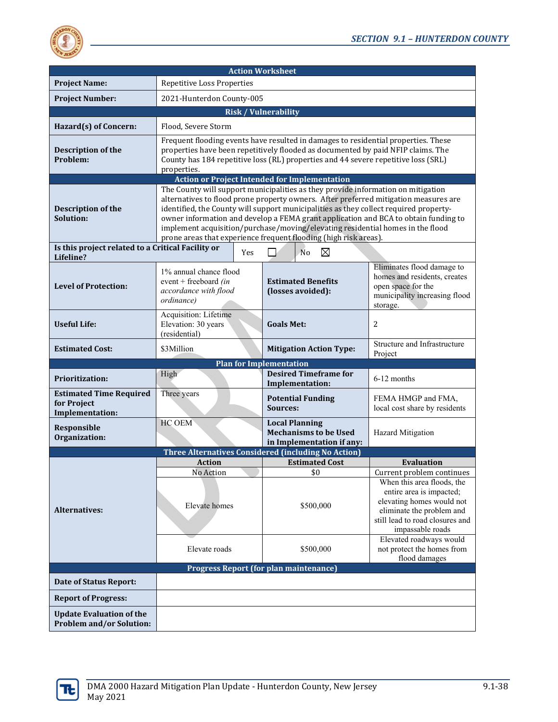

| <b>Action Worksheet</b>                                            |                                                                                                                                                                                                                                                                                                                                                                                                                                                                                                                |     |                                |                                                                                    |                                                                                                                                                                                                      |
|--------------------------------------------------------------------|----------------------------------------------------------------------------------------------------------------------------------------------------------------------------------------------------------------------------------------------------------------------------------------------------------------------------------------------------------------------------------------------------------------------------------------------------------------------------------------------------------------|-----|--------------------------------|------------------------------------------------------------------------------------|------------------------------------------------------------------------------------------------------------------------------------------------------------------------------------------------------|
| <b>Project Name:</b>                                               | <b>Repetitive Loss Properties</b>                                                                                                                                                                                                                                                                                                                                                                                                                                                                              |     |                                |                                                                                    |                                                                                                                                                                                                      |
| <b>Project Number:</b>                                             | 2021-Hunterdon County-005                                                                                                                                                                                                                                                                                                                                                                                                                                                                                      |     |                                |                                                                                    |                                                                                                                                                                                                      |
|                                                                    | <b>Risk / Vulnerability</b>                                                                                                                                                                                                                                                                                                                                                                                                                                                                                    |     |                                |                                                                                    |                                                                                                                                                                                                      |
| Hazard(s) of Concern:                                              | Flood. Severe Storm                                                                                                                                                                                                                                                                                                                                                                                                                                                                                            |     |                                |                                                                                    |                                                                                                                                                                                                      |
| Description of the<br>Problem:                                     | Frequent flooding events have resulted in damages to residential properties. These<br>properties have been repetitively flooded as documented by paid NFIP claims. The<br>County has 184 repetitive loss (RL) properties and 44 severe repetitive loss (SRL)<br>properties.                                                                                                                                                                                                                                    |     |                                |                                                                                    |                                                                                                                                                                                                      |
|                                                                    | <b>Action or Project Intended for Implementation</b>                                                                                                                                                                                                                                                                                                                                                                                                                                                           |     |                                |                                                                                    |                                                                                                                                                                                                      |
| <b>Description of the</b><br>Solution:                             | The County will support municipalities as they provide information on mitigation<br>alternatives to flood prone property owners. After preferred mitigation measures are<br>identified, the County will support municipalities as they collect required property-<br>owner information and develop a FEMA grant application and BCA to obtain funding to<br>implement acquisition/purchase/moving/elevating residential homes in the flood<br>prone areas that experience frequent flooding (high risk areas). |     |                                |                                                                                    |                                                                                                                                                                                                      |
| Is this project related to a Critical Facility or<br>Lifeline?     |                                                                                                                                                                                                                                                                                                                                                                                                                                                                                                                | Yes |                                | ⊠<br>N <sub>o</sub>                                                                |                                                                                                                                                                                                      |
| <b>Level of Protection:</b>                                        | 1% annual chance flood<br>event + freeboard $(in$<br>accordance with flood<br>ordinance)                                                                                                                                                                                                                                                                                                                                                                                                                       |     |                                | <b>Estimated Benefits</b><br>(losses avoided):                                     | Eliminates flood damage to<br>homes and residents, creates<br>open space for the<br>municipality increasing flood<br>storage.                                                                        |
| <b>Useful Life:</b>                                                | Acquisition: Lifetime<br>Elevation: 30 years<br>(residential)                                                                                                                                                                                                                                                                                                                                                                                                                                                  |     | <b>Goals Met:</b>              |                                                                                    | 2                                                                                                                                                                                                    |
| <b>Estimated Cost:</b>                                             | \$3Million                                                                                                                                                                                                                                                                                                                                                                                                                                                                                                     |     |                                | <b>Mitigation Action Type:</b>                                                     | Structure and Infrastructure<br>Project                                                                                                                                                              |
|                                                                    |                                                                                                                                                                                                                                                                                                                                                                                                                                                                                                                |     | <b>Plan for Implementation</b> |                                                                                    |                                                                                                                                                                                                      |
| <b>Prioritization:</b>                                             | High                                                                                                                                                                                                                                                                                                                                                                                                                                                                                                           |     |                                | <b>Desired Timeframe for</b><br>Implementation:                                    | 6-12 months                                                                                                                                                                                          |
| <b>Estimated Time Required</b><br>for Project<br>Implementation:   | Three years                                                                                                                                                                                                                                                                                                                                                                                                                                                                                                    |     | <b>Sources:</b>                | <b>Potential Funding</b>                                                           | FEMA HMGP and FMA,<br>local cost share by residents                                                                                                                                                  |
| Responsible<br>Organization:                                       | HC OEM                                                                                                                                                                                                                                                                                                                                                                                                                                                                                                         |     |                                | <b>Local Planning</b><br><b>Mechanisms to be Used</b><br>in Implementation if any: | <b>Hazard Mitigation</b>                                                                                                                                                                             |
|                                                                    | Three Alternatives Considered (including No Action)                                                                                                                                                                                                                                                                                                                                                                                                                                                            |     |                                |                                                                                    |                                                                                                                                                                                                      |
|                                                                    | Action                                                                                                                                                                                                                                                                                                                                                                                                                                                                                                         |     |                                | <b>Estimated Cost</b>                                                              | <b>Evaluation</b>                                                                                                                                                                                    |
| <b>Alternatives:</b>                                               | No Action<br>Elevate homes                                                                                                                                                                                                                                                                                                                                                                                                                                                                                     |     |                                | \$0<br>\$500,000                                                                   | Current problem continues<br>When this area floods, the<br>entire area is impacted;<br>elevating homes would not<br>eliminate the problem and<br>still lead to road closures and<br>impassable roads |
|                                                                    | Elevate roads                                                                                                                                                                                                                                                                                                                                                                                                                                                                                                  |     |                                | \$500,000                                                                          | Elevated roadways would<br>not protect the homes from<br>flood damages                                                                                                                               |
|                                                                    | <b>Progress Report (for plan maintenance)</b>                                                                                                                                                                                                                                                                                                                                                                                                                                                                  |     |                                |                                                                                    |                                                                                                                                                                                                      |
| <b>Date of Status Report:</b>                                      |                                                                                                                                                                                                                                                                                                                                                                                                                                                                                                                |     |                                |                                                                                    |                                                                                                                                                                                                      |
| <b>Report of Progress:</b>                                         |                                                                                                                                                                                                                                                                                                                                                                                                                                                                                                                |     |                                |                                                                                    |                                                                                                                                                                                                      |
| <b>Update Evaluation of the</b><br><b>Problem and/or Solution:</b> |                                                                                                                                                                                                                                                                                                                                                                                                                                                                                                                |     |                                |                                                                                    |                                                                                                                                                                                                      |

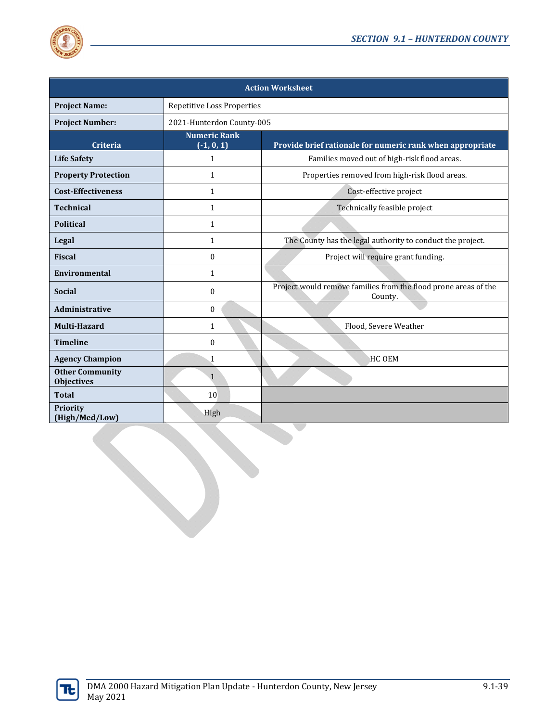

| <b>Action Worksheet</b>                     |                                                                                                             |                                                                            |  |  |
|---------------------------------------------|-------------------------------------------------------------------------------------------------------------|----------------------------------------------------------------------------|--|--|
| <b>Project Name:</b>                        | Repetitive Loss Properties                                                                                  |                                                                            |  |  |
| <b>Project Number:</b>                      | 2021-Hunterdon County-005                                                                                   |                                                                            |  |  |
| Criteria                                    | <b>Numeric Rank</b><br>$\overline{(-1, 0, 1)}$<br>Provide brief rationale for numeric rank when appropriate |                                                                            |  |  |
| <b>Life Safety</b>                          | $\mathbf{1}$                                                                                                | Families moved out of high-risk flood areas.                               |  |  |
| <b>Property Protection</b>                  | $\mathbf{1}$                                                                                                | Properties removed from high-risk flood areas.                             |  |  |
| <b>Cost-Effectiveness</b>                   | 1                                                                                                           | Cost-effective project                                                     |  |  |
| <b>Technical</b>                            | $\mathbf{1}$                                                                                                | Technically feasible project                                               |  |  |
| <b>Political</b>                            | $\mathbf{1}$                                                                                                |                                                                            |  |  |
| <b>Legal</b>                                | $\mathbf{1}$                                                                                                | The County has the legal authority to conduct the project.                 |  |  |
| <b>Fiscal</b>                               | $\mathbf{0}$                                                                                                | Project will require grant funding.                                        |  |  |
| <b>Environmental</b>                        | $\mathbf{1}$                                                                                                |                                                                            |  |  |
| <b>Social</b>                               | $\mathbf{0}$                                                                                                | Project would remove families from the flood prone areas of the<br>County. |  |  |
| Administrative                              | $\mathbf{0}$                                                                                                |                                                                            |  |  |
| Multi-Hazard                                | $\mathbf{1}$                                                                                                | Flood, Severe Weather                                                      |  |  |
| <b>Timeline</b>                             | $\Omega$                                                                                                    |                                                                            |  |  |
| <b>Agency Champion</b>                      | $\mathbf{1}$                                                                                                | <b>HC OEM</b>                                                              |  |  |
| <b>Other Community</b><br><b>Objectives</b> | 1                                                                                                           |                                                                            |  |  |
| <b>Total</b>                                | 10                                                                                                          |                                                                            |  |  |
| Priority<br>(High/Med/Low)                  | High                                                                                                        |                                                                            |  |  |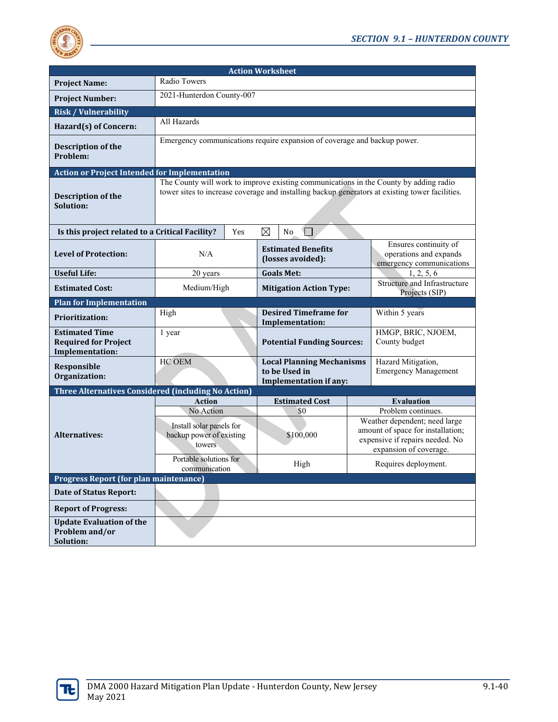

| <b>Action Worksheet</b>                                                        |                                                                                                                                                                                          |                           |                                |                                                                                    |                                                |                                                                                                                                                       |
|--------------------------------------------------------------------------------|------------------------------------------------------------------------------------------------------------------------------------------------------------------------------------------|---------------------------|--------------------------------|------------------------------------------------------------------------------------|------------------------------------------------|-------------------------------------------------------------------------------------------------------------------------------------------------------|
| <b>Project Name:</b>                                                           | Radio Towers                                                                                                                                                                             |                           |                                |                                                                                    |                                                |                                                                                                                                                       |
| <b>Project Number:</b>                                                         |                                                                                                                                                                                          | 2021-Hunterdon County-007 |                                |                                                                                    |                                                |                                                                                                                                                       |
| <b>Risk / Vulnerability</b>                                                    |                                                                                                                                                                                          |                           |                                |                                                                                    |                                                |                                                                                                                                                       |
| Hazard(s) of Concern:                                                          | All Hazards                                                                                                                                                                              |                           |                                |                                                                                    |                                                |                                                                                                                                                       |
| Description of the<br>Problem:                                                 | Emergency communications require expansion of coverage and backup power.                                                                                                                 |                           |                                |                                                                                    |                                                |                                                                                                                                                       |
| <b>Action or Project Intended for Implementation</b>                           |                                                                                                                                                                                          |                           |                                |                                                                                    |                                                |                                                                                                                                                       |
| Description of the<br>Solution:                                                | The County will work to improve existing communications in the County by adding radio<br>tower sites to increase coverage and installing backup generators at existing tower facilities. |                           |                                |                                                                                    |                                                |                                                                                                                                                       |
| Is this project related to a Critical Facility?                                |                                                                                                                                                                                          | Yes                       | ⊠                              | $\overline{\phantom{a}}$<br>N <sub>0</sub>                                         |                                                |                                                                                                                                                       |
| <b>Level of Protection:</b>                                                    | N/A                                                                                                                                                                                      |                           |                                | <b>Estimated Benefits</b><br>(losses avoided):                                     |                                                | Ensures continuity of<br>operations and expands<br>emergency communications                                                                           |
| <b>Useful Life:</b>                                                            | 20 years                                                                                                                                                                                 |                           |                                | <b>Goals Met:</b>                                                                  |                                                | 1, 2, 5, 6                                                                                                                                            |
| <b>Estimated Cost:</b>                                                         | Medium/High                                                                                                                                                                              |                           | <b>Mitigation Action Type:</b> |                                                                                    | Structure and Infrastructure<br>Projects (SIP) |                                                                                                                                                       |
| <b>Plan for Implementation</b>                                                 |                                                                                                                                                                                          |                           |                                |                                                                                    |                                                |                                                                                                                                                       |
| <b>Prioritization:</b>                                                         | High                                                                                                                                                                                     |                           |                                | <b>Desired Timeframe for</b><br><b>Implementation:</b>                             |                                                | Within 5 years                                                                                                                                        |
| <b>Estimated Time</b><br><b>Required for Project</b><br><b>Implementation:</b> | 1 year                                                                                                                                                                                   |                           |                                | <b>Potential Funding Sources:</b>                                                  |                                                | HMGP, BRIC, NJOEM,<br>County budget                                                                                                                   |
| Responsible<br>Organization:                                                   | HC OEM                                                                                                                                                                                   |                           |                                | <b>Local Planning Mechanisms</b><br>to be Used in<br><b>Implementation if any:</b> |                                                | Hazard Mitigation,<br><b>Emergency Management</b>                                                                                                     |
| Three Alternatives Considered (including No Action)                            |                                                                                                                                                                                          |                           |                                |                                                                                    |                                                |                                                                                                                                                       |
|                                                                                | <b>Action</b>                                                                                                                                                                            |                           |                                | <b>Estimated Cost</b>                                                              |                                                | <b>Evaluation</b>                                                                                                                                     |
| <b>Alternatives:</b>                                                           | No Action<br>Install solar panels for<br>backup power of existing<br>towers                                                                                                              |                           |                                | \$0<br>\$100,000                                                                   |                                                | Problem continues.<br>Weather dependent; need large<br>amount of space for installation;<br>expensive if repairs needed. No<br>expansion of coverage. |
|                                                                                | Portable solutions for<br>communication                                                                                                                                                  |                           |                                | High                                                                               |                                                | Requires deployment.                                                                                                                                  |
| <b>Progress Report (for plan maintenance)</b>                                  |                                                                                                                                                                                          |                           |                                |                                                                                    |                                                |                                                                                                                                                       |
| <b>Date of Status Report:</b>                                                  |                                                                                                                                                                                          |                           |                                |                                                                                    |                                                |                                                                                                                                                       |
| <b>Report of Progress:</b>                                                     |                                                                                                                                                                                          |                           |                                |                                                                                    |                                                |                                                                                                                                                       |
| <b>Update Evaluation of the</b><br>Problem and/or<br>Solution:                 |                                                                                                                                                                                          |                           |                                |                                                                                    |                                                |                                                                                                                                                       |

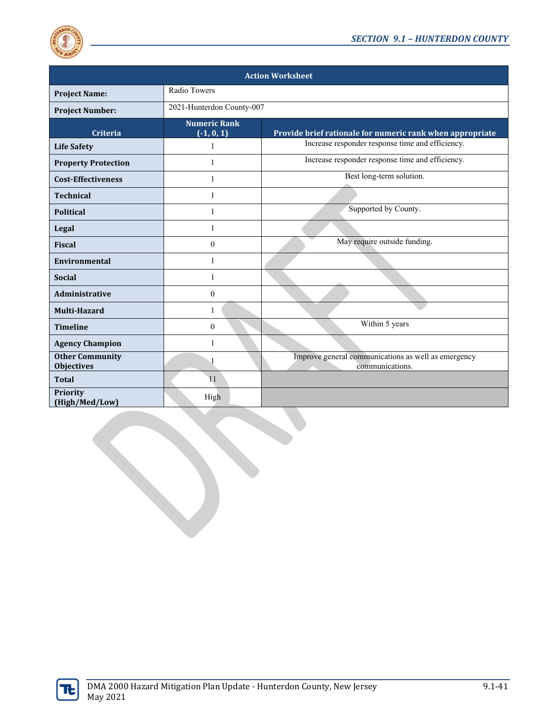

| <b>Action Worksheet</b>                     |                                     |                                                                        |  |  |
|---------------------------------------------|-------------------------------------|------------------------------------------------------------------------|--|--|
| <b>Project Name:</b>                        | Radio Towers                        |                                                                        |  |  |
| <b>Project Number:</b>                      | 2021-Hunterdon County-007           |                                                                        |  |  |
| Criteria                                    | <b>Numeric Rank</b><br>$(-1, 0, 1)$ | Provide brief rationale for numeric rank when appropriate              |  |  |
| <b>Life Safety</b>                          | 1                                   | Increase responder response time and efficiency.                       |  |  |
| <b>Property Protection</b>                  | 1                                   | Increase responder response time and efficiency.                       |  |  |
| <b>Cost-Effectiveness</b>                   | 1                                   | Best long-term solution.                                               |  |  |
| <b>Technical</b>                            | 1                                   |                                                                        |  |  |
| <b>Political</b>                            | 1                                   | Supported by County.                                                   |  |  |
| Legal                                       | 1                                   |                                                                        |  |  |
| <b>Fiscal</b>                               | $\mathbf{0}$                        | May require outside funding.                                           |  |  |
| <b>Environmental</b>                        | 1                                   |                                                                        |  |  |
| <b>Social</b>                               | 1                                   |                                                                        |  |  |
| <b>Administrative</b>                       | $\mathbf{0}$                        |                                                                        |  |  |
| Multi-Hazard                                | 1                                   |                                                                        |  |  |
| <b>Timeline</b>                             | $\mathbf{0}$                        | Within 5 years                                                         |  |  |
| <b>Agency Champion</b>                      | 1                                   |                                                                        |  |  |
| <b>Other Community</b><br><b>Objectives</b> |                                     | Improve general communications as well as emergency<br>communications. |  |  |
| <b>Total</b>                                | 11                                  |                                                                        |  |  |
| Priority<br>(High/Med/Low)                  | High                                |                                                                        |  |  |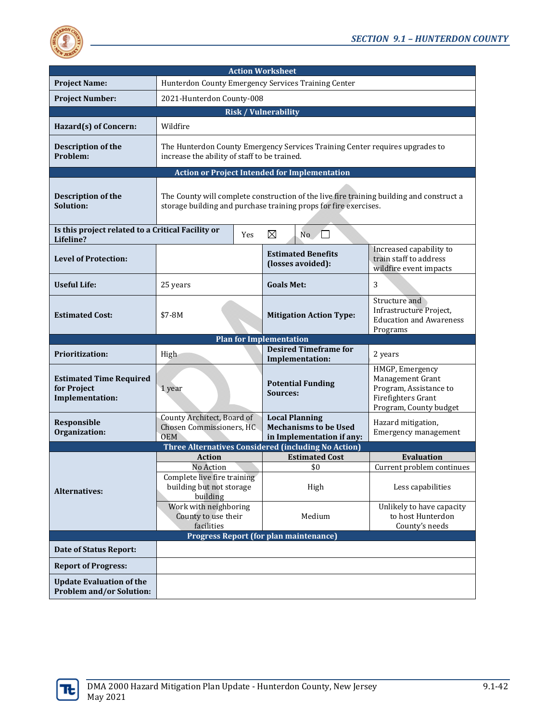

| <b>Action Worksheet</b>                                                 |                                                                                                                                                              |                                                                                    |                                                                                                               |  |  |
|-------------------------------------------------------------------------|--------------------------------------------------------------------------------------------------------------------------------------------------------------|------------------------------------------------------------------------------------|---------------------------------------------------------------------------------------------------------------|--|--|
| <b>Project Name:</b>                                                    | Hunterdon County Emergency Services Training Center                                                                                                          |                                                                                    |                                                                                                               |  |  |
| <b>Project Number:</b>                                                  |                                                                                                                                                              | 2021-Hunterdon County-008                                                          |                                                                                                               |  |  |
|                                                                         |                                                                                                                                                              | <b>Risk / Vulnerability</b>                                                        |                                                                                                               |  |  |
| Hazard(s) of Concern:                                                   | Wildfire                                                                                                                                                     |                                                                                    |                                                                                                               |  |  |
| <b>Description of the</b><br>Problem:                                   | The Hunterdon County Emergency Services Training Center requires upgrades to<br>increase the ability of staff to be trained.                                 |                                                                                    |                                                                                                               |  |  |
|                                                                         | <b>Action or Project Intended for Implementation</b>                                                                                                         |                                                                                    |                                                                                                               |  |  |
| <b>Description of the</b><br>Solution:                                  | The County will complete construction of the live fire training building and construct a<br>storage building and purchase training props for fire exercises. |                                                                                    |                                                                                                               |  |  |
| Is this project related to a Critical Facility or<br>Lifeline?          | Yes                                                                                                                                                          | ⊠<br>No                                                                            |                                                                                                               |  |  |
| <b>Level of Protection:</b>                                             |                                                                                                                                                              | <b>Estimated Benefits</b><br>(losses avoided):                                     | Increased capability to<br>train staff to address<br>wildfire event impacts                                   |  |  |
| <b>Useful Life:</b>                                                     | 25 years                                                                                                                                                     | <b>Goals Met:</b>                                                                  | 3                                                                                                             |  |  |
| <b>Estimated Cost:</b>                                                  | \$7-8M                                                                                                                                                       | <b>Mitigation Action Type:</b>                                                     | Structure and<br>Infrastructure Project,<br><b>Education and Awareness</b><br>Programs                        |  |  |
| <b>Plan for Implementation</b>                                          |                                                                                                                                                              |                                                                                    |                                                                                                               |  |  |
|                                                                         |                                                                                                                                                              |                                                                                    |                                                                                                               |  |  |
| <b>Prioritization:</b>                                                  | High                                                                                                                                                         | <b>Desired Timeframe for</b><br><b>Implementation:</b>                             | 2 years                                                                                                       |  |  |
| <b>Estimated Time Required</b><br>for Project<br><b>Implementation:</b> | 1 year                                                                                                                                                       | <b>Potential Funding</b><br>Sources:                                               | HMGP, Emergency<br>Management Grant<br>Program, Assistance to<br>Firefighters Grant<br>Program, County budget |  |  |
| Responsible<br>Organization:                                            | County Architect, Board of<br>Chosen Commissioners, HC<br><b>OEM</b>                                                                                         | <b>Local Planning</b><br><b>Mechanisms to be Used</b><br>in Implementation if any: | Hazard mitigation,<br>Emergency management                                                                    |  |  |
|                                                                         | Three Alternatives Considered (including No Action)                                                                                                          |                                                                                    |                                                                                                               |  |  |
|                                                                         | <b>Action</b>                                                                                                                                                | <b>Estimated Cost</b>                                                              | Evaluation                                                                                                    |  |  |
| <b>Alternatives:</b>                                                    | No Action<br>Complete live fire training<br>building but not storage                                                                                         | \$0<br>High                                                                        | Current problem continues<br>Less capabilities                                                                |  |  |
|                                                                         | building<br>Work with neighboring<br>County to use their<br>facilities                                                                                       | Medium                                                                             | Unlikely to have capacity<br>to host Hunterdon<br>County's needs                                              |  |  |
|                                                                         |                                                                                                                                                              | <b>Progress Report (for plan maintenance)</b>                                      |                                                                                                               |  |  |
| <b>Date of Status Report:</b>                                           |                                                                                                                                                              |                                                                                    |                                                                                                               |  |  |
| <b>Report of Progress:</b>                                              |                                                                                                                                                              |                                                                                    |                                                                                                               |  |  |

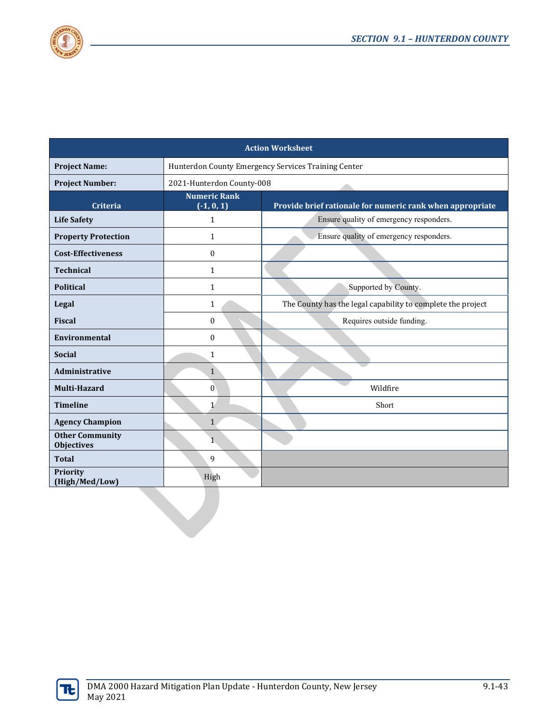

| <b>Action Worksheet</b>                     |                                     |                                                             |  |  |
|---------------------------------------------|-------------------------------------|-------------------------------------------------------------|--|--|
| <b>Project Name:</b>                        |                                     | Hunterdon County Emergency Services Training Center         |  |  |
| <b>Project Number:</b>                      | 2021-Hunterdon County-008           |                                                             |  |  |
| Criteria                                    | <b>Numeric Rank</b><br>$(-1, 0, 1)$ | Provide brief rationale for numeric rank when appropriate   |  |  |
| <b>Life Safety</b>                          | $\mathbf{1}$                        | Ensure quality of emergency responders.                     |  |  |
| <b>Property Protection</b>                  | $\mathbf{1}$                        | Ensure quality of emergency responders.                     |  |  |
| <b>Cost-Effectiveness</b>                   | $\bf{0}$                            |                                                             |  |  |
| <b>Technical</b>                            | $\mathbf{1}$                        |                                                             |  |  |
| <b>Political</b>                            | $\mathbf{1}$                        | Supported by County.                                        |  |  |
| Legal                                       | $\mathbf{1}$                        | The County has the legal capability to complete the project |  |  |
| <b>Fiscal</b>                               | $\mathbf{0}$                        | Requires outside funding.                                   |  |  |
| Environmental                               | $\bf{0}$                            |                                                             |  |  |
| <b>Social</b>                               | $\mathbf{1}$                        |                                                             |  |  |
| <b>Administrative</b>                       | $\mathbf{1}$                        |                                                             |  |  |
| Multi-Hazard                                | $\boldsymbol{0}$                    | Wildfire                                                    |  |  |
| <b>Timeline</b>                             | $\mathbf{1}$                        | Short                                                       |  |  |
| <b>Agency Champion</b>                      | $\mathbf{1}$                        |                                                             |  |  |
| <b>Other Community</b><br><b>Objectives</b> | $\mathbf{1}$                        |                                                             |  |  |
| <b>Total</b>                                | 9                                   |                                                             |  |  |
| Priority<br>(High/Med/Low)                  | High                                |                                                             |  |  |
|                                             |                                     |                                                             |  |  |

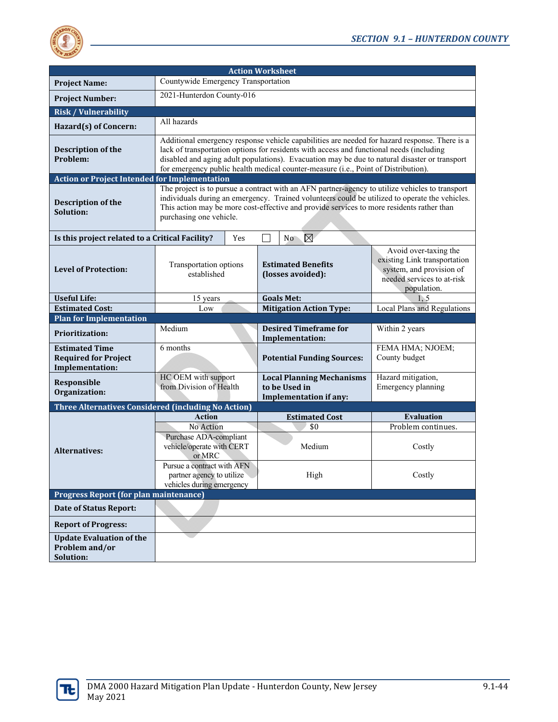

| <b>Action Worksheet</b>                                                        |                                                                                                                                                                                                                                                                                                                                                                                  |                                     |                                                                                    |                                                                                                                                |  |
|--------------------------------------------------------------------------------|----------------------------------------------------------------------------------------------------------------------------------------------------------------------------------------------------------------------------------------------------------------------------------------------------------------------------------------------------------------------------------|-------------------------------------|------------------------------------------------------------------------------------|--------------------------------------------------------------------------------------------------------------------------------|--|
| <b>Project Name:</b>                                                           |                                                                                                                                                                                                                                                                                                                                                                                  | Countywide Emergency Transportation |                                                                                    |                                                                                                                                |  |
| <b>Project Number:</b>                                                         | 2021-Hunterdon County-016                                                                                                                                                                                                                                                                                                                                                        |                                     |                                                                                    |                                                                                                                                |  |
| <b>Risk / Vulnerability</b>                                                    |                                                                                                                                                                                                                                                                                                                                                                                  |                                     |                                                                                    |                                                                                                                                |  |
| Hazard(s) of Concern:                                                          | All hazards                                                                                                                                                                                                                                                                                                                                                                      |                                     |                                                                                    |                                                                                                                                |  |
| Description of the<br>Problem:                                                 | Additional emergency response vehicle capabilities are needed for hazard response. There is a<br>lack of transportation options for residents with access and functional needs (including<br>disabled and aging adult populations). Evacuation may be due to natural disaster or transport<br>for emergency public health medical counter-measure (i.e., Point of Distribution). |                                     |                                                                                    |                                                                                                                                |  |
| <b>Action or Project Intended for Implementation</b>                           |                                                                                                                                                                                                                                                                                                                                                                                  |                                     |                                                                                    |                                                                                                                                |  |
| Description of the<br>Solution:                                                | The project is to pursue a contract with an AFN partner-agency to utilize vehicles to transport<br>individuals during an emergency. Trained volunteers could be utilized to operate the vehicles.<br>This action may be more cost-effective and provide services to more residents rather than<br>purchasing one vehicle.                                                        |                                     |                                                                                    |                                                                                                                                |  |
| Is this project related to a Critical Facility?                                | Yes                                                                                                                                                                                                                                                                                                                                                                              | $\mathcal{L}$                       | $\boxtimes$<br>N <sub>o</sub>                                                      |                                                                                                                                |  |
| <b>Level of Protection:</b>                                                    | Transportation options<br>established                                                                                                                                                                                                                                                                                                                                            |                                     | <b>Estimated Benefits</b><br>(losses avoided):                                     | Avoid over-taxing the<br>existing Link transportation<br>system, and provision of<br>needed services to at-risk<br>population. |  |
| <b>Useful Life:</b>                                                            | 15 years                                                                                                                                                                                                                                                                                                                                                                         |                                     | <b>Goals Met:</b>                                                                  | 1, 5                                                                                                                           |  |
| <b>Estimated Cost:</b>                                                         | Low<br><b>Mitigation Action Type:</b>                                                                                                                                                                                                                                                                                                                                            |                                     | <b>Local Plans and Regulations</b>                                                 |                                                                                                                                |  |
| <b>Plan for Implementation</b>                                                 |                                                                                                                                                                                                                                                                                                                                                                                  |                                     |                                                                                    |                                                                                                                                |  |
| <b>Prioritization:</b>                                                         | Medium                                                                                                                                                                                                                                                                                                                                                                           |                                     | <b>Desired Timeframe for</b><br>Implementation:                                    | Within 2 years                                                                                                                 |  |
| <b>Estimated Time</b><br><b>Required for Project</b><br><b>Implementation:</b> | 6 months                                                                                                                                                                                                                                                                                                                                                                         |                                     | <b>Potential Funding Sources:</b>                                                  | FEMA HMA; NJOEM;<br>County budget                                                                                              |  |
| Responsible<br>Organization:                                                   | HC OEM with support<br>from Division of Health                                                                                                                                                                                                                                                                                                                                   |                                     | <b>Local Planning Mechanisms</b><br>to be Used in<br><b>Implementation if any:</b> | Hazard mitigation,<br>Emergency planning                                                                                       |  |
| Three Alternatives Considered (including No Action)                            |                                                                                                                                                                                                                                                                                                                                                                                  |                                     |                                                                                    |                                                                                                                                |  |
|                                                                                | <b>Action</b>                                                                                                                                                                                                                                                                                                                                                                    |                                     | <b>Estimated Cost</b>                                                              | <b>Evaluation</b>                                                                                                              |  |
|                                                                                | No Action                                                                                                                                                                                                                                                                                                                                                                        |                                     | \$0                                                                                | Problem continues.                                                                                                             |  |
| <b>Alternatives:</b>                                                           | Purchase ADA-compliant<br>vehicle/operate with CERT<br>or MRC                                                                                                                                                                                                                                                                                                                    |                                     | Medium                                                                             | Costly                                                                                                                         |  |
|                                                                                | Pursue a contract with AFN<br>partner agency to utilize<br>vehicles during emergency                                                                                                                                                                                                                                                                                             |                                     | High                                                                               | Costly                                                                                                                         |  |
| <b>Progress Report (for plan maintenance)</b>                                  |                                                                                                                                                                                                                                                                                                                                                                                  |                                     |                                                                                    |                                                                                                                                |  |
| <b>Date of Status Report:</b>                                                  |                                                                                                                                                                                                                                                                                                                                                                                  |                                     |                                                                                    |                                                                                                                                |  |
| <b>Report of Progress:</b>                                                     |                                                                                                                                                                                                                                                                                                                                                                                  |                                     |                                                                                    |                                                                                                                                |  |
| <b>Update Evaluation of the</b><br>Problem and/or<br>Solution:                 |                                                                                                                                                                                                                                                                                                                                                                                  |                                     |                                                                                    |                                                                                                                                |  |